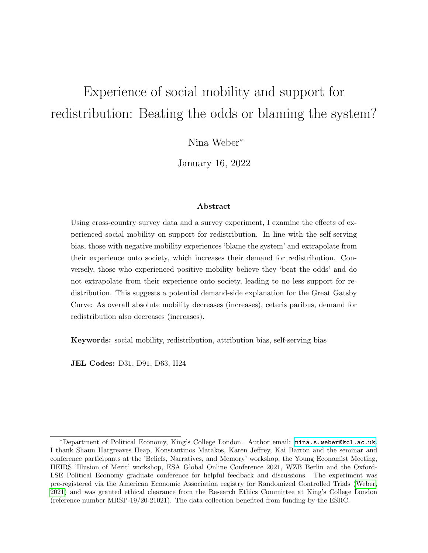# Experience of social mobility and support for redistribution: Beating the odds or blaming the system?

Nina Weber<sup>∗</sup>

January 16, 2022

#### Abstract

Using cross-country survey data and a survey experiment, I examine the effects of experienced social mobility on support for redistribution. In line with the self-serving bias, those with negative mobility experiences 'blame the system' and extrapolate from their experience onto society, which increases their demand for redistribution. Conversely, those who experienced positive mobility believe they 'beat the odds' and do not extrapolate from their experience onto society, leading to no less support for redistribution. This suggests a potential demand-side explanation for the Great Gatsby Curve: As overall absolute mobility decreases (increases), ceteris paribus, demand for redistribution also decreases (increases).

Keywords: social mobility, redistribution, attribution bias, self-serving bias

JEL Codes: D31, D91, D63, H24

<sup>∗</sup>Department of Political Economy, King's College London. Author email: [nina.s.weber@kcl.ac.uk](mailto:nina.s.weber@kcl.ac.uk). I thank Shaun Hargreaves Heap, Konstantinos Matakos, Karen Jeffrey, Kai Barron and the seminar and conference participants at the 'Beliefs, Narratives, and Memory' workshop, the Young Economist Meeting, HEIRS 'Illusion of Merit' workshop, ESA Global Online Conference 2021, WZB Berlin and the Oxford-LSE Political Economy graduate conference for helpful feedback and discussions. The experiment was pre-registered via the American Economic Association registry for Randomized Controlled Trials [\(Weber,](#page-36-0) [2021\)](#page-36-0) and was granted ethical clearance from the Research Ethics Committee at King's College London (reference number MRSP-19/20-21021). The data collection benefited from funding by the ESRC.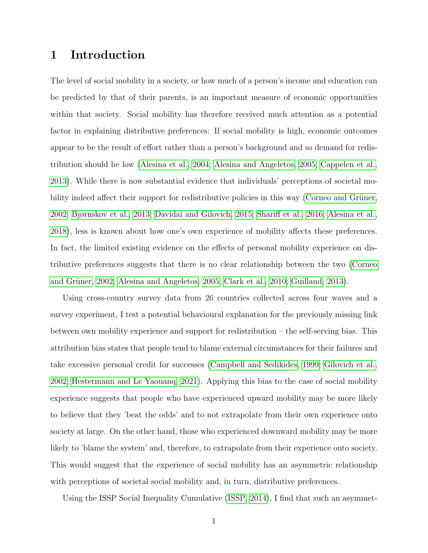### 1 Introduction

The level of social mobility in a society, or how much of a person's income and education can be predicted by that of their parents, is an important measure of economic opportunities within that society. Social mobility has therefore received much attention as a potential factor in explaining distributive preferences: If social mobility is high, economic outcomes appear to be the result of effort rather than a person's background and so demand for redistribution should be low [\(Alesina et al., 2004;](#page-34-0) [Alesina and Angeletos, 2005;](#page-34-1) [Cappelen et al.,](#page-34-2) [2013\)](#page-34-2). While there is now substantial evidence that individuals' perceptions of societal mobility indeed affect their support for redistributive policies in this way (Corneo and Grüner, [2002;](#page-34-3) [Bjørnskov et al., 2013;](#page-34-4) [Davidai and Gilovich, 2015;](#page-35-0) [Shariff et al., 2016;](#page-36-1) [Alesina et al.,](#page-34-5) [2018\)](#page-34-5), less is known about how one's own experience of mobility affects these preferences. In fact, the limited existing evidence on the effects of personal mobility experience on distributive preferences suggests that there is no clear relationship between the two [\(Corneo](#page-34-3) and Grüner, 2002; [Alesina and Angeletos, 2005;](#page-34-1) [Clark et al., 2010;](#page-34-6) [Guillaud, 2013\)](#page-35-1).

Using cross-country survey data from 26 countries collected across four waves and a survey experiment, I test a potential behavioural explanation for the previously missing link between own mobility experience and support for redistribution – the self-serving bias. This attribution bias states that people tend to blame external circumstances for their failures and take excessive personal credit for successes [\(Campbell and Sedikides, 1999;](#page-34-7) [Gilovich et al.,](#page-35-2) [2002;](#page-35-2) [Hestermann and Le Yaouanq, 2021\)](#page-35-3). Applying this bias to the case of social mobility experience suggests that people who have experienced upward mobility may be more likely to believe that they 'beat the odds' and to not extrapolate from their own experience onto society at large. On the other hand, those who experienced downward mobility may be more likely to 'blame the system' and, therefore, to extrapolate from their experience onto society. This would suggest that the experience of social mobility has an asymmetric relationship with perceptions of societal social mobility and, in turn, distributive preferences.

Using the ISSP Social Inequality Cumulative [\(ISSP, 2014\)](#page-35-4), I find that such an asymmet-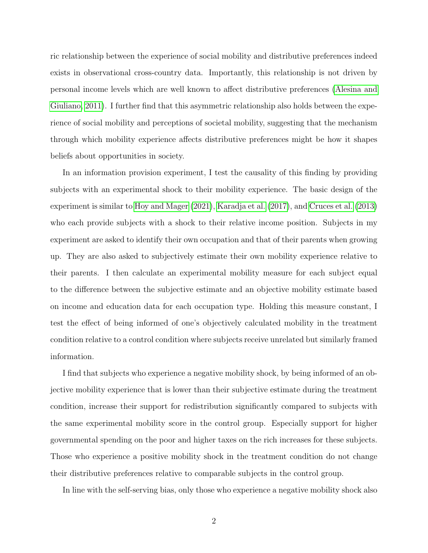ric relationship between the experience of social mobility and distributive preferences indeed exists in observational cross-country data. Importantly, this relationship is not driven by personal income levels which are well known to affect distributive preferences [\(Alesina and](#page-34-8) [Giuliano, 2011\)](#page-34-8). I further find that this asymmetric relationship also holds between the experience of social mobility and perceptions of societal mobility, suggesting that the mechanism through which mobility experience affects distributive preferences might be how it shapes beliefs about opportunities in society.

In an information provision experiment, I test the causality of this finding by providing subjects with an experimental shock to their mobility experience. The basic design of the experiment is similar to [Hoy and Mager](#page-35-5) [\(2021\)](#page-35-5), [Karadja et al.](#page-35-6) [\(2017\)](#page-35-6), and [Cruces et al.](#page-34-9) [\(2013\)](#page-34-9) who each provide subjects with a shock to their relative income position. Subjects in my experiment are asked to identify their own occupation and that of their parents when growing up. They are also asked to subjectively estimate their own mobility experience relative to their parents. I then calculate an experimental mobility measure for each subject equal to the difference between the subjective estimate and an objective mobility estimate based on income and education data for each occupation type. Holding this measure constant, I test the effect of being informed of one's objectively calculated mobility in the treatment condition relative to a control condition where subjects receive unrelated but similarly framed information.

I find that subjects who experience a negative mobility shock, by being informed of an objective mobility experience that is lower than their subjective estimate during the treatment condition, increase their support for redistribution significantly compared to subjects with the same experimental mobility score in the control group. Especially support for higher governmental spending on the poor and higher taxes on the rich increases for these subjects. Those who experience a positive mobility shock in the treatment condition do not change their distributive preferences relative to comparable subjects in the control group.

In line with the self-serving bias, only those who experience a negative mobility shock also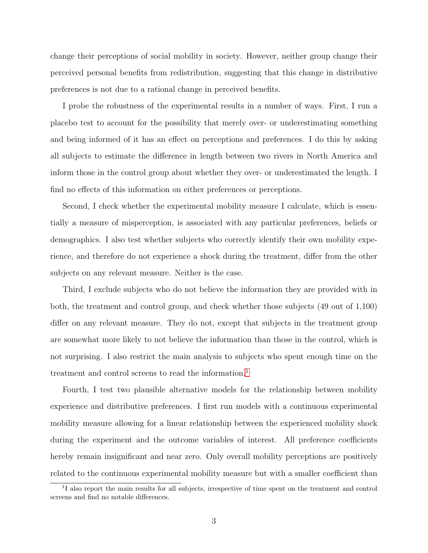change their perceptions of social mobility in society. However, neither group change their perceived personal benefits from redistribution, suggesting that this change in distributive preferences is not due to a rational change in perceived benefits.

I probe the robustness of the experimental results in a number of ways. First, I run a placebo test to account for the possibility that merely over- or underestimating something and being informed of it has an effect on perceptions and preferences. I do this by asking all subjects to estimate the difference in length between two rivers in North America and inform those in the control group about whether they over- or underestimated the length. I find no effects of this information on either preferences or perceptions.

Second, I check whether the experimental mobility measure I calculate, which is essentially a measure of misperception, is associated with any particular preferences, beliefs or demographics. I also test whether subjects who correctly identify their own mobility experience, and therefore do not experience a shock during the treatment, differ from the other subjects on any relevant measure. Neither is the case.

Third, I exclude subjects who do not believe the information they are provided with in both, the treatment and control group, and check whether those subjects (49 out of 1,100) differ on any relevant measure. They do not, except that subjects in the treatment group are somewhat more likely to not believe the information than those in the control, which is not surprising. I also restrict the main analysis to subjects who spent enough time on the treatment and control screens to read the information.<sup>[1](#page-3-0)</sup>

Fourth, I test two plausible alternative models for the relationship between mobility experience and distributive preferences. I first run models with a continuous experimental mobility measure allowing for a linear relationship between the experienced mobility shock during the experiment and the outcome variables of interest. All preference coefficients hereby remain insignificant and near zero. Only overall mobility perceptions are positively related to the continuous experimental mobility measure but with a smaller coefficient than

<span id="page-3-0"></span><sup>&</sup>lt;sup>1</sup>I also report the main results for all subjects, irrespective of time spent on the treatment and control screens and find no notable differences.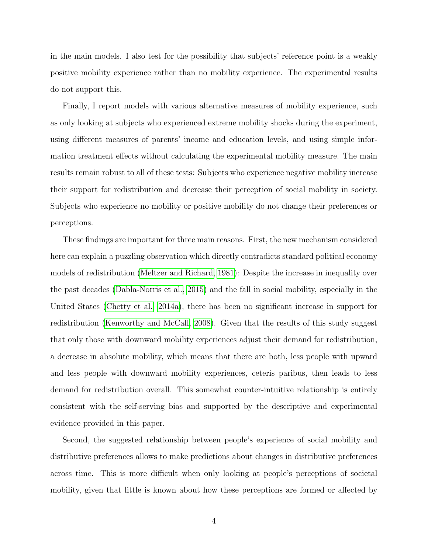in the main models. I also test for the possibility that subjects' reference point is a weakly positive mobility experience rather than no mobility experience. The experimental results do not support this.

Finally, I report models with various alternative measures of mobility experience, such as only looking at subjects who experienced extreme mobility shocks during the experiment, using different measures of parents' income and education levels, and using simple information treatment effects without calculating the experimental mobility measure. The main results remain robust to all of these tests: Subjects who experience negative mobility increase their support for redistribution and decrease their perception of social mobility in society. Subjects who experience no mobility or positive mobility do not change their preferences or perceptions.

These findings are important for three main reasons. First, the new mechanism considered here can explain a puzzling observation which directly contradicts standard political economy models of redistribution [\(Meltzer and Richard, 1981\)](#page-36-2): Despite the increase in inequality over the past decades [\(Dabla-Norris et al., 2015\)](#page-34-10) and the fall in social mobility, especially in the United States [\(Chetty et al., 2014a\)](#page-34-11), there has been no significant increase in support for redistribution [\(Kenworthy and McCall, 2008\)](#page-36-3). Given that the results of this study suggest that only those with downward mobility experiences adjust their demand for redistribution, a decrease in absolute mobility, which means that there are both, less people with upward and less people with downward mobility experiences, ceteris paribus, then leads to less demand for redistribution overall. This somewhat counter-intuitive relationship is entirely consistent with the self-serving bias and supported by the descriptive and experimental evidence provided in this paper.

Second, the suggested relationship between people's experience of social mobility and distributive preferences allows to make predictions about changes in distributive preferences across time. This is more difficult when only looking at people's perceptions of societal mobility, given that little is known about how these perceptions are formed or affected by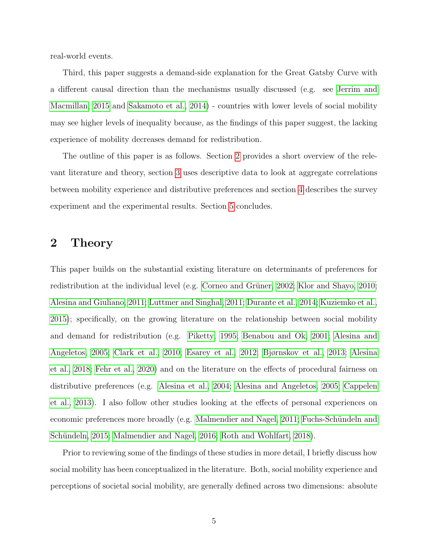real-world events.

Third, this paper suggests a demand-side explanation for the Great Gatsby Curve with a different causal direction than the mechanisms usually discussed (e.g. see [Jerrim and](#page-35-7) [Macmillan, 2015](#page-35-7) and [Sakamoto et al., 2014\)](#page-36-4) - countries with lower levels of social mobility may see higher levels of inequality because, as the findings of this paper suggest, the lacking experience of mobility decreases demand for redistribution.

The outline of this paper is as follows. Section [2](#page-5-0) provides a short overview of the relevant literature and theory, section [3](#page-8-0) uses descriptive data to look at aggregate correlations between mobility experience and distributive preferences and section [4](#page-19-0) describes the survey experiment and the experimental results. Section [5](#page-30-0) concludes.

### <span id="page-5-0"></span>2 Theory

This paper builds on the substantial existing literature on determinants of preferences for redistribution at the individual level (e.g. Corneo and Grüner, 2002; [Klor and Shayo, 2010;](#page-36-5) [Alesina and Giuliano, 2011;](#page-34-8) [Luttmer and Singhal, 2011;](#page-36-6) [Durante et al., 2014;](#page-35-8) [Kuziemko et al.,](#page-36-7) [2015\)](#page-36-7); specifically, on the growing literature on the relationship between social mobility and demand for redistribution (e.g. [Piketty, 1995;](#page-36-8) [Benabou and Ok, 2001;](#page-34-12) [Alesina and](#page-34-1) [Angeletos, 2005;](#page-34-1) [Clark et al., 2010;](#page-34-6) [Esarey et al., 2012;](#page-35-9) [Bjørnskov et al., 2013;](#page-34-4) [Alesina](#page-34-5) [et al., 2018;](#page-34-5) [Fehr et al., 2020\)](#page-35-10) and on the literature on the effects of procedural fairness on distributive preferences (e.g. [Alesina et al., 2004;](#page-34-0) [Alesina and Angeletos, 2005;](#page-34-1) [Cappelen](#page-34-2) [et al., 2013\)](#page-34-2). I also follow other studies looking at the effects of personal experiences on economic preferences more broadly (e.g. [Malmendier and Nagel, 2011;](#page-36-9) Fuchs-Schündeln and Schündeln, 2015; [Malmendier and Nagel, 2016;](#page-36-10) [Roth and Wohlfart, 2018\)](#page-36-11).

Prior to reviewing some of the findings of these studies in more detail, I briefly discuss how social mobility has been conceptualized in the literature. Both, social mobility experience and perceptions of societal social mobility, are generally defined across two dimensions: absolute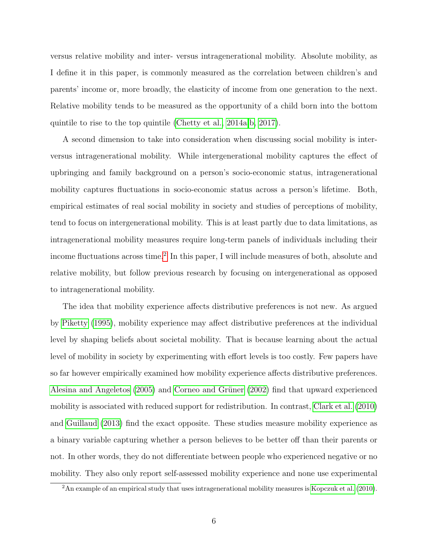versus relative mobility and inter- versus intragenerational mobility. Absolute mobility, as I define it in this paper, is commonly measured as the correlation between children's and parents' income or, more broadly, the elasticity of income from one generation to the next. Relative mobility tends to be measured as the opportunity of a child born into the bottom quintile to rise to the top quintile [\(Chetty et al., 2014a,](#page-34-11)[b,](#page-34-13) [2017\)](#page-34-14).

A second dimension to take into consideration when discussing social mobility is interversus intragenerational mobility. While intergenerational mobility captures the effect of upbringing and family background on a person's socio-economic status, intragenerational mobility captures fluctuations in socio-economic status across a person's lifetime. Both, empirical estimates of real social mobility in society and studies of perceptions of mobility, tend to focus on intergenerational mobility. This is at least partly due to data limitations, as intragenerational mobility measures require long-term panels of individuals including their income fluctuations across time.<sup>[2](#page-6-0)</sup> In this paper, I will include measures of both, absolute and relative mobility, but follow previous research by focusing on intergenerational as opposed to intragenerational mobility.

The idea that mobility experience affects distributive preferences is not new. As argued by [Piketty](#page-36-8) [\(1995\)](#page-36-8), mobility experience may affect distributive preferences at the individual level by shaping beliefs about societal mobility. That is because learning about the actual level of mobility in society by experimenting with effort levels is too costly. Few papers have so far however empirically examined how mobility experience affects distributive preferences. [Alesina and Angeletos](#page-34-1) [\(2005\)](#page-34-1) and Corneo and Grüner [\(2002\)](#page-34-3) find that upward experienced mobility is associated with reduced support for redistribution. In contrast, [Clark et al.](#page-34-6) [\(2010\)](#page-34-6) and [Guillaud](#page-35-1) [\(2013\)](#page-35-1) find the exact opposite. These studies measure mobility experience as a binary variable capturing whether a person believes to be better off than their parents or not. In other words, they do not differentiate between people who experienced negative or no mobility. They also only report self-assessed mobility experience and none use experimental

<span id="page-6-0"></span><sup>&</sup>lt;sup>2</sup>An example of an empirical study that uses intragenerational mobility measures is [Kopczuk et al.](#page-36-12) [\(2010\)](#page-36-12).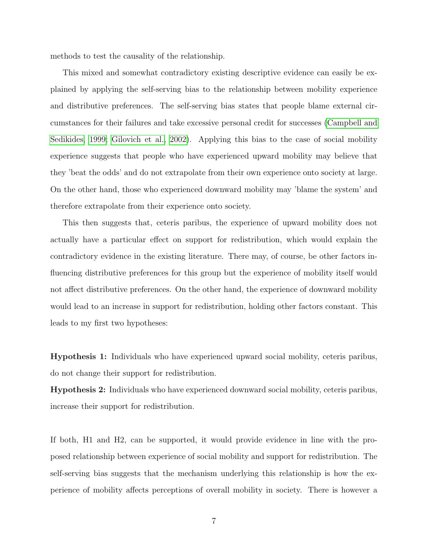methods to test the causality of the relationship.

This mixed and somewhat contradictory existing descriptive evidence can easily be explained by applying the self-serving bias to the relationship between mobility experience and distributive preferences. The self-serving bias states that people blame external circumstances for their failures and take excessive personal credit for successes [\(Campbell and](#page-34-7) [Sedikides, 1999;](#page-34-7) [Gilovich et al., 2002\)](#page-35-2). Applying this bias to the case of social mobility experience suggests that people who have experienced upward mobility may believe that they 'beat the odds' and do not extrapolate from their own experience onto society at large. On the other hand, those who experienced downward mobility may 'blame the system' and therefore extrapolate from their experience onto society.

This then suggests that, ceteris paribus, the experience of upward mobility does not actually have a particular effect on support for redistribution, which would explain the contradictory evidence in the existing literature. There may, of course, be other factors influencing distributive preferences for this group but the experience of mobility itself would not affect distributive preferences. On the other hand, the experience of downward mobility would lead to an increase in support for redistribution, holding other factors constant. This leads to my first two hypotheses:

Hypothesis 1: Individuals who have experienced upward social mobility, ceteris paribus, do not change their support for redistribution.

Hypothesis 2: Individuals who have experienced downward social mobility, ceteris paribus, increase their support for redistribution.

If both, H1 and H2, can be supported, it would provide evidence in line with the proposed relationship between experience of social mobility and support for redistribution. The self-serving bias suggests that the mechanism underlying this relationship is how the experience of mobility affects perceptions of overall mobility in society. There is however a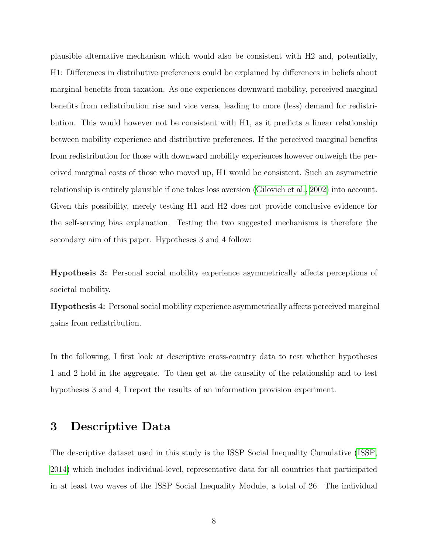plausible alternative mechanism which would also be consistent with H2 and, potentially, H1: Differences in distributive preferences could be explained by differences in beliefs about marginal benefits from taxation. As one experiences downward mobility, perceived marginal benefits from redistribution rise and vice versa, leading to more (less) demand for redistribution. This would however not be consistent with H1, as it predicts a linear relationship between mobility experience and distributive preferences. If the perceived marginal benefits from redistribution for those with downward mobility experiences however outweigh the perceived marginal costs of those who moved up, H1 would be consistent. Such an asymmetric relationship is entirely plausible if one takes loss aversion [\(Gilovich et al., 2002\)](#page-35-2) into account. Given this possibility, merely testing H1 and H2 does not provide conclusive evidence for the self-serving bias explanation. Testing the two suggested mechanisms is therefore the secondary aim of this paper. Hypotheses 3 and 4 follow:

Hypothesis 3: Personal social mobility experience asymmetrically affects perceptions of societal mobility.

Hypothesis 4: Personal social mobility experience asymmetrically affects perceived marginal gains from redistribution.

In the following, I first look at descriptive cross-country data to test whether hypotheses 1 and 2 hold in the aggregate. To then get at the causality of the relationship and to test hypotheses 3 and 4, I report the results of an information provision experiment.

### <span id="page-8-0"></span>3 Descriptive Data

The descriptive dataset used in this study is the ISSP Social Inequality Cumulative [\(ISSP,](#page-35-4) [2014\)](#page-35-4) which includes individual-level, representative data for all countries that participated in at least two waves of the ISSP Social Inequality Module, a total of 26. The individual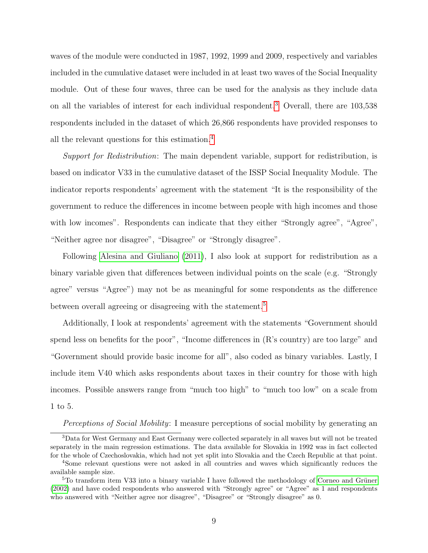waves of the module were conducted in 1987, 1992, 1999 and 2009, respectively and variables included in the cumulative dataset were included in at least two waves of the Social Inequality module. Out of these four waves, three can be used for the analysis as they include data on all the variables of interest for each individual respondent.[3](#page-9-0) Overall, there are 103,538 respondents included in the dataset of which 26,866 respondents have provided responses to all the relevant questions for this estimation.[4](#page-9-1)

Support for Redistribution: The main dependent variable, support for redistribution, is based on indicator V33 in the cumulative dataset of the ISSP Social Inequality Module. The indicator reports respondents' agreement with the statement "It is the responsibility of the government to reduce the differences in income between people with high incomes and those with low incomes". Respondents can indicate that they either "Strongly agree", "Agree", "Neither agree nor disagree", "Disagree" or "Strongly disagree".

Following [Alesina and Giuliano](#page-34-8) [\(2011\)](#page-34-8), I also look at support for redistribution as a binary variable given that differences between individual points on the scale (e.g. "Strongly agree" versus "Agree") may not be as meaningful for some respondents as the difference between overall agreeing or disagreeing with the statement.<sup>[5](#page-9-2)</sup>

Additionally, I look at respondents' agreement with the statements "Government should spend less on benefits for the poor", "Income differences in (R's country) are too large" and "Government should provide basic income for all", also coded as binary variables. Lastly, I include item V40 which asks respondents about taxes in their country for those with high incomes. Possible answers range from "much too high" to "much too low" on a scale from 1 to 5.

<span id="page-9-0"></span>Perceptions of Social Mobility: I measure perceptions of social mobility by generating an

<sup>3</sup>Data for West Germany and East Germany were collected separately in all waves but will not be treated separately in the main regression estimations. The data available for Slovakia in 1992 was in fact collected for the whole of Czechoslovakia, which had not yet split into Slovakia and the Czech Republic at that point.

<span id="page-9-1"></span><sup>4</sup>Some relevant questions were not asked in all countries and waves which significantly reduces the available sample size.

<span id="page-9-2"></span> $5T<sub>5</sub>$ To transform item V33 into a binary variable I have followed the methodology of Corneo and Grüner [\(2002\)](#page-34-3) and have coded respondents who answered with "Strongly agree" or "Agree" as 1 and respondents who answered with "Neither agree nor disagree", "Disagree" or "Strongly disagree" as 0.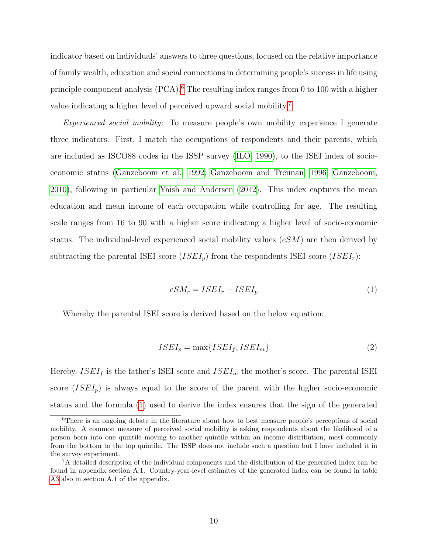indicator based on individuals' answers to three questions, focused on the relative importance of family wealth, education and social connections in determining people's success in life using principle component analysis (PCA).[6](#page-10-0) The resulting index ranges from 0 to 100 with a higher value indicating a higher level of perceived upward social mobility.[7](#page-10-1)

Experienced social mobility: To measure people's own mobility experience I generate three indicators. First, I match the occupations of respondents and their parents, which are included as ISCO88 codes in the ISSP survey [\(ILO, 1990\)](#page-35-12), to the ISEI index of socioeconomic status [\(Ganzeboom et al., 1992;](#page-35-13) [Ganzeboom and Treiman, 1996;](#page-35-14) [Ganzeboom,](#page-35-15) [2010\)](#page-35-15), following in particular [Yaish and Andersen](#page-36-13) [\(2012\)](#page-36-13). This index captures the mean education and mean income of each occupation while controlling for age. The resulting scale ranges from 16 to 90 with a higher score indicating a higher level of socio-economic status. The individual-level experienced social mobility values  $(eSM)$  are then derived by subtracting the parental ISEI score  $(ISEI_p)$  from the respondents ISEI score  $(ISEI_r)$ :

<span id="page-10-2"></span>
$$
eSM_r = ISEL_r - ISEL_p \tag{1}
$$

Whereby the parental ISEI score is derived based on the below equation:

$$
ISEI_p = \max\{ISEI_f, ISEI_m\} \tag{2}
$$

Hereby,  $ISEI<sub>f</sub>$  is the father's ISEI score and  $ISEI<sub>m</sub>$  the mother's score. The parental ISEI score  $(ISEI<sub>p</sub>)$  is always equal to the score of the parent with the higher socio-economic status and the formula [\(1\)](#page-10-2) used to derive the index ensures that the sign of the generated

<span id="page-10-0"></span><sup>&</sup>lt;sup>6</sup>There is an ongoing debate in the literature about how to best measure people's perceptions of social mobility. A common measure of perceived social mobility is asking respondents about the likelihood of a person born into one quintile moving to another quintile within an income distribution, most commonly from the bottom to the top quintile. The ISSP does not include such a question but I have included it in the survey experiment.

<span id="page-10-1"></span><sup>7</sup>A detailed description of the individual components and the distribution of the generated index can be found in appendix section A.1. Country-year-level estimates of the generated index can be found in table [A3](#page-39-0) also in section A.1 of the appendix.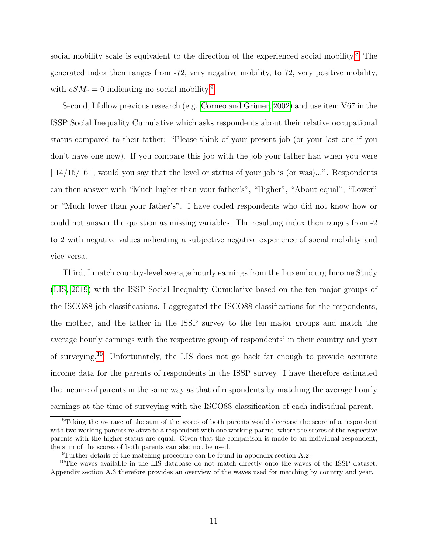social mobility scale is equivalent to the direction of the experienced social mobility.<sup>[8](#page-11-0)</sup> The generated index then ranges from -72, very negative mobility, to 72, very positive mobility, with  $eSM_r = 0$  indicating no social mobility.<sup>[9](#page-11-1)</sup>

Second, I follow previous research (e.g. Corneo and Grüner, 2002) and use item V67 in the ISSP Social Inequality Cumulative which asks respondents about their relative occupational status compared to their father: "Please think of your present job (or your last one if you don't have one now). If you compare this job with the job your father had when you were  $[14/15/16]$ , would you say that the level or status of your job is (or was)...". Respondents can then answer with "Much higher than your father's", "Higher", "About equal", "Lower" or "Much lower than your father's". I have coded respondents who did not know how or could not answer the question as missing variables. The resulting index then ranges from -2 to 2 with negative values indicating a subjective negative experience of social mobility and vice versa.

Third, I match country-level average hourly earnings from the Luxembourg Income Study [\(LIS, 2019\)](#page-36-14) with the ISSP Social Inequality Cumulative based on the ten major groups of the ISCO88 job classifications. I aggregated the ISCO88 classifications for the respondents, the mother, and the father in the ISSP survey to the ten major groups and match the average hourly earnings with the respective group of respondents' in their country and year of surveying.[10](#page-11-2) Unfortunately, the LIS does not go back far enough to provide accurate income data for the parents of respondents in the ISSP survey. I have therefore estimated the income of parents in the same way as that of respondents by matching the average hourly earnings at the time of surveying with the ISCO88 classification of each individual parent.

<span id="page-11-0"></span><sup>8</sup>Taking the average of the sum of the scores of both parents would decrease the score of a respondent with two working parents relative to a respondent with one working parent, where the scores of the respective parents with the higher status are equal. Given that the comparison is made to an individual respondent, the sum of the scores of both parents can also not be used.

<span id="page-11-2"></span><span id="page-11-1"></span><sup>9</sup>Further details of the matching procedure can be found in appendix section A.2.

<sup>10</sup>The waves available in the LIS database do not match directly onto the waves of the ISSP dataset. Appendix section A.3 therefore provides an overview of the waves used for matching by country and year.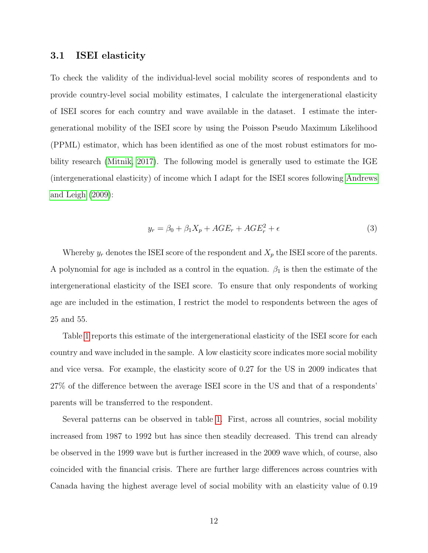#### <span id="page-12-0"></span>3.1 ISEI elasticity

To check the validity of the individual-level social mobility scores of respondents and to provide country-level social mobility estimates, I calculate the intergenerational elasticity of ISEI scores for each country and wave available in the dataset. I estimate the intergenerational mobility of the ISEI score by using the Poisson Pseudo Maximum Likelihood (PPML) estimator, which has been identified as one of the most robust estimators for mobility research [\(Mitnik, 2017\)](#page-36-15). The following model is generally used to estimate the IGE (intergenerational elasticity) of income which I adapt for the ISEI scores following [Andrews](#page-34-15) [and Leigh](#page-34-15) [\(2009\)](#page-34-15):

$$
y_r = \beta_0 + \beta_1 X_p + AGE_r + AGE_r^2 + \epsilon
$$
\n<sup>(3)</sup>

Whereby  $y_r$  denotes the ISEI score of the respondent and  $X_p$  the ISEI score of the parents. A polynomial for age is included as a control in the equation.  $\beta_1$  is then the estimate of the intergenerational elasticity of the ISEI score. To ensure that only respondents of working age are included in the estimation, I restrict the model to respondents between the ages of 25 and 55.

Table [1](#page-13-0) reports this estimate of the intergenerational elasticity of the ISEI score for each country and wave included in the sample. A low elasticity score indicates more social mobility and vice versa. For example, the elasticity score of 0.27 for the US in 2009 indicates that 27% of the difference between the average ISEI score in the US and that of a respondents' parents will be transferred to the respondent.

Several patterns can be observed in table [1.](#page-13-0) First, across all countries, social mobility increased from 1987 to 1992 but has since then steadily decreased. This trend can already be observed in the 1999 wave but is further increased in the 2009 wave which, of course, also coincided with the financial crisis. There are further large differences across countries with Canada having the highest average level of social mobility with an elasticity value of 0.19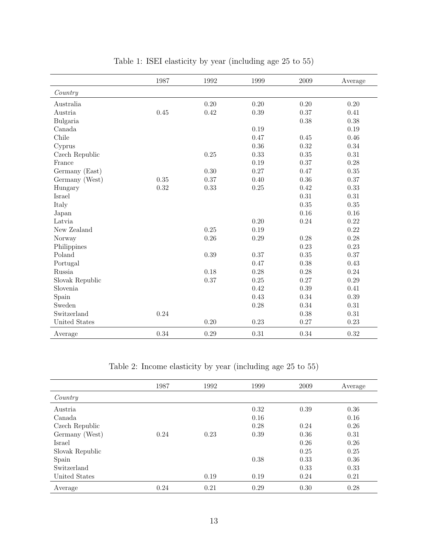<span id="page-13-0"></span>

|                 | 1987 | 1992 | 1999 | 2009 | Average |
|-----------------|------|------|------|------|---------|
| Country         |      |      |      |      |         |
| Australia       |      | 0.20 | 0.20 | 0.20 | 0.20    |
| Austria         | 0.45 | 0.42 | 0.39 | 0.37 | 0.41    |
| Bulgaria        |      |      |      | 0.38 | 0.38    |
| Canada          |      |      | 0.19 |      | 0.19    |
| Chile           |      |      | 0.47 | 0.45 | 0.46    |
| Cyprus          |      |      | 0.36 | 0.32 | 0.34    |
| Czech Republic  |      | 0.25 | 0.33 | 0.35 | 0.31    |
| France          |      |      | 0.19 | 0.37 | 0.28    |
| Germany (East)  |      | 0.30 | 0.27 | 0.47 | 0.35    |
| Germany (West)  | 0.35 | 0.37 | 0.40 | 0.36 | 0.37    |
| Hungary         | 0.32 | 0.33 | 0.25 | 0.42 | 0.33    |
| Israel          |      |      |      | 0.31 | 0.31    |
| Italy           |      |      |      | 0.35 | 0.35    |
| Japan           |      |      |      | 0.16 | 0.16    |
| Latvia          |      |      | 0.20 | 0.24 | 0.22    |
| New Zealand     |      | 0.25 | 0.19 |      | 0.22    |
| Norway          |      | 0.26 | 0.29 | 0.28 | 0.28    |
| Philippines     |      |      |      | 0.23 | 0.23    |
| Poland          |      | 0.39 | 0.37 | 0.35 | 0.37    |
| Portugal        |      |      | 0.47 | 0.38 | 0.43    |
| Russia          |      | 0.18 | 0.28 | 0.28 | 0.24    |
| Slovak Republic |      | 0.37 | 0.25 | 0.27 | 0.29    |
| Slovenia        |      |      | 0.42 | 0.39 | 0.41    |
| Spain           |      |      | 0.43 | 0.34 | 0.39    |
| Sweden          |      |      | 0.28 | 0.34 | 0.31    |
| Switzerland     | 0.24 |      |      | 0.38 | 0.31    |
| United States   |      | 0.20 | 0.23 | 0.27 | 0.23    |
| Average         | 0.34 | 0.29 | 0.31 | 0.34 | 0.32    |

Table 1: ISEI elasticity by year (including age 25 to 55)

Table 2: Income elasticity by year (including age 25 to 55)

<span id="page-13-1"></span>

|                 | 1987 | 1992 | 1999 | 2009 | Average |
|-----------------|------|------|------|------|---------|
| Country         |      |      |      |      |         |
| Austria         |      |      | 0.32 | 0.39 | 0.36    |
| Canada          |      |      | 0.16 |      | 0.16    |
| Czech Republic  |      |      | 0.28 | 0.24 | 0.26    |
| Germany (West)  | 0.24 | 0.23 | 0.39 | 0.36 | 0.31    |
| Israel          |      |      |      | 0.26 | 0.26    |
| Slovak Republic |      |      |      | 0.25 | 0.25    |
| Spain           |      |      | 0.38 | 0.33 | 0.36    |
| Switzerland     |      |      |      | 0.33 | 0.33    |
| United States   |      | 0.19 | 0.19 | 0.24 | 0.21    |
| Average         | 0.24 | 0.21 | 0.29 | 0.30 | 0.28    |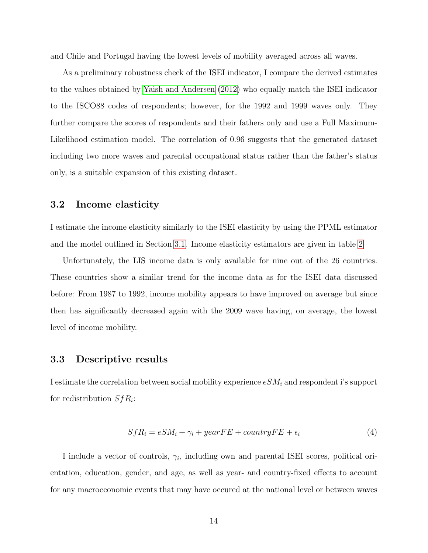and Chile and Portugal having the lowest levels of mobility averaged across all waves.

As a preliminary robustness check of the ISEI indicator, I compare the derived estimates to the values obtained by [Yaish and Andersen](#page-36-13) [\(2012\)](#page-36-13) who equally match the ISEI indicator to the ISCO88 codes of respondents; however, for the 1992 and 1999 waves only. They further compare the scores of respondents and their fathers only and use a Full Maximum-Likelihood estimation model. The correlation of 0.96 suggests that the generated dataset including two more waves and parental occupational status rather than the father's status only, is a suitable expansion of this existing dataset.

### 3.2 Income elasticity

I estimate the income elasticity similarly to the ISEI elasticity by using the PPML estimator and the model outlined in Section [3.1.](#page-12-0) Income elasticity estimators are given in table [2.](#page-13-1)

Unfortunately, the LIS income data is only available for nine out of the 26 countries. These countries show a similar trend for the income data as for the ISEI data discussed before: From 1987 to 1992, income mobility appears to have improved on average but since then has significantly decreased again with the 2009 wave having, on average, the lowest level of income mobility.

### 3.3 Descriptive results

I estimate the correlation between social mobility experience  $eSM_i$  and respondent i's support for redistribution  $SfR_i$ :

$$
SfR_i = eSM_i + \gamma_i + yearFE + countryFE + \epsilon_i \tag{4}
$$

I include a vector of controls,  $\gamma_i$ , including own and parental ISEI scores, political orientation, education, gender, and age, as well as year- and country-fixed effects to account for any macroeconomic events that may have occured at the national level or between waves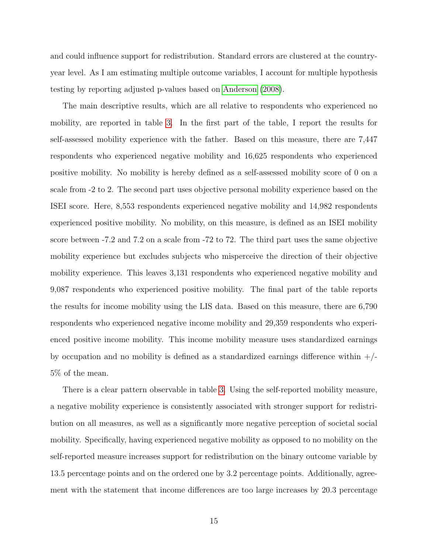and could influence support for redistribution. Standard errors are clustered at the countryyear level. As I am estimating multiple outcome variables, I account for multiple hypothesis testing by reporting adjusted p-values based on [Anderson](#page-34-16) [\(2008\)](#page-34-16).

The main descriptive results, which are all relative to respondents who experienced no mobility, are reported in table [3.](#page-16-0) In the first part of the table, I report the results for self-assessed mobility experience with the father. Based on this measure, there are 7,447 respondents who experienced negative mobility and 16,625 respondents who experienced positive mobility. No mobility is hereby defined as a self-assessed mobility score of 0 on a scale from -2 to 2. The second part uses objective personal mobility experience based on the ISEI score. Here, 8,553 respondents experienced negative mobility and 14,982 respondents experienced positive mobility. No mobility, on this measure, is defined as an ISEI mobility score between -7.2 and 7.2 on a scale from -72 to 72. The third part uses the same objective mobility experience but excludes subjects who misperceive the direction of their objective mobility experience. This leaves 3,131 respondents who experienced negative mobility and 9,087 respondents who experienced positive mobility. The final part of the table reports the results for income mobility using the LIS data. Based on this measure, there are 6,790 respondents who experienced negative income mobility and 29,359 respondents who experienced positive income mobility. This income mobility measure uses standardized earnings by occupation and no mobility is defined as a standardized earnings difference within  $+/-$ 5% of the mean.

There is a clear pattern observable in table [3.](#page-16-0) Using the self-reported mobility measure, a negative mobility experience is consistently associated with stronger support for redistribution on all measures, as well as a significantly more negative perception of societal social mobility. Specifically, having experienced negative mobility as opposed to no mobility on the self-reported measure increases support for redistribution on the binary outcome variable by 13.5 percentage points and on the ordered one by 3.2 percentage points. Additionally, agreement with the statement that income differences are too large increases by 20.3 percentage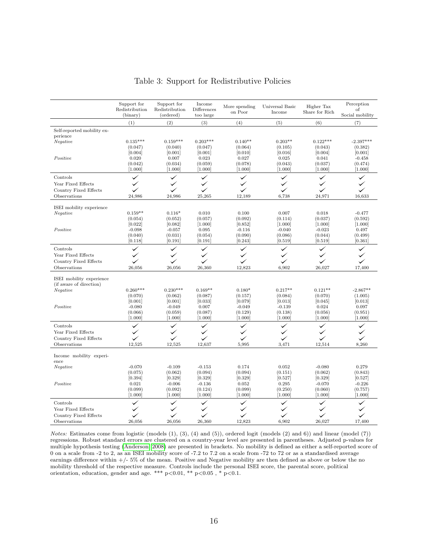<span id="page-16-0"></span>

|                                             | Support for<br>Redistribution<br>(binary) | Support for<br>Redistribution<br>(ordered) | Income<br>Differences<br>too large | More spending<br>on Poor | Universal Basic<br>Income | Higher Tax<br>Share for Rich | Perception<br>of<br>Social mobility |
|---------------------------------------------|-------------------------------------------|--------------------------------------------|------------------------------------|--------------------------|---------------------------|------------------------------|-------------------------------------|
|                                             | (1)                                       | (2)                                        | (3)                                | (4)                      | (5)                       | (6)                          | (7)                                 |
| Self-reported mobility ex-                  |                                           |                                            |                                    |                          |                           |                              |                                     |
| perience                                    |                                           |                                            |                                    |                          |                           |                              |                                     |
| Negative                                    | $0.135***$                                | $0.159***$                                 | $0.203***$                         | $0.140**$                | $0.203**$                 | $0.122***$                   | $-2.397***$                         |
|                                             | (0.047)                                   | (0.040)                                    | (0.047)                            | (0.064)                  | (0.105)                   | (0.043)                      | (0.382)                             |
|                                             | [0.004]                                   | [0.001]                                    | [0.001]                            | [0.010]                  | [0.016]                   | [0.004]                      | [0.001]                             |
| Positive                                    | 0.020                                     | 0.007                                      | 0.023                              | 0.027                    | 0.025                     | 0.041                        | $-0.458$                            |
|                                             | (0.042)<br>[1.000]                        | (0.034)<br>[1.000]                         | (0.059)<br>[1.000]                 | (0.078)<br>[1.000]       | (0.043)<br>[1.000]        | (0.037)<br>[1.000]           | (0.474)<br>[1.000]                  |
| Controls                                    | ✓                                         | ✓                                          | ✓                                  | $\checkmark$             | ✓                         | ✓                            | ✓                                   |
| Year Fixed Effects                          | $\checkmark$                              | ✓                                          | ✓                                  |                          | ✓                         |                              | ✓                                   |
|                                             | ✓                                         | ✓                                          | ✓                                  | ✓                        | ✓                         | ✓                            | ✓                                   |
| Country Fixed Effects<br>Observations       | 24,986                                    | 24,986                                     | 25,265                             | 12,189                   | 6,738                     | 24,971                       | 16,633                              |
|                                             |                                           |                                            |                                    |                          |                           |                              |                                     |
| ISEI mobility experience                    |                                           |                                            |                                    |                          |                           |                              |                                     |
| Negative                                    | $0.159**$                                 | $0.116*$                                   | 0.010                              | 0.100                    | 0.007                     | 0.018                        | $-0.477$                            |
|                                             | (0.054)                                   | (0.052)                                    | (0.057)                            | (0.092)                  | (0.114)                   | (0.037)                      | (0.592)                             |
|                                             | [0.022]                                   | [0.082]                                    | [1.000]                            | [0.852]                  | [1.000]                   | [1.000]                      | [1.000]                             |
| Positive                                    | $-0.098$<br>(0.040)                       | $-0.057$<br>(0.031)                        | 0.095<br>(0.054)                   | $-0.116$<br>(0.090)      | $-0.040$<br>(0.086)       | $-0.023$<br>(0.044)          | 0.497<br>(0.499)                    |
|                                             | [0.118]                                   | [0.191]                                    | [0.191]                            | [0.243]                  | [0.519]                   | [0.519]                      | [0.361]                             |
| Controls                                    | ✓                                         | ✓                                          | ✓                                  |                          | ✓                         | ✓                            |                                     |
| Year Fixed Effects                          | $\checkmark$                              | ✓                                          | ✓                                  |                          |                           |                              |                                     |
| Country Fixed Effects                       |                                           | $\checkmark$                               | ✓                                  |                          | ✓                         |                              | $\checkmark$                        |
| Observations                                | 26,056                                    | 26,056                                     | 26,360                             | 12,823                   | 6,902                     | 26,027                       | 17,400                              |
|                                             |                                           |                                            |                                    |                          |                           |                              |                                     |
| ISEI mobility experience                    |                                           |                                            |                                    |                          |                           |                              |                                     |
| (if aware of direction)<br>Negative         | $0.260***$                                | $0.230***$                                 | $0.169**$                          | $0.180*$                 | $0.217**$                 | $0.121**$                    | $-2.867**$                          |
|                                             | (0.070)                                   | (0.062)                                    | (0.087)                            | (0.157)                  | (0.084)                   | (0.070)                      | (1.005)                             |
|                                             | [0.001]                                   | [0.001]                                    | [0.033]                            | [0.079]                  | [0.013]                   | [0.045]                      | [0.013]                             |
| Positive                                    | $-0.080$                                  | $-0.049$                                   | 0.007                              | $-0.049$                 | $-0.139$                  | 0.024                        | 0.097                               |
|                                             | (0.066)                                   | (0.059)                                    | (0.087)                            | (0.129)                  | (0.138)                   | (0.056)                      | (0.951)                             |
|                                             | [1.000]                                   | [1.000]                                    | [1.000]                            | [1.000]                  | [1.000]                   | [1.000]                      | [1.000]                             |
| Controls                                    |                                           | $\checkmark$                               | ✓                                  | ✓                        | $\checkmark$              | ✓                            | ✓                                   |
| Year Fixed Effects                          |                                           | $\checkmark$                               | ✓                                  |                          |                           |                              |                                     |
| Country Fixed Effects                       |                                           | ✓                                          | $\checkmark$                       |                          | ✓                         |                              |                                     |
| Observations                                | 12,525                                    | 12,525                                     | 12,637                             | 5,995                    | 3,471                     | 12,514                       | 8,260                               |
| Income mobility experi-<br>ence             |                                           |                                            |                                    |                          |                           |                              |                                     |
| Negative                                    | $-0.070$                                  | $-0.109$                                   | $-0.153$                           | 0.174                    | 0.052                     | $-0.080$                     | 0.279                               |
|                                             | (0.075)                                   | (0.062)                                    | (0.094)                            | (0.094)                  | (0.151)                   | (0.062)                      | (0.843)                             |
|                                             | [0.394]                                   | [0.329]                                    | [0.329]                            | [0.329]                  | [0.527]                   | [0.329]                      | [0.527]                             |
| Positive                                    | 0.021                                     | $-0.006$                                   | $-0.136$                           | 0.052                    | 0.295                     | $-0.070$                     | $-0.226$                            |
|                                             | (0.099)<br>[1.000]                        | (0.092)<br>[1.000]                         | (0.124)<br>[1.000]                 | (0.099)<br>[1.000]       | (0.250)<br>[1.000]        | (0.060)<br>[1.000]           | (0.757)<br>[1.000]                  |
|                                             |                                           |                                            |                                    |                          |                           |                              |                                     |
| Controls                                    |                                           | ✓                                          | ✓<br>✓                             |                          |                           |                              |                                     |
| Year Fixed Effects<br>Country Fixed Effects |                                           | ✓                                          | ✓                                  |                          |                           |                              |                                     |
| Observations                                | 26,056                                    | 26.056                                     | 26,360                             | 12.823                   | 6.902                     | 26.027                       | 17.400                              |
|                                             |                                           |                                            |                                    |                          |                           |                              |                                     |

#### Table 3: Support for Redistributive Policies

Notes: Estimates come from logistic (models (1), (3), (4) and (5)), ordered logit (models (2) and 6)) and linear (model (7)) regressions. Robust standard errors are clustered on a country-year level are presented in parentheses. Adjusted p-values for multiple hypothesis testing [\(Anderson, 2008\)](#page-34-16) are presented in brackets. No mobility is defined as either a self-reported score of 0 on a scale from -2 to 2, as an ISEI mobility score of -7.2 to 7.2 on a scale from -72 to 72 or as a standardised average earnings difference within +/- 5% of the mean. Positive and Negative mobility are then defined as above or below the no mobility threshold of the respective measure. Controls include the personal ISEI score, the parental score, political orientation, education, gender and age. \*\*\*  $p<0.01$ , \*\*  $p<0.05$ , \*  $p<0.1$ .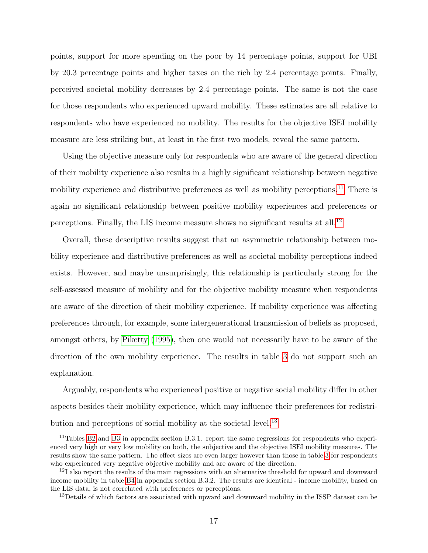points, support for more spending on the poor by 14 percentage points, support for UBI by 20.3 percentage points and higher taxes on the rich by 2.4 percentage points. Finally, perceived societal mobility decreases by 2.4 percentage points. The same is not the case for those respondents who experienced upward mobility. These estimates are all relative to respondents who have experienced no mobility. The results for the objective ISEI mobility measure are less striking but, at least in the first two models, reveal the same pattern.

Using the objective measure only for respondents who are aware of the general direction of their mobility experience also results in a highly significant relationship between negative mobility experience and distributive preferences as well as mobility perceptions.<sup>[11](#page-17-0)</sup> There is again no significant relationship between positive mobility experiences and preferences or perceptions. Finally, the LIS income measure shows no significant results at all.[12](#page-17-1)

Overall, these descriptive results suggest that an asymmetric relationship between mobility experience and distributive preferences as well as societal mobility perceptions indeed exists. However, and maybe unsurprisingly, this relationship is particularly strong for the self-assessed measure of mobility and for the objective mobility measure when respondents are aware of the direction of their mobility experience. If mobility experience was affecting preferences through, for example, some intergenerational transmission of beliefs as proposed, amongst others, by [Piketty](#page-36-8) [\(1995\)](#page-36-8), then one would not necessarily have to be aware of the direction of the own mobility experience. The results in table [3](#page-16-0) do not support such an explanation.

Arguably, respondents who experienced positive or negative social mobility differ in other aspects besides their mobility experience, which may influence their preferences for redistri-bution and perceptions of social mobility at the societal level.<sup>[13](#page-17-2)</sup>

<span id="page-17-0"></span> $11$ Tables B<sub>2</sub> and B<sub>3</sub> in appendix section B.3.1. report the same regressions for respondents who experienced very high or very low mobility on both, the subjective and the objective ISEI mobility measures. The results show the same pattern. The effect sizes are even larger however than those in table [3](#page-16-0) for respondents who experienced very negative objective mobility and are aware of the direction.

<span id="page-17-1"></span><sup>&</sup>lt;sup>12</sup>I also report the results of the main regressions with an alternative threshold for upward and downward income mobility in table [B4](#page-46-0) in appendix section B.3.2. The results are identical - income mobility, based on the LIS data, is not correlated with preferences or perceptions.

<span id="page-17-2"></span><sup>&</sup>lt;sup>13</sup>Details of which factors are associated with upward and downward mobility in the ISSP dataset can be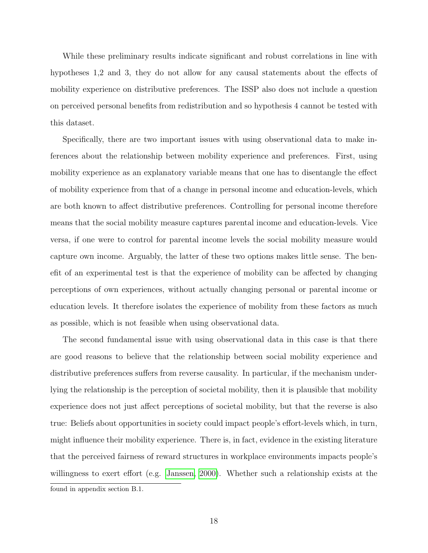While these preliminary results indicate significant and robust correlations in line with hypotheses 1,2 and 3, they do not allow for any causal statements about the effects of mobility experience on distributive preferences. The ISSP also does not include a question on perceived personal benefits from redistribution and so hypothesis 4 cannot be tested with this dataset.

Specifically, there are two important issues with using observational data to make inferences about the relationship between mobility experience and preferences. First, using mobility experience as an explanatory variable means that one has to disentangle the effect of mobility experience from that of a change in personal income and education-levels, which are both known to affect distributive preferences. Controlling for personal income therefore means that the social mobility measure captures parental income and education-levels. Vice versa, if one were to control for parental income levels the social mobility measure would capture own income. Arguably, the latter of these two options makes little sense. The benefit of an experimental test is that the experience of mobility can be affected by changing perceptions of own experiences, without actually changing personal or parental income or education levels. It therefore isolates the experience of mobility from these factors as much as possible, which is not feasible when using observational data.

The second fundamental issue with using observational data in this case is that there are good reasons to believe that the relationship between social mobility experience and distributive preferences suffers from reverse causality. In particular, if the mechanism underlying the relationship is the perception of societal mobility, then it is plausible that mobility experience does not just affect perceptions of societal mobility, but that the reverse is also true: Beliefs about opportunities in society could impact people's effort-levels which, in turn, might influence their mobility experience. There is, in fact, evidence in the existing literature that the perceived fairness of reward structures in workplace environments impacts people's willingness to exert effort (e.g. [Janssen, 2000\)](#page-35-16). Whether such a relationship exists at the found in appendix section B.1.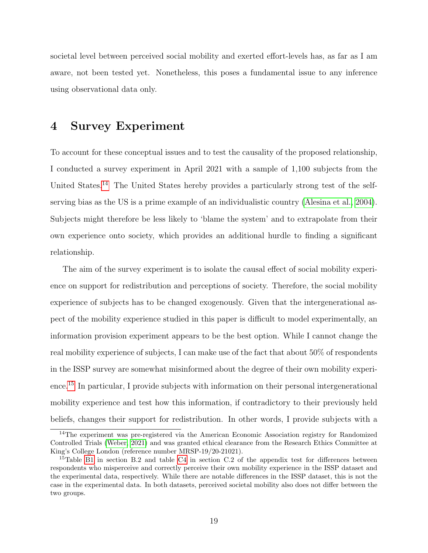societal level between perceived social mobility and exerted effort-levels has, as far as I am aware, not been tested yet. Nonetheless, this poses a fundamental issue to any inference using observational data only.

### <span id="page-19-0"></span>4 Survey Experiment

To account for these conceptual issues and to test the causality of the proposed relationship, I conducted a survey experiment in April 2021 with a sample of 1,100 subjects from the United States.<sup>[14](#page-19-1)</sup> The United States hereby provides a particularly strong test of the selfserving bias as the US is a prime example of an individualistic country [\(Alesina et al., 2004\)](#page-34-0). Subjects might therefore be less likely to 'blame the system' and to extrapolate from their own experience onto society, which provides an additional hurdle to finding a significant relationship.

The aim of the survey experiment is to isolate the causal effect of social mobility experience on support for redistribution and perceptions of society. Therefore, the social mobility experience of subjects has to be changed exogenously. Given that the intergenerational aspect of the mobility experience studied in this paper is difficult to model experimentally, an information provision experiment appears to be the best option. While I cannot change the real mobility experience of subjects, I can make use of the fact that about 50% of respondents in the ISSP survey are somewhat misinformed about the degree of their own mobility experience.[15](#page-19-2) In particular, I provide subjects with information on their personal intergenerational mobility experience and test how this information, if contradictory to their previously held beliefs, changes their support for redistribution. In other words, I provide subjects with a

<span id="page-19-1"></span><sup>&</sup>lt;sup>14</sup>The experiment was pre-registered via the American Economic Association registry for Randomized Controlled Trials [\(Weber, 2021\)](#page-36-0) and was granted ethical clearance from the Research Ethics Committee at King's College London (reference number MRSP-19/20-21021).

<span id="page-19-2"></span><sup>&</sup>lt;sup>15</sup>Table [B1](#page-43-0) in section B.2 and table [C4](#page-50-0) in section C.2 of the appendix test for differences between respondents who misperceive and correctly perceive their own mobility experience in the ISSP dataset and the experimental data, respectively. While there are notable differences in the ISSP dataset, this is not the case in the experimental data. In both datasets, perceived societal mobility also does not differ between the two groups.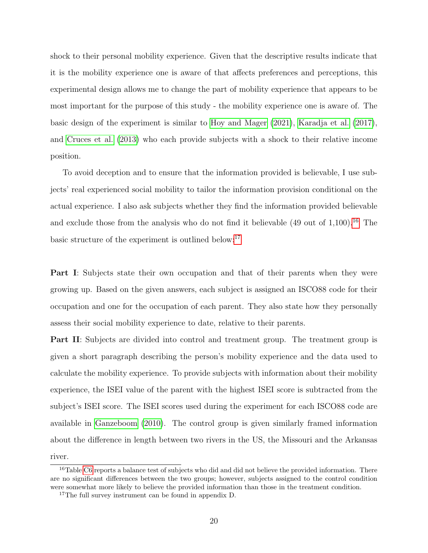shock to their personal mobility experience. Given that the descriptive results indicate that it is the mobility experience one is aware of that affects preferences and perceptions, this experimental design allows me to change the part of mobility experience that appears to be most important for the purpose of this study - the mobility experience one is aware of. The basic design of the experiment is similar to [Hoy and Mager](#page-35-5) [\(2021\)](#page-35-5), [Karadja et al.](#page-35-6) [\(2017\)](#page-35-6), and [Cruces et al.](#page-34-9) [\(2013\)](#page-34-9) who each provide subjects with a shock to their relative income position.

To avoid deception and to ensure that the information provided is believable, I use subjects' real experienced social mobility to tailor the information provision conditional on the actual experience. I also ask subjects whether they find the information provided believable and exclude those from the analysis who do not find it believable  $(49 \text{ out of } 1,100)$ .<sup>[16](#page-20-0)</sup> The basic structure of the experiment is outlined below:[17](#page-20-1)

Part I: Subjects state their own occupation and that of their parents when they were growing up. Based on the given answers, each subject is assigned an ISCO88 code for their occupation and one for the occupation of each parent. They also state how they personally assess their social mobility experience to date, relative to their parents.

Part II: Subjects are divided into control and treatment group. The treatment group is given a short paragraph describing the person's mobility experience and the data used to calculate the mobility experience. To provide subjects with information about their mobility experience, the ISEI value of the parent with the highest ISEI score is subtracted from the subject's ISEI score. The ISEI scores used during the experiment for each ISCO88 code are available in [Ganzeboom](#page-35-15) [\(2010\)](#page-35-15). The control group is given similarly framed information about the difference in length between two rivers in the US, the Missouri and the Arkansas river.

<span id="page-20-0"></span><sup>&</sup>lt;sup>16</sup>Table [C6](#page-53-0) reports a balance test of subjects who did and did not believe the provided information. There are no significant differences between the two groups; however, subjects assigned to the control condition were somewhat more likely to believe the provided information than those in the treatment condition.

<span id="page-20-1"></span><sup>&</sup>lt;sup>17</sup>The full survey instrument can be found in appendix D.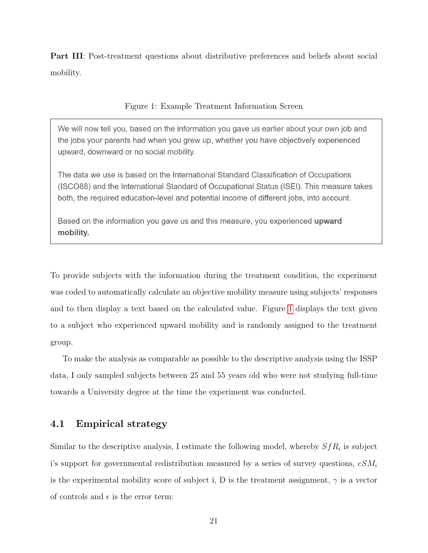Part III: Post-treatment questions about distributive preferences and beliefs about social mobility.

Figure 1: Example Treatment Information Screen

<span id="page-21-0"></span>We will now tell you, based on the information you gave us earlier about your own job and the jobs your parents had when you grew up, whether you have objectively experienced upward, downward or no social mobility.

The data we use is based on the International Standard Classification of Occupations (ISCO88) and the International Standard of Occupational Status (ISEI). This measure takes both, the required education-level and potential income of different jobs, into account.

Based on the information you gave us and this measure, you experienced **upward** mobility.

To provide subjects with the information during the treatment condition, the experiment was coded to automatically calculate an objective mobility measure using subjects' responses and to then display a text based on the calculated value. Figure [1](#page-21-0) displays the text given to a subject who experienced upward mobility and is randomly assigned to the treatment group.

To make the analysis as comparable as possible to the descriptive analysis using the ISSP data, I only sampled subjects between 25 and 55 years old who were not studying full-time towards a University degree at the time the experiment was conducted.

### 4.1 Empirical strategy

Similar to the descriptive analysis, I estimate the following model, whereby  $SfR_i$  is subject i's support for governmental redistribution measured by a series of survey questions,  $eSM_i$ is the experimental mobility score of subject i, D is the treatment assignment,  $\gamma$  is a vector of controls and  $\epsilon$  is the error term: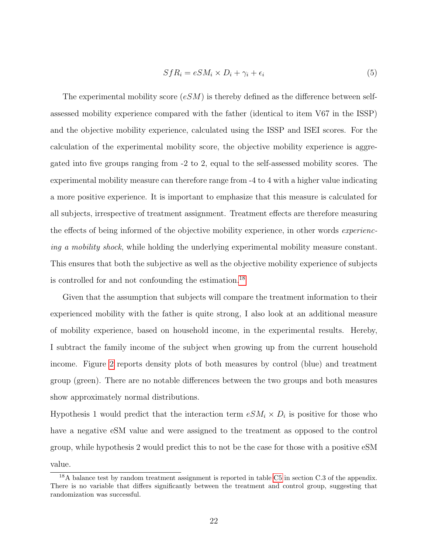$$
Sf_{i} = eSM_{i} \times D_{i} + \gamma_{i} + \epsilon_{i}
$$
\n
$$
(5)
$$

The experimental mobility score  $(eSM)$  is thereby defined as the difference between selfassessed mobility experience compared with the father (identical to item V67 in the ISSP) and the objective mobility experience, calculated using the ISSP and ISEI scores. For the calculation of the experimental mobility score, the objective mobility experience is aggregated into five groups ranging from -2 to 2, equal to the self-assessed mobility scores. The experimental mobility measure can therefore range from -4 to 4 with a higher value indicating a more positive experience. It is important to emphasize that this measure is calculated for all subjects, irrespective of treatment assignment. Treatment effects are therefore measuring the effects of being informed of the objective mobility experience, in other words experiencing a mobility shock, while holding the underlying experimental mobility measure constant. This ensures that both the subjective as well as the objective mobility experience of subjects is controlled for and not confounding the estimation.[18](#page-22-0)

Given that the assumption that subjects will compare the treatment information to their experienced mobility with the father is quite strong, I also look at an additional measure of mobility experience, based on household income, in the experimental results. Hereby, I subtract the family income of the subject when growing up from the current household income. Figure [2](#page-23-0) reports density plots of both measures by control (blue) and treatment group (green). There are no notable differences between the two groups and both measures show approximately normal distributions.

Hypothesis 1 would predict that the interaction term  $eSM_i \times D_i$  is positive for those who have a negative eSM value and were assigned to the treatment as opposed to the control group, while hypothesis 2 would predict this to not be the case for those with a positive eSM value.

<span id="page-22-0"></span><sup>&</sup>lt;sup>18</sup>A balance test by random treatment assignment is reported in table [C5](#page-52-0) in section C.3 of the appendix. There is no variable that differs significantly between the treatment and control group, suggesting that randomization was successful.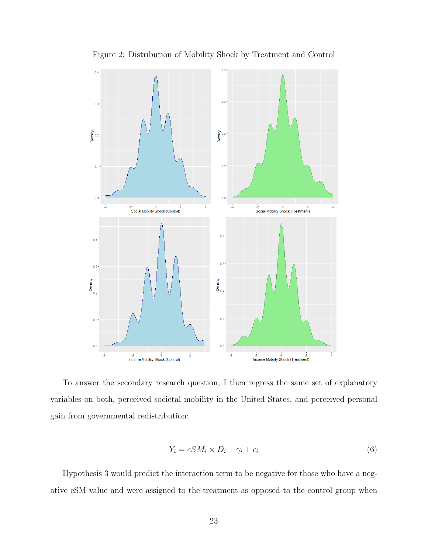<span id="page-23-0"></span>

Figure 2: Distribution of Mobility Shock by Treatment and Control

To answer the secondary research question, I then regress the same set of explanatory variables on both, perceived societal mobility in the United States, and perceived personal gain from governmental redistribution:

$$
Y_i = eS M_i \times D_i + \gamma_i + \epsilon_i \tag{6}
$$

Hypothesis 3 would predict the interaction term to be negative for those who have a negative eSM value and were assigned to the treatment as opposed to the control group when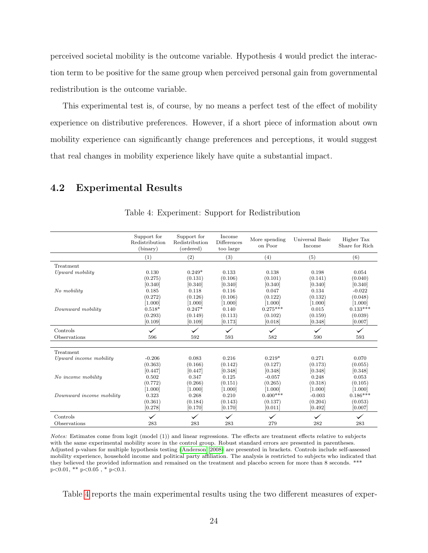perceived societal mobility is the outcome variable. Hypothesis 4 would predict the interaction term to be positive for the same group when perceived personal gain from governmental redistribution is the outcome variable.

This experimental test is, of course, by no means a perfect test of the effect of mobility experience on distributive preferences. However, if a short piece of information about own mobility experience can significantly change preferences and perceptions, it would suggest that real changes in mobility experience likely have quite a substantial impact.

### <span id="page-24-0"></span>4.2 Experimental Results

|                          | Support for<br>Redistribution<br>(binary) | Support for<br>Redistribution<br>(ordered) | Income<br>Differences<br>too large | More spending<br>on Poor | Universal Basic<br>Income | Higher Tax<br>Share for Rich |
|--------------------------|-------------------------------------------|--------------------------------------------|------------------------------------|--------------------------|---------------------------|------------------------------|
|                          | (1)                                       | (2)                                        | (3)                                | (4)                      | (5)                       | (6)                          |
| Treatment                |                                           |                                            |                                    |                          |                           |                              |
| Upward mobility          | 0.130                                     | $0.249*$                                   | 0.133                              | 0.138                    | 0.198                     | 0.054                        |
|                          | (0.275)                                   | (0.131)                                    | (0.106)                            | (0.101)                  | (0.141)                   | (0.040)                      |
|                          | [0.340]                                   | [0.340]                                    | [0.340]                            | [0.340]                  | [0.340]                   | [0.340]                      |
| No mobility              | 0.185                                     | 0.118                                      | 0.116                              | 0.047                    | 0.134                     | $-0.022$                     |
|                          | (0.272)                                   | (0.126)                                    | (0.106)                            | (0.122)                  | (0.132)                   | (0.048)                      |
|                          | [1.000]                                   | [1.000]                                    | [1.000]                            | [1.000]                  | [1.000]                   | [1.000]                      |
| Downward mobility        | $0.518*$                                  | $0.247*$                                   | 0.140                              | $0.275***$               | 0.015                     | $0.133***$                   |
|                          | (0.293)                                   | (0.149)                                    | (0.113)                            | (0.102)                  | (0.159)                   | (0.039)                      |
|                          | [0.109]                                   | [0.109]                                    | [0.173]                            | [0.018]                  | [0.348]                   | [0.007]                      |
| Controls                 |                                           |                                            |                                    |                          |                           |                              |
| Observations             | 596                                       | 592                                        | 593                                | 582                      | 590                       | 593                          |
| Treatment                |                                           |                                            |                                    |                          |                           |                              |
| Upward income mobility   | $-0.206$                                  | 0.083                                      | 0.216                              | $0.219*$                 | 0.271                     | 0.070                        |
|                          | (0.363)                                   | (0.166)                                    | (0.142)                            | (0.127)                  | (0.173)                   | (0.055)                      |
|                          | [0.447]                                   | [0.447]                                    | [0.348]                            | [0.348]                  | [0.348]                   | [0.348]                      |
| No income mobility       | 0.502                                     | 0.347                                      | 0.125                              | $-0.057$                 | 0.248                     | 0.053                        |
|                          | (0.772)                                   | (0.266)                                    | (0.151)                            | (0.265)                  | (0.318)                   | (0.105)                      |
|                          | [1.000]                                   | [1.000]                                    | [1.000]                            | [1.000]                  | [1.000]                   | [1.000]                      |
| Downward income mobility | 0.323                                     | 0.268                                      | 0.210                              | $0.400***$               | $-0.003$                  | $0.186***$                   |
|                          | (0.361)                                   | (0.184)                                    | (0.143)                            | (0.137)                  | (0.204)                   | (0.053)                      |
|                          | [0.278]                                   | [0.170]                                    | [0.170]                            | [0.011]                  | [0.492]                   | [0.007]                      |
| Controls                 |                                           |                                            | $\checkmark$                       | $\checkmark$             |                           | $\checkmark$                 |
| Observations             | 283                                       | 283                                        | 283                                | 279                      | 282                       | 283                          |

Table 4: Experiment: Support for Redistribution

Notes: Estimates come from logit (model (1)) and linear regressions. The effects are treatment effects relative to subjects with the same experimental mobility score in the control group. Robust standard errors are presented in parentheses. Adjusted p-values for multiple hypothesis testing [\(Anderson, 2008\)](#page-34-16) are presented in brackets. Controls include self-assessed mobility experience, household income and political party affiliation. The analysis is restricted to subjects who indicated that they believed the provided information and remained on the treatment and placebo screen for more than 8 seconds. \*\*\*  $p<0.01$ , \*\*  $p<0.05$ , \*  $p<0.1$ .

Table [4](#page-24-0) reports the main experimental results using the two different measures of exper-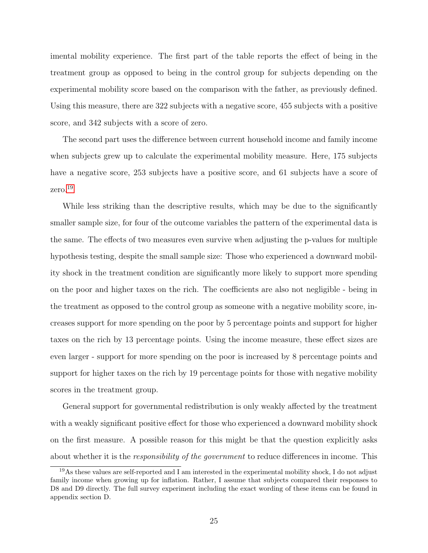imental mobility experience. The first part of the table reports the effect of being in the treatment group as opposed to being in the control group for subjects depending on the experimental mobility score based on the comparison with the father, as previously defined. Using this measure, there are 322 subjects with a negative score, 455 subjects with a positive score, and 342 subjects with a score of zero.

The second part uses the difference between current household income and family income when subjects grew up to calculate the experimental mobility measure. Here, 175 subjects have a negative score, 253 subjects have a positive score, and 61 subjects have a score of zero.[19](#page-25-0)

While less striking than the descriptive results, which may be due to the significantly smaller sample size, for four of the outcome variables the pattern of the experimental data is the same. The effects of two measures even survive when adjusting the p-values for multiple hypothesis testing, despite the small sample size: Those who experienced a downward mobility shock in the treatment condition are significantly more likely to support more spending on the poor and higher taxes on the rich. The coefficients are also not negligible - being in the treatment as opposed to the control group as someone with a negative mobility score, increases support for more spending on the poor by 5 percentage points and support for higher taxes on the rich by 13 percentage points. Using the income measure, these effect sizes are even larger - support for more spending on the poor is increased by 8 percentage points and support for higher taxes on the rich by 19 percentage points for those with negative mobility scores in the treatment group.

General support for governmental redistribution is only weakly affected by the treatment with a weakly significant positive effect for those who experienced a downward mobility shock on the first measure. A possible reason for this might be that the question explicitly asks about whether it is the *responsibility of the government* to reduce differences in income. This

<span id="page-25-0"></span><sup>19</sup>As these values are self-reported and I am interested in the experimental mobility shock, I do not adjust family income when growing up for inflation. Rather, I assume that subjects compared their responses to D8 and D9 directly. The full survey experiment including the exact wording of these items can be found in appendix section D.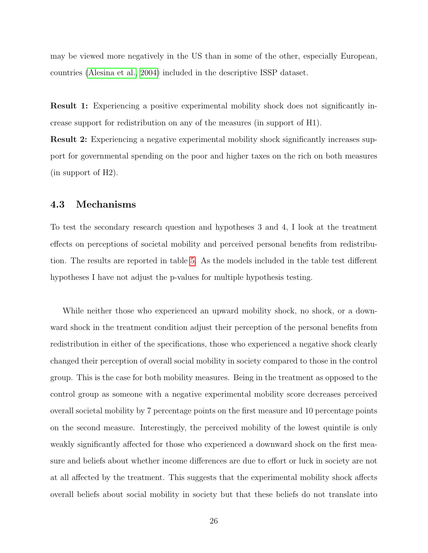may be viewed more negatively in the US than in some of the other, especially European, countries [\(Alesina et al., 2004\)](#page-34-0) included in the descriptive ISSP dataset.

Result 1: Experiencing a positive experimental mobility shock does not significantly increase support for redistribution on any of the measures (in support of H1).

Result 2: Experiencing a negative experimental mobility shock significantly increases support for governmental spending on the poor and higher taxes on the rich on both measures (in support of H2).

### 4.3 Mechanisms

To test the secondary research question and hypotheses 3 and 4, I look at the treatment effects on perceptions of societal mobility and perceived personal benefits from redistribution. The results are reported in table [5.](#page-27-0) As the models included in the table test different hypotheses I have not adjust the p-values for multiple hypothesis testing.

While neither those who experienced an upward mobility shock, no shock, or a downward shock in the treatment condition adjust their perception of the personal benefits from redistribution in either of the specifications, those who experienced a negative shock clearly changed their perception of overall social mobility in society compared to those in the control group. This is the case for both mobility measures. Being in the treatment as opposed to the control group as someone with a negative experimental mobility score decreases perceived overall societal mobility by 7 percentage points on the first measure and 10 percentage points on the second measure. Interestingly, the perceived mobility of the lowest quintile is only weakly significantly affected for those who experienced a downward shock on the first measure and beliefs about whether income differences are due to effort or luck in society are not at all affected by the treatment. This suggests that the experimental mobility shock affects overall beliefs about social mobility in society but that these beliefs do not translate into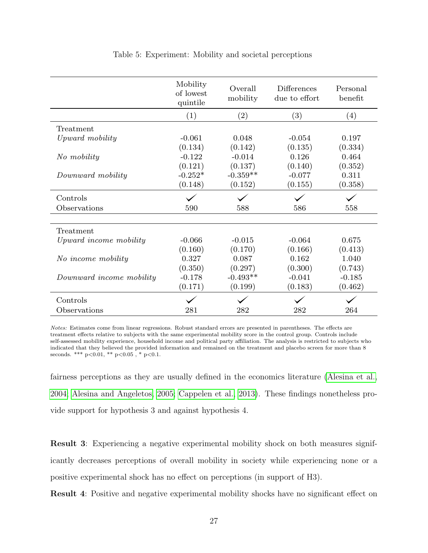<span id="page-27-0"></span>

|                          | Mobility<br>of lowest<br>quintile | Overall<br>mobility | Differences<br>due to effort | Personal<br>benefit |
|--------------------------|-----------------------------------|---------------------|------------------------------|---------------------|
|                          | (1)                               | $\left( 2\right)$   | (3)                          | (4)                 |
| Treatment                |                                   |                     |                              |                     |
| Upward mobility          | $-0.061$                          | 0.048               | $-0.054$                     | 0.197               |
|                          | (0.134)                           | (0.142)             | (0.135)                      | (0.334)             |
| No mobility              | $-0.122$                          | $-0.014$            | 0.126                        | 0.464               |
|                          | (0.121)                           | (0.137)             | (0.140)                      | (0.352)             |
| Downward mobility        | $-0.252*$                         | $-0.359**$          | $-0.077$                     | 0.311               |
|                          | (0.148)                           | (0.152)             | (0.155)                      | (0.358)             |
| Controls                 |                                   |                     |                              |                     |
| Observations             | 590                               | 588                 | 586                          | 558                 |
|                          |                                   |                     |                              |                     |
| Treatment                |                                   |                     |                              |                     |
| Upward income mobility   | $-0.066$                          | $-0.015$            | $-0.064$                     | 0.675               |
|                          | (0.160)                           | (0.170)             | (0.166)                      | (0.413)             |
| No income mobility       | 0.327                             | 0.087               | 0.162                        | 1.040               |
|                          | (0.350)                           | (0.297)             | (0.300)                      | (0.743)             |
| Downward income mobility | $-0.178$                          | $-0.493**$          | $-0.041$                     | $-0.185$            |
|                          | (0.171)                           | (0.199)             | (0.183)                      | (0.462)             |
| Controls                 |                                   |                     |                              |                     |
| Observations             | 281                               | 282                 | 282                          | 264                 |

#### Table 5: Experiment: Mobility and societal perceptions

Notes: Estimates come from linear regressions. Robust standard errors are presented in parentheses. The effects are treatment effects relative to subjects with the same experimental mobility score in the control group. Controls include self-assessed mobility experience, household income and political party affiliation. The analysis is restricted to subjects who indicated that they believed the provided information and remained on the treatment and placebo screen for more than 8 seconds. \*\*\*  $p<0.01$ , \*\*  $p<0.05$ , \*  $p<0.1$ .

fairness perceptions as they are usually defined in the economics literature [\(Alesina et al.,](#page-34-0) [2004;](#page-34-0) [Alesina and Angeletos, 2005;](#page-34-1) [Cappelen et al., 2013\)](#page-34-2). These findings nonetheless provide support for hypothesis 3 and against hypothesis 4.

Result 3: Experiencing a negative experimental mobility shock on both measures significantly decreases perceptions of overall mobility in society while experiencing none or a positive experimental shock has no effect on perceptions (in support of H3).

Result 4: Positive and negative experimental mobility shocks have no significant effect on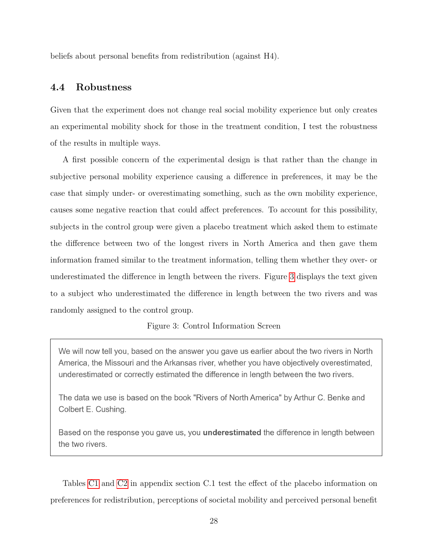beliefs about personal benefits from redistribution (against H4).

### 4.4 Robustness

Given that the experiment does not change real social mobility experience but only creates an experimental mobility shock for those in the treatment condition, I test the robustness of the results in multiple ways.

A first possible concern of the experimental design is that rather than the change in subjective personal mobility experience causing a difference in preferences, it may be the case that simply under- or overestimating something, such as the own mobility experience, causes some negative reaction that could affect preferences. To account for this possibility, subjects in the control group were given a placebo treatment which asked them to estimate the difference between two of the longest rivers in North America and then gave them information framed similar to the treatment information, telling them whether they over- or underestimated the difference in length between the rivers. Figure [3](#page-28-0) displays the text given to a subject who underestimated the difference in length between the two rivers and was randomly assigned to the control group.

#### Figure 3: Control Information Screen

<span id="page-28-0"></span>We will now tell you, based on the answer you gave us earlier about the two rivers in North America, the Missouri and the Arkansas river, whether you have objectively overestimated, underestimated or correctly estimated the difference in length between the two rivers.

The data we use is based on the book "Rivers of North America" by Arthur C. Benke and Colbert E. Cushing.

Based on the response you gave us, you **underestimated** the difference in length between the two rivers.

Tables [C1](#page-47-0) and [C2](#page-48-0) in appendix section C.1 test the effect of the placebo information on preferences for redistribution, perceptions of societal mobility and perceived personal benefit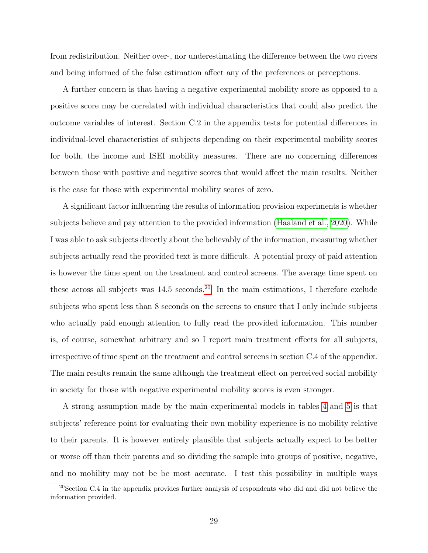from redistribution. Neither over-, nor underestimating the difference between the two rivers and being informed of the false estimation affect any of the preferences or perceptions.

A further concern is that having a negative experimental mobility score as opposed to a positive score may be correlated with individual characteristics that could also predict the outcome variables of interest. Section C.2 in the appendix tests for potential differences in individual-level characteristics of subjects depending on their experimental mobility scores for both, the income and ISEI mobility measures. There are no concerning differences between those with positive and negative scores that would affect the main results. Neither is the case for those with experimental mobility scores of zero.

A significant factor influencing the results of information provision experiments is whether subjects believe and pay attention to the provided information [\(Haaland et al., 2020\)](#page-35-17). While I was able to ask subjects directly about the believably of the information, measuring whether subjects actually read the provided text is more difficult. A potential proxy of paid attention is however the time spent on the treatment and control screens. The average time spent on these across all subjects was 14.5 seconds.[20](#page-29-0) In the main estimations, I therefore exclude subjects who spent less than 8 seconds on the screens to ensure that I only include subjects who actually paid enough attention to fully read the provided information. This number is, of course, somewhat arbitrary and so I report main treatment effects for all subjects, irrespective of time spent on the treatment and control screens in section C.4 of the appendix. The main results remain the same although the treatment effect on perceived social mobility in society for those with negative experimental mobility scores is even stronger.

A strong assumption made by the main experimental models in tables [4](#page-24-0) and [5](#page-27-0) is that subjects' reference point for evaluating their own mobility experience is no mobility relative to their parents. It is however entirely plausible that subjects actually expect to be better or worse off than their parents and so dividing the sample into groups of positive, negative, and no mobility may not be be most accurate. I test this possibility in multiple ways

<span id="page-29-0"></span><sup>&</sup>lt;sup>20</sup>Section C.4 in the appendix provides further analysis of respondents who did and did not believe the information provided.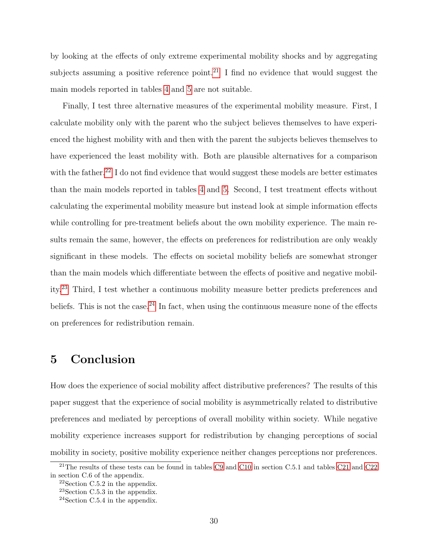by looking at the effects of only extreme experimental mobility shocks and by aggregating subjects assuming a positive reference point.<sup>[21](#page-30-1)</sup> I find no evidence that would suggest the main models reported in tables [4](#page-24-0) and [5](#page-27-0) are not suitable.

Finally, I test three alternative measures of the experimental mobility measure. First, I calculate mobility only with the parent who the subject believes themselves to have experienced the highest mobility with and then with the parent the subjects believes themselves to have experienced the least mobility with. Both are plausible alternatives for a comparison with the father.<sup>[22](#page-30-2)</sup> I do not find evidence that would suggest these models are better estimates than the main models reported in tables [4](#page-24-0) and [5.](#page-27-0) Second, I test treatment effects without calculating the experimental mobility measure but instead look at simple information effects while controlling for pre-treatment beliefs about the own mobility experience. The main results remain the same, however, the effects on preferences for redistribution are only weakly significant in these models. The effects on societal mobility beliefs are somewhat stronger than the main models which differentiate between the effects of positive and negative mobility.[23](#page-30-3) Third, I test whether a continuous mobility measure better predicts preferences and beliefs. This is not the case.<sup>[24](#page-30-4)</sup> In fact, when using the continuous measure none of the effects on preferences for redistribution remain.

## <span id="page-30-0"></span>5 Conclusion

How does the experience of social mobility affect distributive preferences? The results of this paper suggest that the experience of social mobility is asymmetrically related to distributive preferences and mediated by perceptions of overall mobility within society. While negative mobility experience increases support for redistribution by changing perceptions of social mobility in society, positive mobility experience neither changes perceptions nor preferences.

<span id="page-30-1"></span> $^{21}\mathrm{The}$  results of these tests can be found in tables [C9](#page-56-0) and [C10](#page-57-0) in section C.5.1 and tables [C21](#page-65-0) and [C22](#page-65-1) in section C.6 of the appendix.

<span id="page-30-2"></span><sup>22</sup>Section C.5.2 in the appendix.

<span id="page-30-3"></span><sup>23</sup>Section C.5.3 in the appendix.

<span id="page-30-4"></span><sup>24</sup>Section C.5.4 in the appendix.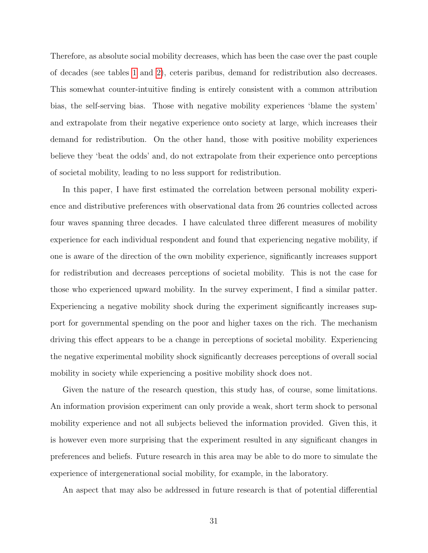Therefore, as absolute social mobility decreases, which has been the case over the past couple of decades (see tables [1](#page-13-0) and [2\)](#page-13-1), ceteris paribus, demand for redistribution also decreases. This somewhat counter-intuitive finding is entirely consistent with a common attribution bias, the self-serving bias. Those with negative mobility experiences 'blame the system' and extrapolate from their negative experience onto society at large, which increases their demand for redistribution. On the other hand, those with positive mobility experiences believe they 'beat the odds' and, do not extrapolate from their experience onto perceptions of societal mobility, leading to no less support for redistribution.

In this paper, I have first estimated the correlation between personal mobility experience and distributive preferences with observational data from 26 countries collected across four waves spanning three decades. I have calculated three different measures of mobility experience for each individual respondent and found that experiencing negative mobility, if one is aware of the direction of the own mobility experience, significantly increases support for redistribution and decreases perceptions of societal mobility. This is not the case for those who experienced upward mobility. In the survey experiment, I find a similar patter. Experiencing a negative mobility shock during the experiment significantly increases support for governmental spending on the poor and higher taxes on the rich. The mechanism driving this effect appears to be a change in perceptions of societal mobility. Experiencing the negative experimental mobility shock significantly decreases perceptions of overall social mobility in society while experiencing a positive mobility shock does not.

Given the nature of the research question, this study has, of course, some limitations. An information provision experiment can only provide a weak, short term shock to personal mobility experience and not all subjects believed the information provided. Given this, it is however even more surprising that the experiment resulted in any significant changes in preferences and beliefs. Future research in this area may be able to do more to simulate the experience of intergenerational social mobility, for example, in the laboratory.

An aspect that may also be addressed in future research is that of potential differential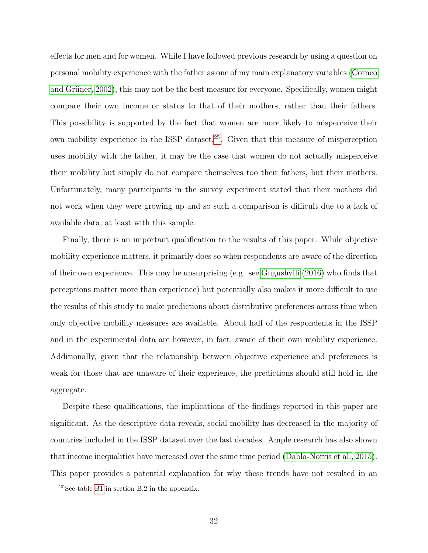effects for men and for women. While I have followed previous research by using a question on personal mobility experience with the father as one of my main explanatory variables [\(Corneo](#page-34-3) and Grüner, 2002), this may not be the best measure for everyone. Specifically, women might compare their own income or status to that of their mothers, rather than their fathers. This possibility is supported by the fact that women are more likely to misperceive their own mobility experience in the ISSP dataset.[25](#page-32-0). Given that this measure of misperception uses mobility with the father, it may be the case that women do not actually misperceive their mobility but simply do not compare themselves too their fathers, but their mothers. Unfortunately, many participants in the survey experiment stated that their mothers did not work when they were growing up and so such a comparison is difficult due to a lack of available data, at least with this sample.

Finally, there is an important qualification to the results of this paper. While objective mobility experience matters, it primarily does so when respondents are aware of the direction of their own experience. This may be unsurprising (e.g. see [Gugushvili](#page-35-18) [\(2016\)](#page-35-18) who finds that perceptions matter more than experience) but potentially also makes it more difficult to use the results of this study to make predictions about distributive preferences across time when only objective mobility measures are available. About half of the respondents in the ISSP and in the experimental data are however, in fact, aware of their own mobility experience. Additionally, given that the relationship between objective experience and preferences is weak for those that are unaware of their experience, the predictions should still hold in the aggregate.

Despite these qualifications, the implications of the findings reported in this paper are significant. As the descriptive data reveals, social mobility has decreased in the majority of countries included in the ISSP dataset over the last decades. Ample research has also shown that income inequalities have increased over the same time period [\(Dabla-Norris et al., 2015\)](#page-34-10).

This paper provides a potential explanation for why these trends have not resulted in an

<span id="page-32-0"></span><sup>25</sup>See table [B1](#page-43-0) in section B.2 in the appendix.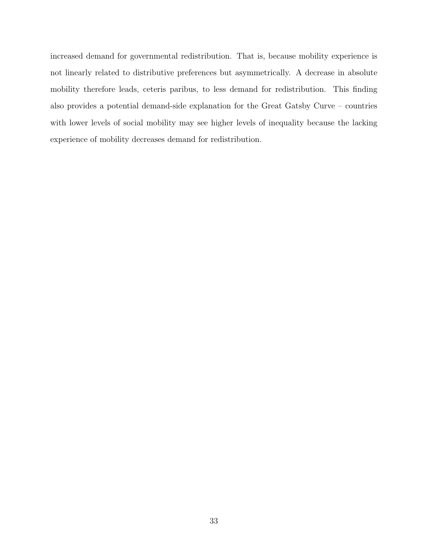increased demand for governmental redistribution. That is, because mobility experience is not linearly related to distributive preferences but asymmetrically. A decrease in absolute mobility therefore leads, ceteris paribus, to less demand for redistribution. This finding also provides a potential demand-side explanation for the Great Gatsby Curve – countries with lower levels of social mobility may see higher levels of inequality because the lacking experience of mobility decreases demand for redistribution.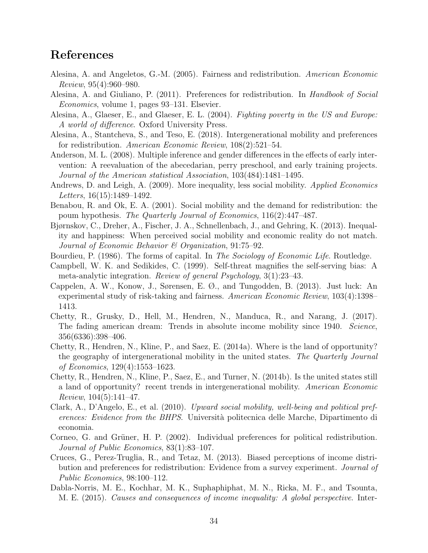### References

- <span id="page-34-1"></span>Alesina, A. and Angeletos, G.-M. (2005). Fairness and redistribution. American Economic Review, 95(4):960–980.
- <span id="page-34-8"></span>Alesina, A. and Giuliano, P. (2011). Preferences for redistribution. In Handbook of Social Economics, volume 1, pages 93–131. Elsevier.
- <span id="page-34-0"></span>Alesina, A., Glaeser, E., and Glaeser, E. L. (2004). Fighting poverty in the US and Europe: A world of difference. Oxford University Press.
- <span id="page-34-5"></span>Alesina, A., Stantcheva, S., and Teso, E. (2018). Intergenerational mobility and preferences for redistribution. American Economic Review, 108(2):521–54.
- <span id="page-34-16"></span>Anderson, M. L. (2008). Multiple inference and gender differences in the effects of early intervention: A reevaluation of the abecedarian, perry preschool, and early training projects. Journal of the American statistical Association, 103(484):1481–1495.
- <span id="page-34-15"></span>Andrews, D. and Leigh, A. (2009). More inequality, less social mobility. *Applied Economics* Letters, 16(15):1489–1492.
- <span id="page-34-12"></span>Benabou, R. and Ok, E. A. (2001). Social mobility and the demand for redistribution: the poum hypothesis. The Quarterly Journal of Economics, 116(2):447–487.
- <span id="page-34-4"></span>Bjørnskov, C., Dreher, A., Fischer, J. A., Schnellenbach, J., and Gehring, K. (2013). Inequality and happiness: When perceived social mobility and economic reality do not match. Journal of Economic Behavior & Organization, 91:75–92.
- Bourdieu, P. (1986). The forms of capital. In *The Sociology of Economic Life*. Routledge.
- <span id="page-34-7"></span>Campbell, W. K. and Sedikides, C. (1999). Self-threat magnifies the self-serving bias: A meta-analytic integration. Review of general Psychology, 3(1):23–43.
- <span id="page-34-2"></span>Cappelen, A. W., Konow, J., Sørensen, E. Ø., and Tungodden, B. (2013). Just luck: An experimental study of risk-taking and fairness. American Economic Review, 103(4):1398– 1413.
- <span id="page-34-14"></span>Chetty, R., Grusky, D., Hell, M., Hendren, N., Manduca, R., and Narang, J. (2017). The fading american dream: Trends in absolute income mobility since 1940. Science, 356(6336):398–406.
- <span id="page-34-11"></span>Chetty, R., Hendren, N., Kline, P., and Saez, E. (2014a). Where is the land of opportunity? the geography of intergenerational mobility in the united states. The Quarterly Journal of Economics, 129(4):1553–1623.
- <span id="page-34-13"></span>Chetty, R., Hendren, N., Kline, P., Saez, E., and Turner, N. (2014b). Is the united states still a land of opportunity? recent trends in intergenerational mobility. American Economic *Review*,  $104(5):141-47$ .
- <span id="page-34-6"></span>Clark, A., D'Angelo, E., et al. (2010). Upward social mobility, well-being and political preferences: Evidence from the BHPS. Università politecnica delle Marche, Dipartimento di economia.
- <span id="page-34-3"></span>Corneo, G. and Grüner, H. P. (2002). Individual preferences for political redistribution. Journal of Public Economics, 83(1):83–107.
- <span id="page-34-9"></span>Cruces, G., Perez-Truglia, R., and Tetaz, M. (2013). Biased perceptions of income distribution and preferences for redistribution: Evidence from a survey experiment. *Journal of* Public Economics, 98:100–112.
- <span id="page-34-10"></span>Dabla-Norris, M. E., Kochhar, M. K., Suphaphiphat, M. N., Ricka, M. F., and Tsounta, M. E. (2015). Causes and consequences of income inequality: A global perspective. Inter-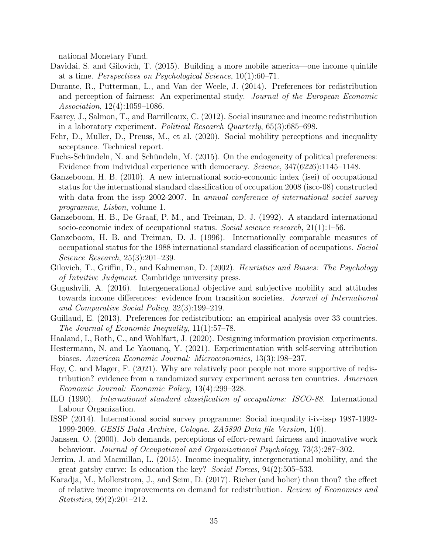national Monetary Fund.

- <span id="page-35-0"></span>Davidai, S. and Gilovich, T. (2015). Building a more mobile america—one income quintile at a time. Perspectives on Psychological Science, 10(1):60–71.
- <span id="page-35-8"></span>Durante, R., Putterman, L., and Van der Weele, J. (2014). Preferences for redistribution and perception of fairness: An experimental study. Journal of the European Economic Association, 12(4):1059–1086.
- <span id="page-35-9"></span>Esarey, J., Salmon, T., and Barrilleaux, C. (2012). Social insurance and income redistribution in a laboratory experiment. Political Research Quarterly, 65(3):685–698.
- <span id="page-35-10"></span>Fehr, D., Muller, D., Preuss, M., et al. (2020). Social mobility perceptions and inequality acceptance. Technical report.
- <span id="page-35-11"></span>Fuchs-Schündeln, N. and Schündeln, M. (2015). On the endogeneity of political preferences: Evidence from individual experience with democracy. Science, 347(6226):1145–1148.
- <span id="page-35-15"></span>Ganzeboom, H. B. (2010). A new international socio-economic index (isei) of occupational status for the international standard classification of occupation 2008 (isco-08) constructed with data from the issp 2002-2007. In annual conference of international social survey programme, Lisbon, volume 1.
- <span id="page-35-13"></span>Ganzeboom, H. B., De Graaf, P. M., and Treiman, D. J. (1992). A standard international socio-economic index of occupational status. Social science research,  $21(1)$ :1–56.
- <span id="page-35-14"></span>Ganzeboom, H. B. and Treiman, D. J. (1996). Internationally comparable measures of occupational status for the 1988 international standard classification of occupations. Social Science Research, 25(3):201–239.
- <span id="page-35-2"></span>Gilovich, T., Griffin, D., and Kahneman, D. (2002). *Heuristics and Biases: The Psychology* of Intuitive Judgment. Cambridge university press.
- <span id="page-35-18"></span>Gugushvili, A. (2016). Intergenerational objective and subjective mobility and attitudes towards income differences: evidence from transition societies. Journal of International and Comparative Social Policy, 32(3):199–219.
- <span id="page-35-1"></span>Guillaud, E. (2013). Preferences for redistribution: an empirical analysis over 33 countries. The Journal of Economic Inequality, 11(1):57–78.
- <span id="page-35-17"></span>Haaland, I., Roth, C., and Wohlfart, J. (2020). Designing information provision experiments.
- <span id="page-35-3"></span>Hestermann, N. and Le Yaouanq, Y. (2021). Experimentation with self-serving attribution biases. American Economic Journal: Microeconomics, 13(3):198–237.
- <span id="page-35-5"></span>Hoy, C. and Mager, F. (2021). Why are relatively poor people not more supportive of redistribution? evidence from a randomized survey experiment across ten countries. American Economic Journal: Economic Policy, 13(4):299–328.
- <span id="page-35-12"></span>ILO (1990). International standard classification of occupations: ISCO-88. International Labour Organization.
- <span id="page-35-4"></span>ISSP (2014). International social survey programme: Social inequality i-iv-issp 1987-1992- 1999-2009. GESIS Data Archive, Cologne. ZA5890 Data file Version, 1(0).
- <span id="page-35-16"></span>Janssen, O. (2000). Job demands, perceptions of effort-reward fairness and innovative work behaviour. Journal of Occupational and Organizational Psychology, 73(3):287–302.
- <span id="page-35-7"></span>Jerrim, J. and Macmillan, L. (2015). Income inequality, intergenerational mobility, and the great gatsby curve: Is education the key? Social Forces, 94(2):505–533.
- <span id="page-35-6"></span>Karadja, M., Mollerstrom, J., and Seim, D. (2017). Richer (and holier) than thou? the effect of relative income improvements on demand for redistribution. Review of Economics and Statistics, 99(2):201–212.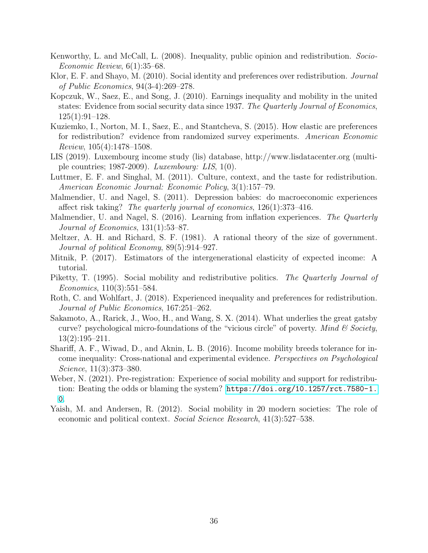- Kenworthy, L. and McCall, L. (2008). Inequality, public opinion and redistribution. Socio-Economic Review, 6(1):35–68.
- Klor, E. F. and Shayo, M. (2010). Social identity and preferences over redistribution. Journal of Public Economics, 94(3-4):269–278.
- Kopczuk, W., Saez, E., and Song, J. (2010). Earnings inequality and mobility in the united states: Evidence from social security data since 1937. The Quarterly Journal of Economics, 125(1):91–128.
- Kuziemko, I., Norton, M. I., Saez, E., and Stantcheva, S. (2015). How elastic are preferences for redistribution? evidence from randomized survey experiments. American Economic Review, 105(4):1478–1508.
- LIS (2019). Luxembourg income study (lis) database, http://www.lisdatacenter.org (multiple countries; 1987-2009). Luxembourg: LIS, 1(0).
- Luttmer, E. F. and Singhal, M. (2011). Culture, context, and the taste for redistribution. American Economic Journal: Economic Policy, 3(1):157–79.
- Malmendier, U. and Nagel, S. (2011). Depression babies: do macroeconomic experiences affect risk taking? The quarterly journal of economics, 126(1):373–416.
- Malmendier, U. and Nagel, S. (2016). Learning from inflation experiences. The Quarterly Journal of Economics, 131(1):53–87.
- Meltzer, A. H. and Richard, S. F. (1981). A rational theory of the size of government. Journal of political Economy, 89(5):914–927.
- Mitnik, P. (2017). Estimators of the intergenerational elasticity of expected income: A tutorial.
- Piketty, T. (1995). Social mobility and redistributive politics. The Quarterly Journal of Economics, 110(3):551–584.
- Roth, C. and Wohlfart, J. (2018). Experienced inequality and preferences for redistribution. Journal of Public Economics, 167:251–262.
- Sakamoto, A., Rarick, J., Woo, H., and Wang, S. X. (2014). What underlies the great gatsby curve? psychological micro-foundations of the "vicious circle" of poverty. Mind  $\mathcal C$  Society, 13(2):195–211.
- Shariff, A. F., Wiwad, D., and Aknin, L. B. (2016). Income mobility breeds tolerance for income inequality: Cross-national and experimental evidence. Perspectives on Psychological Science, 11(3):373–380.
- Weber, N. (2021). Pre-registration: Experience of social mobility and support for redistribution: Beating the odds or blaming the system? [https://doi.org/10.1257/rct.7580-1.](https://doi.org/10.1257/rct.7580-1.0) [0](https://doi.org/10.1257/rct.7580-1.0).
- Yaish, M. and Andersen, R. (2012). Social mobility in 20 modern societies: The role of economic and political context. Social Science Research, 41(3):527–538.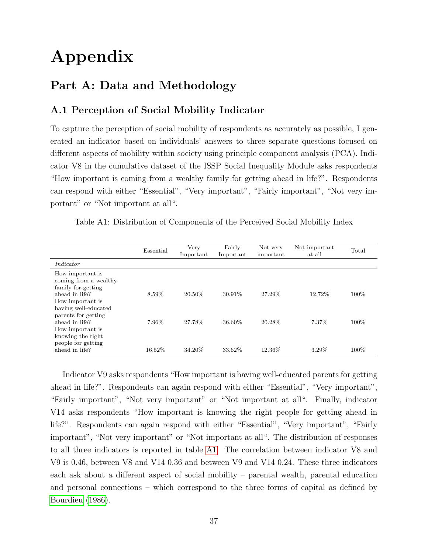# Appendix

# Part A: Data and Methodology

# A.1 Perception of Social Mobility Indicator

To capture the perception of social mobility of respondents as accurately as possible, I generated an indicator based on individuals' answers to three separate questions focused on different aspects of mobility within society using principle component analysis (PCA). Indicator V8 in the cumulative dataset of the ISSP Social Inequality Module asks respondents "How important is coming from a wealthy family for getting ahead in life?". Respondents can respond with either "Essential", "Very important", "Fairly important", "Not very important" or "Not important at all".

<span id="page-37-0"></span>Table A1: Distribution of Components of the Perceived Social Mobility Index

|                                                                                                                                                      | Essential | Very<br>Important | Fairly<br>Important | Not very<br>important | Not important<br>at all | Total |
|------------------------------------------------------------------------------------------------------------------------------------------------------|-----------|-------------------|---------------------|-----------------------|-------------------------|-------|
| Indicator                                                                                                                                            |           |                   |                     |                       |                         |       |
| How important is<br>coming from a wealthy<br>family for getting<br>ahead in life?<br>How important is<br>having well-educated<br>parents for getting | 8.59%     | $20.50\%$         | $30.91\%$           | 27.29%                | 12.72%                  | 100%  |
| ahead in life?<br>How important is<br>knowing the right<br>people for getting                                                                        | 7.96%     | 27.78%            | 36.60%              | 20.28\%               | 7.37\%                  | 100%  |
| ahead in life?                                                                                                                                       | 16.52%    | 34.20%            | 33.62%              | 12.36%                | 3.29%                   | 100%  |

Indicator V9 asks respondents "How important is having well-educated parents for getting ahead in life?". Respondents can again respond with either "Essential", "Very important", "Fairly important", "Not very important" or "Not important at all". Finally, indicator V14 asks respondents "How important is knowing the right people for getting ahead in life?". Respondents can again respond with either "Essential", "Very important", "Fairly important", "Not very important" or "Not important at all". The distribution of responses to all three indicators is reported in table [A1.](#page-37-0) The correlation between indicator V8 and V9 is 0.46, between V8 and V14 0.36 and between V9 and V14 0.24. These three indicators each ask about a different aspect of social mobility – parental wealth, parental education and personal connections – which correspond to the three forms of capital as defined by [Bourdieu](#page-34-0) [\(1986\)](#page-34-0).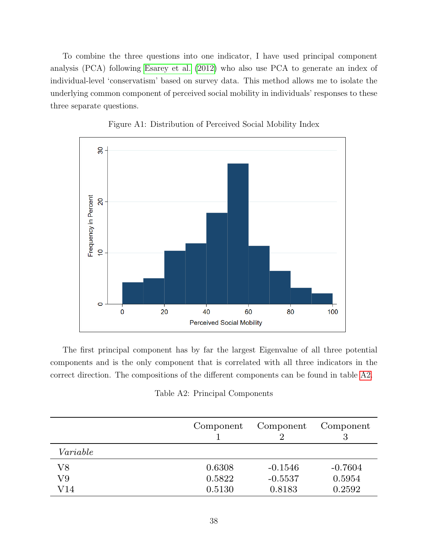To combine the three questions into one indicator, I have used principal component analysis (PCA) following [Esarey et al.](#page-35-0) [\(2012\)](#page-35-0) who also use PCA to generate an index of individual-level 'conservatism' based on survey data. This method allows me to isolate the underlying common component of perceived social mobility in individuals' responses to these three separate questions.

<span id="page-38-1"></span>



The first principal component has by far the largest Eigenvalue of all three potential components and is the only component that is correlated with all three indicators in the correct direction. The compositions of the different components can be found in table [A2.](#page-38-0)

<span id="page-38-0"></span>

|             | Component | Component | Component<br>3 |
|-------------|-----------|-----------|----------------|
| Variable    |           |           |                |
| ${\rm V8}$  | 0.6308    | $-0.1546$ | $-0.7604$      |
| V9          | 0.5822    | $-0.5537$ | 0.5954         |
| ${\rm V14}$ | 0.5130    | 0.8183    | 0.2592         |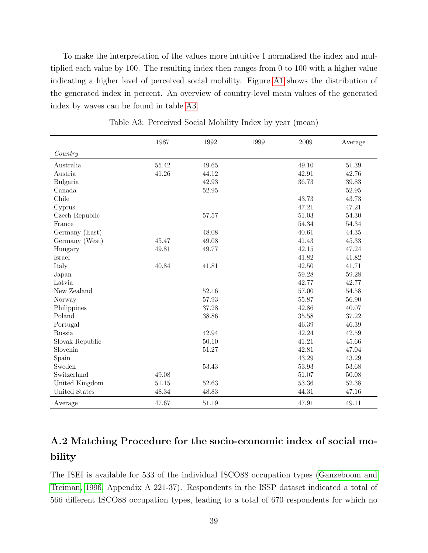To make the interpretation of the values more intuitive I normalised the index and multiplied each value by 100. The resulting index then ranges from 0 to 100 with a higher value indicating a higher level of perceived social mobility. Figure [A1](#page-38-1) shows the distribution of the generated index in percent. An overview of country-level mean values of the generated index by waves can be found in table [A3.](#page-39-0)

<span id="page-39-0"></span>

|                 | 1987  | 1992  | 1999 | 2009  | Average |
|-----------------|-------|-------|------|-------|---------|
| Country         |       |       |      |       |         |
| Australia       | 55.42 | 49.65 |      | 49.10 | 51.39   |
| Austria         | 41.26 | 44.12 |      | 42.91 | 42.76   |
| Bulgaria        |       | 42.93 |      | 36.73 | 39.83   |
| Canada          |       | 52.95 |      |       | 52.95   |
| Chile           |       |       |      | 43.73 | 43.73   |
| Cyprus          |       |       |      | 47.21 | 47.21   |
| Czech Republic  |       | 57.57 |      | 51.03 | 54.30   |
| France          |       |       |      | 54.34 | 54.34   |
| Germany (East)  |       | 48.08 |      | 40.61 | 44.35   |
| Germany (West)  | 45.47 | 49.08 |      | 41.43 | 45.33   |
| Hungary         | 49.81 | 49.77 |      | 42.15 | 47.24   |
| Israel          |       |       |      | 41.82 | 41.82   |
| Italy           | 40.84 | 41.81 |      | 42.50 | 41.71   |
| Japan           |       |       |      | 59.28 | 59.28   |
| Latvia          |       |       |      | 42.77 | 42.77   |
| New Zealand     |       | 52.16 |      | 57.00 | 54.58   |
| Norway          |       | 57.93 |      | 55.87 | 56.90   |
| Philippines     |       | 37.28 |      | 42.86 | 40.07   |
| Poland          |       | 38.86 |      | 35.58 | 37.22   |
| Portugal        |       |       |      | 46.39 | 46.39   |
| Russia          |       | 42.94 |      | 42.24 | 42.59   |
| Slovak Republic |       | 50.10 |      | 41.21 | 45.66   |
| Slovenia        |       | 51.27 |      | 42.81 | 47.04   |
| Spain           |       |       |      | 43.29 | 43.29   |
| Sweden          |       | 53.43 |      | 53.93 | 53.68   |
| Switzerland     | 49.08 |       |      | 51.07 | 50.08   |
| United Kingdom  | 51.15 | 52.63 |      | 53.36 | 52.38   |
| United States   | 48.34 | 48.83 |      | 44.31 | 47.16   |
| Average         | 47.67 | 51.19 |      | 47.91 | 49.11   |

Table A3: Perceived Social Mobility Index by year (mean)

# A.2 Matching Procedure for the socio-economic index of social mobility

The ISEI is available for 533 of the individual ISCO88 occupation types [\(Ganzeboom and](#page-35-1) [Treiman, 1996,](#page-35-1) Appendix A 221-37). Respondents in the ISSP dataset indicated a total of 566 different ISCO88 occupation types, leading to a total of 670 respondents for which no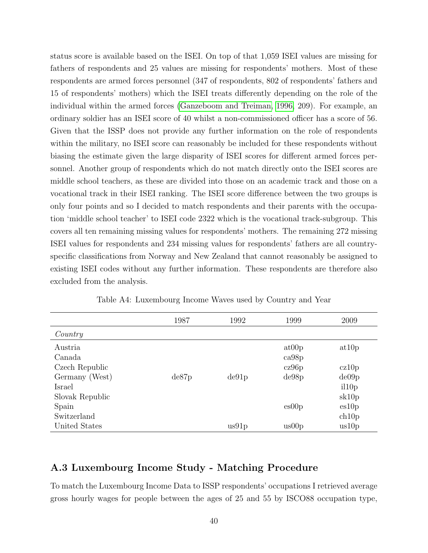status score is available based on the ISEI. On top of that 1,059 ISEI values are missing for fathers of respondents and 25 values are missing for respondents' mothers. Most of these respondents are armed forces personnel (347 of respondents, 802 of respondents' fathers and 15 of respondents' mothers) which the ISEI treats differently depending on the role of the individual within the armed forces [\(Ganzeboom and Treiman, 1996,](#page-35-1) 209). For example, an ordinary soldier has an ISEI score of 40 whilst a non-commissioned officer has a score of 56. Given that the ISSP does not provide any further information on the role of respondents within the military, no ISEI score can reasonably be included for these respondents without biasing the estimate given the large disparity of ISEI scores for different armed forces personnel. Another group of respondents which do not match directly onto the ISEI scores are middle school teachers, as these are divided into those on an academic track and those on a vocational track in their ISEI ranking. The ISEI score difference between the two groups is only four points and so I decided to match respondents and their parents with the occupation 'middle school teacher' to ISEI code 2322 which is the vocational track-subgroup. This covers all ten remaining missing values for respondents' mothers. The remaining 272 missing ISEI values for respondents and 234 missing values for respondents' fathers are all countryspecific classifications from Norway and New Zealand that cannot reasonably be assigned to existing ISEI codes without any further information. These respondents are therefore also excluded from the analysis.

<span id="page-40-0"></span>

|                 | 1987  | 1992  | 1999  | 2009   |
|-----------------|-------|-------|-------|--------|
| Country         |       |       |       |        |
| Austria         |       |       | at00p | at 10p |
| Canada          |       |       | ca98p |        |
| Czech Republic  |       |       | cz96p | cz10p  |
| Germany (West)  | de87p | de91p | de98p | de09p  |
| Israel          |       |       |       | il10p  |
| Slovak Republic |       |       |       | sk10p  |
| Spain           |       |       | es00p | es10p  |
| Switzerland     |       |       |       | ch10p  |
| United States   |       | us91p | us00p | us10p  |

Table A4: Luxembourg Income Waves used by Country and Year

# A.3 Luxembourg Income Study - Matching Procedure

To match the Luxembourg Income Data to ISSP respondents' occupations I retrieved average gross hourly wages for people between the ages of 25 and 55 by ISCO88 occupation type,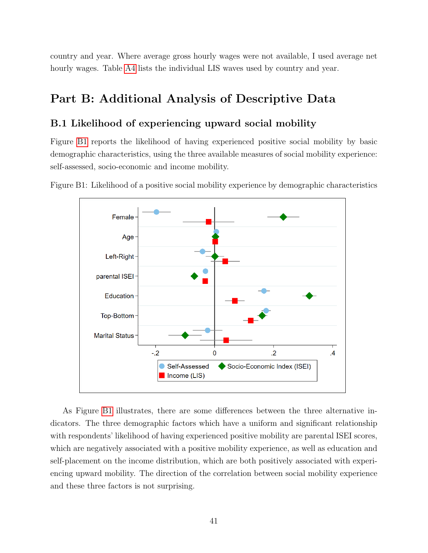country and year. Where average gross hourly wages were not available, I used average net hourly wages. Table [A4](#page-40-0) lists the individual LIS waves used by country and year.

# Part B: Additional Analysis of Descriptive Data

# B.1 Likelihood of experiencing upward social mobility

Figure [B1](#page-41-0) reports the likelihood of having experienced positive social mobility by basic demographic characteristics, using the three available measures of social mobility experience: self-assessed, socio-economic and income mobility.



<span id="page-41-0"></span>Figure B1: Likelihood of a positive social mobility experience by demographic characteristics

As Figure [B1](#page-41-0) illustrates, there are some differences between the three alternative indicators. The three demographic factors which have a uniform and significant relationship with respondents' likelihood of having experienced positive mobility are parental ISEI scores, which are negatively associated with a positive mobility experience, as well as education and self-placement on the income distribution, which are both positively associated with experiencing upward mobility. The direction of the correlation between social mobility experience and these three factors is not surprising.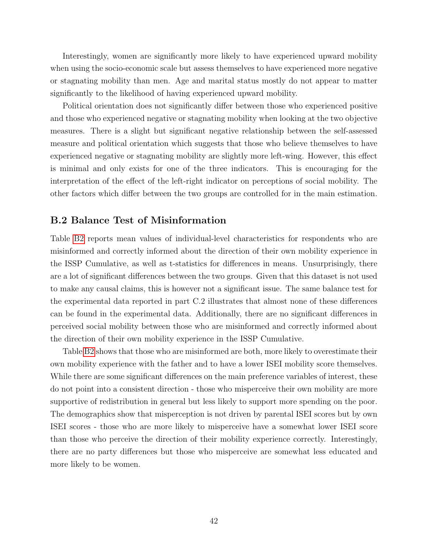Interestingly, women are significantly more likely to have experienced upward mobility when using the socio-economic scale but assess themselves to have experienced more negative or stagnating mobility than men. Age and marital status mostly do not appear to matter significantly to the likelihood of having experienced upward mobility.

Political orientation does not significantly differ between those who experienced positive and those who experienced negative or stagnating mobility when looking at the two objective measures. There is a slight but significant negative relationship between the self-assessed measure and political orientation which suggests that those who believe themselves to have experienced negative or stagnating mobility are slightly more left-wing. However, this effect is minimal and only exists for one of the three indicators. This is encouraging for the interpretation of the effect of the left-right indicator on perceptions of social mobility. The other factors which differ between the two groups are controlled for in the main estimation.

### B.2 Balance Test of Misinformation

Table [B2](#page-45-0) reports mean values of individual-level characteristics for respondents who are misinformed and correctly informed about the direction of their own mobility experience in the ISSP Cumulative, as well as t-statistics for differences in means. Unsurprisingly, there are a lot of significant differences between the two groups. Given that this dataset is not used to make any causal claims, this is however not a significant issue. The same balance test for the experimental data reported in part C.2 illustrates that almost none of these differences can be found in the experimental data. Additionally, there are no significant differences in perceived social mobility between those who are misinformed and correctly informed about the direction of their own mobility experience in the ISSP Cumulative.

Table [B2](#page-45-0) shows that those who are misinformed are both, more likely to overestimate their own mobility experience with the father and to have a lower ISEI mobility score themselves. While there are some significant differences on the main preference variables of interest, these do not point into a consistent direction - those who misperceive their own mobility are more supportive of redistribution in general but less likely to support more spending on the poor. The demographics show that misperception is not driven by parental ISEI scores but by own ISEI scores - those who are more likely to misperceive have a somewhat lower ISEI score than those who perceive the direction of their mobility experience correctly. Interestingly, there are no party differences but those who misperceive are somewhat less educated and more likely to be women.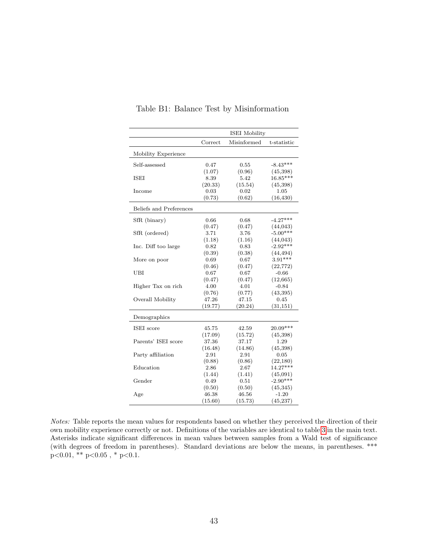|                         | <b>ISEI</b> Mobility |             |             |  |  |  |
|-------------------------|----------------------|-------------|-------------|--|--|--|
|                         | Correct              | Misinformed | t-statistic |  |  |  |
| Mobility Experience     |                      |             |             |  |  |  |
| Self-assessed           | 0.47                 | 0.55        | $-8.43***$  |  |  |  |
|                         | (1.07)               | (0.96)      | (45,398)    |  |  |  |
| ISEI                    | 8.39                 | 5.42        | $16.85***$  |  |  |  |
|                         | (20.33)              | (15.54)     | (45,398)    |  |  |  |
| Income                  | 0.03                 | 0.02        | 1.05        |  |  |  |
|                         | (0.73)               | (0.62)      | (16, 430)   |  |  |  |
| Beliefs and Preferences |                      |             |             |  |  |  |
| SfR (binary)            | 0.66                 | 0.68        | $-4.27***$  |  |  |  |
|                         | (0.47)               | (0.47)      | (44, 043)   |  |  |  |
| SfR (ordered)           | 3.71                 | 3.76        | $-5.00***$  |  |  |  |
|                         | (1.18)               | (1.16)      | (44, 043)   |  |  |  |
| Inc. Diff too large     | 0.82                 | 0.83        | $-2.92***$  |  |  |  |
|                         | (0.39)               | (0.38)      | (44, 494)   |  |  |  |
| More on poor            | 0.69                 | 0.67        | $3.91***$   |  |  |  |
|                         | (0.46)               | (0.47)      | (22, 772)   |  |  |  |
| UBI                     | 0.67                 | 0.67        | $-0.66$     |  |  |  |
|                         | (0.47)               | (0.47)      | (12, 665)   |  |  |  |
| Higher Tax on rich      | 4.00                 | 4.01        | $-0.84$     |  |  |  |
|                         | (0.76)               | (0.77)      | (43,395)    |  |  |  |
| Overall Mobility        | 47.26                | 47.15       | 0.45        |  |  |  |
|                         | (19.77)              | (20.24)     | (31, 151)   |  |  |  |
| Demographics            |                      |             |             |  |  |  |
| ISEI score              | 45.75                | 42.59       | 20.09***    |  |  |  |
|                         | (17.09)              | (15.72)     | (45,398)    |  |  |  |
| Parents' ISEI score     | 37.36                | 37.17       | 1.29        |  |  |  |
|                         | (16.48)              | (14.86)     | (45,398)    |  |  |  |
| Party affiliation       | 2.91                 | 2.91        | 0.05        |  |  |  |
|                         | (0.88)               | (0.86)      | (22, 180)   |  |  |  |
| Education               | 2.86                 | 2.67        | $14.27***$  |  |  |  |
|                         | (1.44)               | (1.41)      | (45,091)    |  |  |  |
| Gender                  | 0.49                 | 0.51        | $-2.90***$  |  |  |  |
|                         | (0.50)               | (0.50)      | (45,345)    |  |  |  |
| Age                     | 46.38                | 46.56       | $-1.20$     |  |  |  |
|                         | (15.60)              | (15.73)     | (45, 237)   |  |  |  |

#### Table B1: Balance Test by Misinformation

Notes: Table reports the mean values for respondents based on whether they perceived the direction of their own mobility experience correctly or not. Definitions of the variables are identical to table [3](#page-16-0) in the main text. Asterisks indicate significant differences in mean values between samples from a Wald test of significance (with degrees of freedom in parentheses). Standard deviations are below the means, in parentheses. \*\*\*  $p<0.01$ , \*\*  $p<0.05$ , \*  $p<0.1$ .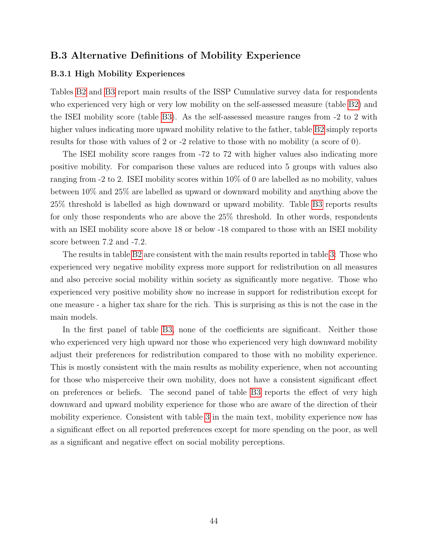## B.3 Alternative Definitions of Mobility Experience

#### B.3.1 High Mobility Experiences

Tables [B2](#page-45-0) and [B3](#page-45-1) report main results of the ISSP Cumulative survey data for respondents who experienced very high or very low mobility on the self-assessed measure (table [B2\)](#page-45-0) and the ISEI mobility score (table [B3\)](#page-45-1). As the self-assessed measure ranges from -2 to 2 with higher values indicating more upward mobility relative to the father, table [B2](#page-45-0) simply reports results for those with values of 2 or -2 relative to those with no mobility (a score of 0).

The ISEI mobility score ranges from -72 to 72 with higher values also indicating more positive mobility. For comparison these values are reduced into 5 groups with values also ranging from -2 to 2. ISEI mobility scores within 10% of 0 are labelled as no mobility, values between 10% and 25% are labelled as upward or downward mobility and anything above the 25% threshold is labelled as high downward or upward mobility. Table [B3](#page-45-1) reports results for only those respondents who are above the 25% threshold. In other words, respondents with an ISEI mobility score above 18 or below -18 compared to those with an ISEI mobility score between 7.2 and -7.2.

The results in table [B2](#page-45-0) are consistent with the main results reported in table [3:](#page-16-0) Those who experienced very negative mobility express more support for redistribution on all measures and also perceive social mobility within society as significantly more negative. Those who experienced very positive mobility show no increase in support for redistribution except for one measure - a higher tax share for the rich. This is surprising as this is not the case in the main models.

In the first panel of table [B3,](#page-45-1) none of the coefficients are significant. Neither those who experienced very high upward nor those who experienced very high downward mobility adjust their preferences for redistribution compared to those with no mobility experience. This is mostly consistent with the main results as mobility experience, when not accounting for those who misperceive their own mobility, does not have a consistent significant effect on preferences or beliefs. The second panel of table [B3](#page-45-1) reports the effect of very high downward and upward mobility experience for those who are aware of the direction of their mobility experience. Consistent with table [3](#page-16-0) in the main text, mobility experience now has a significant effect on all reported preferences except for more spending on the poor, as well as a significant and negative effect on social mobility perceptions.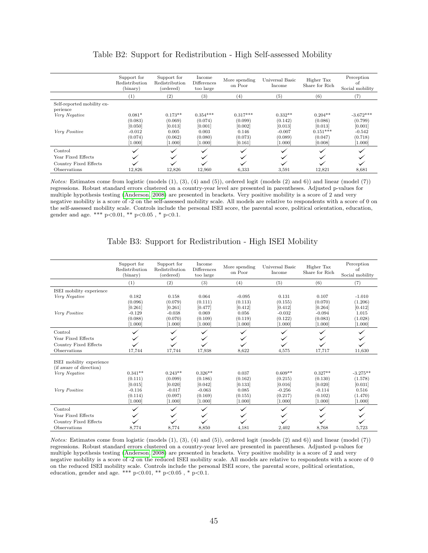<span id="page-45-0"></span>

|                                        | Support for<br>Redistribution<br>(binary) | Support for<br>Redistribution<br>(ordered) | Income<br><b>Differences</b><br>too large | More spending<br>on Poor    | Universal Basic<br>Income      | Higher Tax<br>Share for Rich     | Perception<br>οt<br>Social mobility |
|----------------------------------------|-------------------------------------------|--------------------------------------------|-------------------------------------------|-----------------------------|--------------------------------|----------------------------------|-------------------------------------|
|                                        | $^{(1)}$                                  | (2)                                        | (3)                                       | (4)                         | (5)                            | (6)                              | $^{\left( 7\right) }$               |
| Self-reported mobility ex-<br>perience |                                           |                                            |                                           |                             |                                |                                  |                                     |
| Very Negative                          | $0.081*$<br>(0.083)                       | $0.173**$<br>(0.069)                       | $0.354***$<br>(0.074)                     | $0.317***$<br>(0.099)       | $0.332**$<br>(0.142)           | $0.204**$<br>(0.086)             | $-3.672***$<br>(0.799)              |
|                                        | [0.050]                                   | [0.013]                                    | [0.001]                                   | [0.002]                     | [0.013]                        | [0.013]                          | [0.001]                             |
| Very Positive                          | $-0.012$<br>(0.074)<br>[1.000]            | 0.005<br>(0.062)<br>[1.000]                | 0.003<br>(0.080)<br>[1.000]               | 0.146<br>(0.073)<br>[0.161] | $-0.007$<br>(0.089)<br>[1.000] | $0.151***$<br>(0.047)<br>[0.008] | $-0.542$<br>(0.718)<br>1.000        |
| Control                                |                                           |                                            |                                           |                             |                                |                                  |                                     |
| Year Fixed Effects                     |                                           |                                            |                                           |                             |                                |                                  |                                     |
| Country Fixed Effects                  |                                           |                                            |                                           |                             |                                |                                  |                                     |
| Observations                           | 12,826                                    | 12.826                                     | 12.960                                    | 6,333                       | 3,591                          | 12,821                           | 8,681                               |

|  | Table B2: Support for Redistribution - High Self-assessed Mobility |  |  |
|--|--------------------------------------------------------------------|--|--|
|  |                                                                    |  |  |

Notes: Estimates come from logistic (models (1), (3), (4) and (5)), ordered logit (models (2) and 6)) and linear (model (7)) regressions. Robust standard errors clustered on a country-year level are presented in parentheses. Adjusted p-values for multiple hypothesis testing [\(Anderson, 2008\)](#page-34-1) are presented in brackets. Very positive mobility is a score of 2 and very negative mobility is a score of -2 on the self-assessed mobility scale. All models are relative to respondents with a score of 0 on the self-assessed mobility scale. Controls include the personal ISEI score, the parental score, political orientation, education, gender and age. \*\*\* p<0.01, \*\* p<0.05 , \* p<0.1.

<span id="page-45-1"></span>

|                          | Support for<br>Redistribution<br>(binary) | Support for<br>Redistribution<br>(ordered) | Income<br>Differences<br>too large | More spending<br>on Poor | Universal Basic<br>Income | Higher Tax<br>Share for Rich | Perception<br>of<br>Social mobility |
|--------------------------|-------------------------------------------|--------------------------------------------|------------------------------------|--------------------------|---------------------------|------------------------------|-------------------------------------|
|                          | (1)                                       | (2)                                        | (3)                                | (4)                      | (5)                       | (6)                          | (7)                                 |
| ISEI mobility experience |                                           |                                            |                                    |                          |                           |                              |                                     |
| Very Negative            | 0.182                                     | 0.158                                      | 0.064                              | $-0.095$                 | 0.131                     | 0.107                        | $-1.010$                            |
|                          | (0.096)                                   | (0.079)                                    | (0.111)                            | (0.113)                  | (0.155)                   | (0.070)                      | (1.206)                             |
|                          | [0.261]                                   | [0.261]                                    | [0.477]                            | [0.412]                  | [0.412]                   | [0.264]                      | [0.412]                             |
| Very Positive            | $-0.129$                                  | $-0.038$                                   | 0.069                              | 0.056                    | $-0.032$                  | $-0.094$                     | 1.015                               |
|                          | (0.088)                                   | (0.070)                                    | (0.109)                            | (0.119)                  | (0.122)                   | (0.083)                      | (1.028)                             |
|                          | [1.000]                                   | [1.000]                                    | [1.000]                            | [1.000]                  | [1.000]                   | [1.000]                      | [1.000]                             |
| Control                  |                                           |                                            |                                    |                          |                           |                              |                                     |
| Year Fixed Effects       |                                           |                                            |                                    |                          |                           |                              |                                     |
| Country Fixed Effects    |                                           |                                            |                                    |                          |                           |                              |                                     |
| Observations             | 17,744                                    | 17,744                                     | 17,938                             | 8,622                    | 4,575                     | 17,717                       | 11,630                              |
| ISEI mobility experience |                                           |                                            |                                    |                          |                           |                              |                                     |
| (if aware of direction)  |                                           |                                            |                                    |                          |                           |                              |                                     |
| Very Negative            | $0.341**$                                 | $0.243**$                                  | $0.326**$                          | 0.037                    | $0.609**$                 | $0.327**$                    | $-3.275**$                          |
|                          | (0.111)                                   | (0.099)                                    | (0.186)                            | (0.162)                  | (0.215)                   | (0.130)                      | (1.578)                             |
|                          | [0.015]                                   | [0.020]                                    | [0.042]                            | [0.133]                  | [0.016]                   | [0.020]                      | [0.031]                             |
| Very Positive            | $-0.116$                                  | $-0.017$                                   | $-0.063$                           | 0.085                    | $-0.256$                  | $-0.114$                     | 0.516                               |
|                          | (0.114)                                   | (0.097)                                    | (0.169)                            | (0.155)                  | (0.217)                   | (0.102)                      | (1.470)                             |
|                          | [1.000]                                   | [1.000]                                    | [1.000]                            | [1.000]                  | [1.000]                   | [1.000]                      | [1.000]                             |
| Control                  |                                           |                                            |                                    |                          |                           |                              |                                     |
| Year Fixed Effects       |                                           |                                            |                                    |                          |                           |                              |                                     |
| Country Fixed Effects    |                                           |                                            |                                    |                          |                           |                              |                                     |
| Observations             | 8,774                                     | 8,774                                      | 8,850                              | 4,181                    | 2,402                     | 8,768                        | 5,723                               |

#### Table B3: Support for Redistribution - High ISEI Mobility

Notes: Estimates come from logistic (models (1), (3), (4) and (5)), ordered logit (models (2) and 6)) and linear (model (7)) regressions. Robust standard errors clustered on a country-year level are presented in parentheses. Adjusted p-values for multiple hypothesis testing [\(Anderson, 2008\)](#page-34-1) are presented in brackets. Very positive mobility is a score of 2 and very negative mobility is a score of -2 on the reduced ISEI mobility scale. All models are relative to respondents with a score of 0 on the reduced ISEI mobility scale. Controls include the personal ISEI score, the parental score, political orientation, education, gender and age. \*\*\* p<0.01, \*\* p<0.05 , \* p<0.1.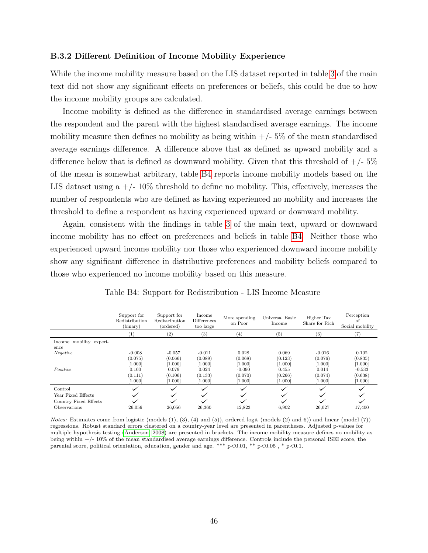#### B.3.2 Different Definition of Income Mobility Experience

While the income mobility measure based on the LIS dataset reported in table [3](#page-16-0) of the main text did not show any significant effects on preferences or beliefs, this could be due to how the income mobility groups are calculated.

Income mobility is defined as the difference in standardised average earnings between the respondent and the parent with the highest standardised average earnings. The income mobility measure then defines no mobility as being within  $+/- 5\%$  of the mean standardised average earnings difference. A difference above that as defined as upward mobility and a difference below that is defined as downward mobility. Given that this threshold of  $+/-5\%$ of the mean is somewhat arbitrary, table [B4](#page-46-0) reports income mobility models based on the LIS dataset using a  $+/- 10\%$  threshold to define no mobility. This, effectively, increases the number of respondents who are defined as having experienced no mobility and increases the threshold to define a respondent as having experienced upward or downward mobility.

Again, consistent with the findings in table [3](#page-16-0) of the main text, upward or downward income mobility has no effect on preferences and beliefs in table [B4.](#page-46-0) Neither those who experienced upward income mobility nor those who experienced downward income mobility show any significant difference in distributive preferences and mobility beliefs compared to those who experienced no income mobility based on this measure.

<span id="page-46-0"></span>

|                                 | Support for<br>Redistribution<br>(binary) | Support for<br>Redistribution<br>(ordered) | Income<br><b>Differences</b><br>too large | More spending<br>on Poor | Universal Basic<br>Income | Higher Tax<br>Share for Rich | Perception<br>-ot<br>Social mobility |
|---------------------------------|-------------------------------------------|--------------------------------------------|-------------------------------------------|--------------------------|---------------------------|------------------------------|--------------------------------------|
|                                 | $\left(1\right)$                          | (2)                                        | $^{(3)}$                                  | $^{(4)}$                 | (5)                       | (6)                          | (7)                                  |
| Income mobility experi-<br>ence |                                           |                                            |                                           |                          |                           |                              |                                      |
| Negative                        | $-0.008$                                  | $-0.057$                                   | $-0.011$                                  | 0.028                    | 0.069                     | $-0.016$                     | 0.102                                |
|                                 | (0.075)                                   | (0.066)                                    | (0.089)                                   | (0.068)                  | (0.123)                   | (0.076)                      | (0.835)                              |
|                                 | [1.000]                                   | [1.000]                                    | [1.000]                                   | [1.000]                  | [1.000]                   | [1.000]                      | [1.000]                              |
| Positive                        | 0.100                                     | 0.079                                      | 0.024                                     | $-0.090$                 | 0.455                     | 0.014                        | $-0.533$                             |
|                                 | (0.111)                                   | (0.106)                                    | (0.133)                                   | (0.070)                  | (0.266)                   | (0.074)                      | (0.638)                              |
|                                 | [1.000]                                   | [1.000]                                    | [1.000]                                   | [1.000]                  | [1.000]                   | [1.000]                      | [1.000]                              |
| Control                         |                                           |                                            |                                           |                          |                           |                              |                                      |
| Year Fixed Effects              |                                           |                                            |                                           |                          |                           |                              |                                      |
| Country Fixed Effects           |                                           |                                            |                                           |                          |                           |                              |                                      |
| Observations                    | 26,056                                    | 26,056                                     | 26,360                                    | 12,823                   | 6,902                     | 26,027                       | 17,400                               |

Table B4: Support for Redistribution - LIS Income Measure

Notes: Estimates come from logistic (models (1), (3), (4) and (5)), ordered logit (models (2) and 6)) and linear (model (7)) regressions. Robust standard errors clustered on a country-year level are presented in parentheses. Adjusted p-values for multiple hypothesis testing [\(Anderson, 2008\)](#page-34-1) are presented in brackets. The income mobility measure defines no mobility as being within +/- 10% of the mean standardised average earnings difference. Controls include the personal ISEI score, the parental score, political orientation, education, gender and age. \*\*\* p<0.01, \*\* p<0.05 , \* p<0.1.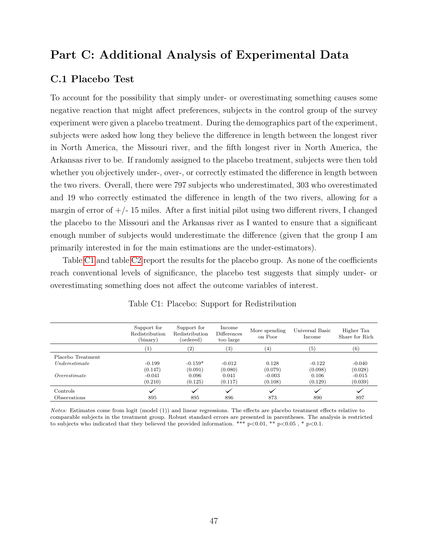# Part C: Additional Analysis of Experimental Data

### C.1 Placebo Test

To account for the possibility that simply under- or overestimating something causes some negative reaction that might affect preferences, subjects in the control group of the survey experiment were given a placebo treatment. During the demographics part of the experiment, subjects were asked how long they believe the difference in length between the longest river in North America, the Missouri river, and the fifth longest river in North America, the Arkansas river to be. If randomly assigned to the placebo treatment, subjects were then told whether you objectively under-, over-, or correctly estimated the difference in length between the two rivers. Overall, there were 797 subjects who underestimated, 303 who overestimated and 19 who correctly estimated the difference in length of the two rivers, allowing for a margin of error of  $+/- 15$  miles. After a first initial pilot using two different rivers, I changed the placebo to the Missouri and the Arkansas river as I wanted to ensure that a significant enough number of subjects would underestimate the difference (given that the group I am primarily interested in for the main estimations are the under-estimators).

Table [C1](#page-47-0) and table [C2](#page-48-0) report the results for the placebo group. As none of the coefficients reach conventional levels of significance, the placebo test suggests that simply under- or overestimating something does not affect the outcome variables of interest.

<span id="page-47-0"></span>

|                   | Support for<br>Redistribution<br>(binary) | Support for<br>Redistribution<br>(ordered) | Income<br>Differences<br>too large | More spending<br>on Poor | Universal Basic<br>Income | Higher Tax<br>Share for Rich |
|-------------------|-------------------------------------------|--------------------------------------------|------------------------------------|--------------------------|---------------------------|------------------------------|
|                   | $\left(1\right)$                          | $\left( 2\right)$                          | $\left( 3\right)$                  | (4)                      | (5)                       | (6)                          |
| Placebo Treatment |                                           |                                            |                                    |                          |                           |                              |
| Under estimate    | $-0.199$                                  | $-0.159*$                                  | $-0.012$                           | 0.128                    | $-0.122$                  | $-0.040$                     |
|                   | (0.147)                                   | (0.091)                                    | (0.080)                            | (0.079)                  | (0.098)                   | (0.028)                      |
| Overestimate      | $-0.041$                                  | 0.096                                      | 0.041                              | $-0.003$                 | 0.106                     | $-0.015$                     |
|                   | (0.210)                                   | (0.125)                                    | (0.117)                            | (0.108)                  | (0.129)                   | (0.039)                      |
| Controls          |                                           | $\checkmark$                               |                                    |                          |                           |                              |
| Observations      | 895                                       | 895                                        | 896                                | 873                      | 890                       | 897                          |

Table C1: Placebo: Support for Redistribution

Notes: Estimates come from logit (model (1)) and linear regressions. The effects are placebo treatment effects relative to comparable subjects in the treatment group. Robust standard errors are presented in parentheses. The analysis is restricted to subjects who indicated that they believed the provided information. \*\*\*  $p<0.01$ , \*\*  $p<0.05$ , \*  $p<0.1$ .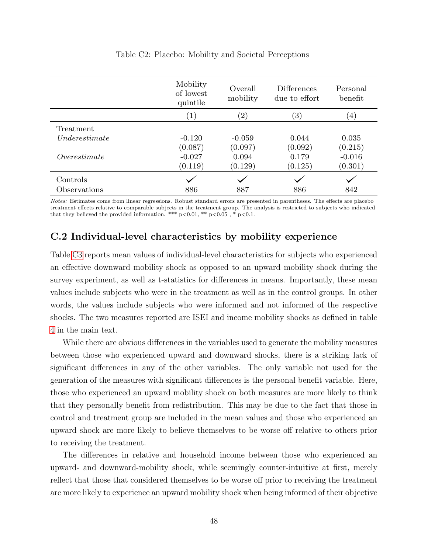<span id="page-48-0"></span>

|                | Mobility<br>of lowest<br>quintile | Overall<br>mobility | <b>Differences</b><br>due to effort | Personal<br>benefit |
|----------------|-----------------------------------|---------------------|-------------------------------------|---------------------|
|                | (1)                               | $\left( 2\right)$   | $\left( 3\right)$                   | $\left(4\right)$    |
| Treatment      |                                   |                     |                                     |                     |
| Under estimate | $-0.120$                          | $-0.059$            | 0.044                               | 0.035               |
|                | (0.087)                           | (0.097)             | (0.092)                             | (0.215)             |
| Overestimate   | $-0.027$                          | 0.094               | 0.179                               | $-0.016$            |
|                | (0.119)                           | (0.129)             | (0.125)                             | (0.301)             |
| Controls       |                                   |                     |                                     |                     |
| Observations   | 886                               | 887                 | 886                                 | 842                 |

#### Table C2: Placebo: Mobility and Societal Perceptions

Notes: Estimates come from linear regressions. Robust standard errors are presented in parentheses. The effects are placebo treatment effects relative to comparable subjects in the treatment group. The analysis is restricted to subjects who indicated that they believed the provided information. \*\*\*  $p<0.01$ , \*\*  $p<0.05$ , \*  $p<0.1$ .

## C.2 Individual-level characteristics by mobility experience

Table [C3](#page-49-0) reports mean values of individual-level characteristics for subjects who experienced an effective downward mobility shock as opposed to an upward mobility shock during the survey experiment, as well as t-statistics for differences in means. Importantly, these mean values include subjects who were in the treatment as well as in the control groups. In other words, the values include subjects who were informed and not informed of the respective shocks. The two measures reported are ISEI and income mobility shocks as defined in table [4](#page-24-0) in the main text.

While there are obvious differences in the variables used to generate the mobility measures between those who experienced upward and downward shocks, there is a striking lack of significant differences in any of the other variables. The only variable not used for the generation of the measures with significant differences is the personal benefit variable. Here, those who experienced an upward mobility shock on both measures are more likely to think that they personally benefit from redistribution. This may be due to the fact that those in control and treatment group are included in the mean values and those who experienced an upward shock are more likely to believe themselves to be worse off relative to others prior to receiving the treatment.

The differences in relative and household income between those who experienced an upward- and downward-mobility shock, while seemingly counter-intuitive at first, merely reflect that those that considered themselves to be worse off prior to receiving the treatment are more likely to experience an upward mobility shock when being informed of their objective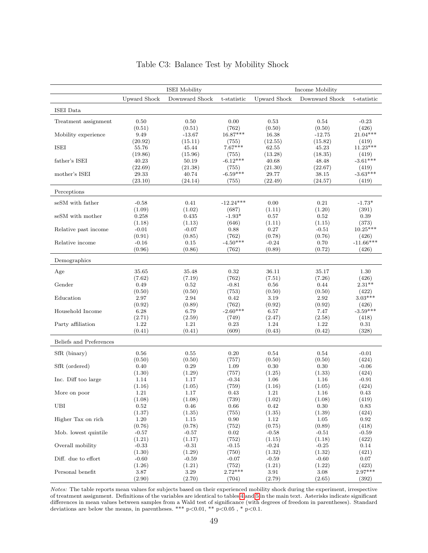<span id="page-49-0"></span>

|                         | <b>ISEI</b> Mobility |                  |                     | Income Mobility     |                  |                      |  |
|-------------------------|----------------------|------------------|---------------------|---------------------|------------------|----------------------|--|
|                         | <b>Upward Shock</b>  | Downward Shock   | t-statistic         | <b>Upward Shock</b> | Downward Shock   | t-statistic          |  |
| ISEI Data               |                      |                  |                     |                     |                  |                      |  |
| Treatment assignment    | 0.50                 | 0.50             | 0.00                | 0.53                | 0.54             | $-0.23$              |  |
|                         | (0.51)               | (0.51)           | (762)               | (0.50)              | (0.50)           | (426)                |  |
| Mobility experience     | 9.49                 | $-13.67$         | $16.87***$          | 16.38               | $-12.75$         | $21.04***$           |  |
|                         | (20.92)              | (15.11)          | (755)               | (12.55)             | (15.82)          | (419)                |  |
| <b>ISEI</b>             | 55.76                | 45.44            | $7.67***$           | 62.55               | 45.23            | $11.23***$           |  |
|                         | (19.86)              | (15.96)          | (755)               | (13.28)             | (18.35)          | (419)                |  |
| father's ISEI           | 40.23                | 50.19            | $-6.12***$          | 40.68               | 48.48            | $-3.61***$           |  |
|                         | (22.69)              | (21.38)          | (755)               | (21.30)             | (22.67)          | (419)                |  |
| mother's ISEI           | 29.33<br>(23.10)     | 40.74<br>(24.14) | $-6.59***$<br>(755) | 29.77<br>(22.49)    | 38.15<br>(24.57) | $-3.63***$<br>(419)  |  |
|                         |                      |                  |                     |                     |                  |                      |  |
| Perceptions             |                      |                  |                     |                     |                  |                      |  |
| seSM with father        | $-0.58$              | 0.41             | $-12.24***$         | 0.00                | 0.21             | $-1.73*$             |  |
|                         | (1.09)               | (1.02)           | (687)               | (1.11)              | (1.20)           | (391)                |  |
| seSM with mother        | 0.258                | 0.435            | $-1.93*$            | 0.57                | 0.52             | 0.39                 |  |
|                         | (1.18)               | (1.13)           | (646)               | (1.11)              | (1.15)           | (373)                |  |
| Relative past income    | $-0.01$              | $-0.07$          | 0.88                | 0.27                | $-0.51$          | $10.25***$           |  |
| Relative income         | (0.91)<br>$-0.16$    | (0.85)<br>0.15   | (762)<br>$-4.50***$ | (0.78)<br>$-0.24$   | (0.76)           | (426)<br>$-11.66***$ |  |
|                         | (0.96)               | (0.86)           | (762)               | (0.89)              | 0.70<br>(0.72)   | (426)                |  |
|                         |                      |                  |                     |                     |                  |                      |  |
| Demographics            |                      |                  |                     |                     |                  |                      |  |
| Age                     | 35.65                | 35.48            | 0.32                | 36.11               | 35.17            | 1.30                 |  |
|                         | (7.62)               | (7.19)           | (762)               | (7.51)              | (7.26)           | (426)                |  |
| Gender                  | 0.49                 | 0.52             | $-0.81$             | 0.56                | 0.44             | $2.31**$             |  |
|                         | (0.50)               | (0.50)           | (753)               | (0.50)              | (0.50)           | (422)                |  |
| Education               | 2.97                 | 2.94             | 0.42<br>(762)       | 3.19                | 2.92             | $3.03***$            |  |
| Household Income        | (0.92)<br>6.28       | (0.89)<br>6.79   | $-2.60***$          | (0.92)<br>6.57      | (0.92)<br>7.47   | (426)<br>$-3.59***$  |  |
|                         | (2.71)               | (2.59)           | (749)               | (2.47)              | (2.58)           | (418)                |  |
| Party affiliation       | 1.22                 | 1.21             | 0.23                | 1.24                | 1.22             | 0.31                 |  |
|                         | (0.41)               | (0.41)           | (609)               | (0.43)              | (0.42)           | (328)                |  |
| Beliefs and Preferences |                      |                  |                     |                     |                  |                      |  |
| SfR (binary)            | 0.56                 | 0.55             | 0.20                | 0.54                | 0.54             | $-0.01$              |  |
|                         | (0.50)               | (0.50)           | (757)               | (0.50)              | (0.50)           | (424)                |  |
| SfR (ordered)           | 0.40                 | 0.29             | 1.09                | 0.30                | 0.30             | $-0.06$              |  |
|                         | (1.30)               | (1.29)           | (757)               | (1.25)              | (1.33)           | (424)                |  |
| Inc. Diff too large     | 1.14                 | 1.17             | $-0.34$             | 1.06                | 1.16             | $-0.91$              |  |
|                         | (1.16)               | (1.05)           | (759)               | (1.16)              | (1.05)           | (424)                |  |
| More on poor            | 1.21                 | 1.17             | 0.43                | 1.21                | 1.16             | 0.43                 |  |
|                         | (1.08)               | (1.08)           | (739)               | (1.02)              | (1.08)           | (419)                |  |
| UBI                     | 0.52                 | 0.46             | 0.66                | 0.42                | 0.30             | 0.83                 |  |
| Higher Tax on rich      | (1.37)<br>1.20       | (1.35)<br>1.15   | (755)<br>0.90       | (1.35)<br>1.12      | (1.39)<br>1.05   | (424)<br>0.92        |  |
|                         | (0.76)               | (0.78)           | (752)               | (0.75)              | (0.89)           | (418)                |  |
| Mob. lowest quintile    | $-0.57$              | $-0.57$          | 0.02                | $-0.58$             | $-0.51$          | $-0.59$              |  |
|                         | (1.21)               | (1.17)           | (752)               | (1.15)              | (1.18)           | (422)                |  |
| Overall mobility        | $-0.33$              | $-0.31$          | $-0.15$             | $-0.24$             | $-0.25$          | 0.14                 |  |
|                         | (1.30)               | (1.29)           | (750)               | (1.32)              | (1.32)           | (421)                |  |
| Diff. due to effort     | $-0.60$              | $-0.59$          | $-0.07$             | $-0.59$             | $-0.60$          | 0.07                 |  |
|                         | (1.26)               | (1.21)           | (752)               | (1.21)              | (1.22)           | (423)                |  |
| Personal benefit        | 3.87                 | 3.29             | $2.72***$           | 3.91                | 3.08             | $2.97***$            |  |
|                         | (2.90)               | (2.70)           | (704)               | (2.79)              | (2.65)           | (392)                |  |

### Table C3: Balance Test by Mobility Shock

Notes: The table reports mean values for subjects based on their experienced mobility shock during the experiment, irrespective of treatment assignment. Definitions of the variables are identical to tables [4](#page-24-0) and [5](#page-27-0) in the main text. Asterisks indicate significant differences in mean values between samples from a Wald test of significance (with degrees of freedom in parentheses). Standard deviations are below the means, in parentheses. \*\*\* p<0.01, \*\* p<0.05 , \* p<0.1.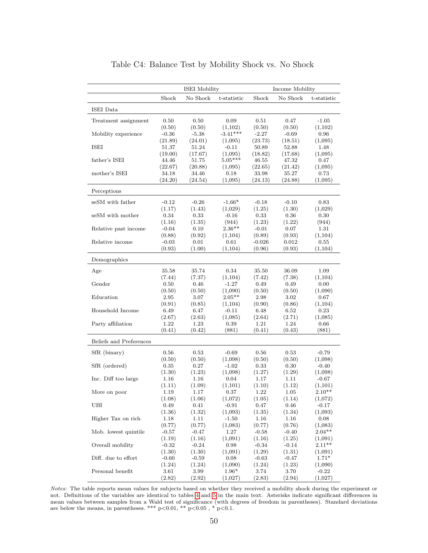<span id="page-50-0"></span>

|                         |                   | <b>ISEI</b> Mobility |                            | Income Mobility    |                  |                     |
|-------------------------|-------------------|----------------------|----------------------------|--------------------|------------------|---------------------|
|                         | Shock             | No Shock             | t-statistic                | Shock              | No Shock         | t-statistic         |
| ISEI Data               |                   |                      |                            |                    |                  |                     |
| Treatment assignment    | 0.50              | $_{0.50}$            | 0.09                       | 0.51               | 0.47             | $-1.05$             |
|                         | (0.50)            | (0.50)               | (1,102)                    | (0.50)             | (0.50)           | (1,102)             |
| Mobility experience     | $-0.36$           | $-5.38$              | $-3.41***$                 | $-2.27$            | $-0.69$          | 0.96                |
|                         | (21.89)           | (24.01)              | (1,095)                    | (23.73)            | (18.51)          | (1,095)             |
| ISEI                    | 51.37             | 51.24                | $-0.11$                    | 50.89              | 52.88            | 1.48                |
| father's ISEI           | (19.00)           | (17.67)              | (1,095)<br>$5.05***$       | (18.82)            | (17.68)          | (1,095)             |
|                         | 44.46<br>(22.67)  | 51.75<br>(20.88)     |                            | 46.55<br>(22.65)   | 47.32            | 0.47                |
| mother's ISEI           | 34.18             | 34.46                | (1,095)<br>0.18            | 33.98              | (21.42)<br>35.27 | (1,095)<br>0.73     |
|                         | (24.20)           | (24.54)              | (1,095)                    | (24.13)            | (24.88)          | (1,095)             |
| Perceptions             |                   |                      |                            |                    |                  |                     |
|                         |                   |                      |                            |                    |                  |                     |
| seSM with father        | $-0.12$           | $-0.26$              | $-1.66*$                   | $-0.18$            | $-0.10$          | 0.83                |
|                         | (1.17)            | (1.43)               | (1,029)                    | (1.25)             | (1.30)           | (1,029)             |
| seSM with mother        | 0.34              | 0.33                 | $-0.16$                    | 0.33               | 0.36             | 0.30                |
| Relative past income    | (1.16)<br>$-0.04$ | (1.35)<br>0.10       | (944)<br>$2.36^{\ast\ast}$ | (1.23)<br>$-0.01$  | (1.22)<br>0.07   | (944)<br>1.31       |
|                         | (0.88)            | (0.92)               | (1,104)                    | (0.89)             | (0.93)           | (1,104)             |
| Relative income         | $-0.03$           | 0.01                 | 0.61                       | $-0.026$           | 0.012            | 0.55                |
|                         | (0.93)            | (1.00)               | (1,104)                    | (0.96)             | (0.93)           | (1,104)             |
| Demographics            |                   |                      |                            |                    |                  |                     |
|                         |                   |                      |                            |                    |                  |                     |
| Age                     | 35.58             | 35.74                | 0.34                       | 35.50              | 36.09            | 1.09                |
| Gender                  | (7.44)<br>0.50    | (7.37)<br>$0.46\,$   | (1,104)<br>$-1.27$         | (7.42)<br>0.49     | (7.38)<br>0.49   | (1,104)<br>0.00     |
|                         | (0.50)            | (0.50)               | (1,090)                    | (0.50)             | (0.50)           | (1,090)             |
| Education               | 2.95              | 3.07                 | $2.05**$                   | 2.98               | 3.02             | 0.67                |
|                         | (0.91)            | (0.85)               | (1,104)                    | (0.90)             | (0.86)           | (1,104)             |
| Household Income        | 6.49              | 6.47                 | $-0.11$                    | 6.48               | 6.52             | 0.23                |
|                         | (2.67)            | (2.63)               | (1,085)                    | (2.64)             | (2.71)           | (1,085)             |
| Party affiliation       | 1.22              | 1.23                 | 0.39                       | 1.21               | 1.24             | 0.66                |
|                         | (0.41)            | (0.42)               | (881)                      | (0.41)             | (0.43)           | (881)               |
| Beliefs and Preferences |                   |                      |                            |                    |                  |                     |
| SfR (binary)            | 0.56              | 0.53                 | $-0.69$                    | 0.56               | 0.53             | $-0.79$             |
|                         | (0.50)            | (0.50)               | (1,098)                    | (0.50)             | (0.50)           | (1,098)             |
| SfR (ordered)           | 0.35              | 0.27                 | -1.02                      | 0.33               | $0.30\,$         | $-0.40$             |
|                         | (1.30)            | (1.23)               | (1,098)                    | (1.27)             | (1.29)           | (1,098)             |
| Inc. Diff too large     | 1.16              | 1.16                 | 0.04                       | 1.17               | 1.11             | $-0.67$             |
|                         | (1.11)            | (1.09)               | (1,101)                    | (1.10)             | (1.12)           | (1,101)             |
| More on poor            | 1.19              | 1.17                 | 0.37                       | 1.22               | 1.05             | $2.10**$            |
|                         | (1.08)            | (1.06)               | (1,072)                    | (1.05)             | (1.14)           | (1,072)             |
| UBI                     | 0.49              | 0.41                 | $-0.91$                    | 0.47               | $0.46\,$         | $-0.17$             |
|                         | (1.36)            | (1.32)               | (1,093)                    | (1.35)             | (1.34)           | (1,093)             |
| Higher Tax on rich      | 1.18<br>(0.77)    | 1.11<br>(0.77)       | $-1.50$<br>(1,083)         | $1.16\,$<br>(0.77) | 1.16<br>(0.76)   | $0.08\,$<br>(1,083) |
| Mob. lowest quintile    | $-0.57$           | $-0.47$              | 1.27                       | $-0.58$            | $-0.40$          | $2.04**$            |
|                         | (1.19)            | (1.16)               | (1,091)                    | (1.16)             | (1.25)           | (1,091)             |
| Overall mobility        | $-0.32$           | $-0.24$              | 0.98                       | $-0.34$            | $-0.14$          | $2.11***$           |
|                         | (1.30)            | (1.30)               | (1,091)                    | (1.29)             | (1.31)           | (1,091)             |
| Diff. due to effort     | $-0.60$           | $-0.59$              | 0.08                       | $-0.63$            | $-0.47$          | $1.71*$             |
|                         | (1.24)            | (1.24)               | (1,090)                    | (1.24)             | (1.23)           | (1,090)             |
| Personal benefit        | $3.61\,$          | 3.99                 | $1.96*$                    | 3.74               | 3.70             | $-0.22$             |
|                         | (2.82)            | (2.92)               | (1,027)                    | (2.83)             | (2.94)           | (1,027)             |

Table C4: Balance Test by Mobility Shock vs. No Shock

Notes: The table reports mean values for subjects based on whether they received a mobility shock during the experiment or not. Definitions of the variables are identical to tables [4](#page-24-0) and [5](#page-27-0) in the main text. Asterisks indicate significant differences in mean values between samples from a Wald test of significance (with degrees of freedom in parentheses). Standard deviations are below the means, in parentheses. \*\*\*  $p<0.01$ , \*\*  $p<0.05$ , \*  $p<0.1$ .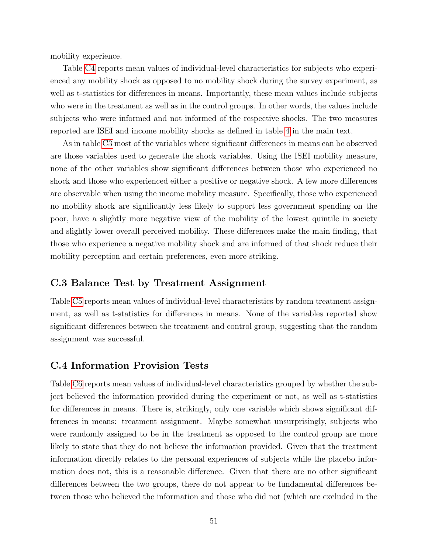mobility experience.

Table [C4](#page-50-0) reports mean values of individual-level characteristics for subjects who experienced any mobility shock as opposed to no mobility shock during the survey experiment, as well as t-statistics for differences in means. Importantly, these mean values include subjects who were in the treatment as well as in the control groups. In other words, the values include subjects who were informed and not informed of the respective shocks. The two measures reported are ISEI and income mobility shocks as defined in table [4](#page-24-0) in the main text.

As in table [C3](#page-49-0) most of the variables where significant differences in means can be observed are those variables used to generate the shock variables. Using the ISEI mobility measure, none of the other variables show significant differences between those who experienced no shock and those who experienced either a positive or negative shock. A few more differences are observable when using the income mobility measure. Specifically, those who experienced no mobility shock are significantly less likely to support less government spending on the poor, have a slightly more negative view of the mobility of the lowest quintile in society and slightly lower overall perceived mobility. These differences make the main finding, that those who experience a negative mobility shock and are informed of that shock reduce their mobility perception and certain preferences, even more striking.

### C.3 Balance Test by Treatment Assignment

Table [C5](#page-52-0) reports mean values of individual-level characteristics by random treatment assignment, as well as t-statistics for differences in means. None of the variables reported show significant differences between the treatment and control group, suggesting that the random assignment was successful.

### C.4 Information Provision Tests

Table [C6](#page-53-0) reports mean values of individual-level characteristics grouped by whether the subject believed the information provided during the experiment or not, as well as t-statistics for differences in means. There is, strikingly, only one variable which shows significant differences in means: treatment assignment. Maybe somewhat unsurprisingly, subjects who were randomly assigned to be in the treatment as opposed to the control group are more likely to state that they do not believe the information provided. Given that the treatment information directly relates to the personal experiences of subjects while the placebo information does not, this is a reasonable difference. Given that there are no other significant differences between the two groups, there do not appear to be fundamental differences between those who believed the information and those who did not (which are excluded in the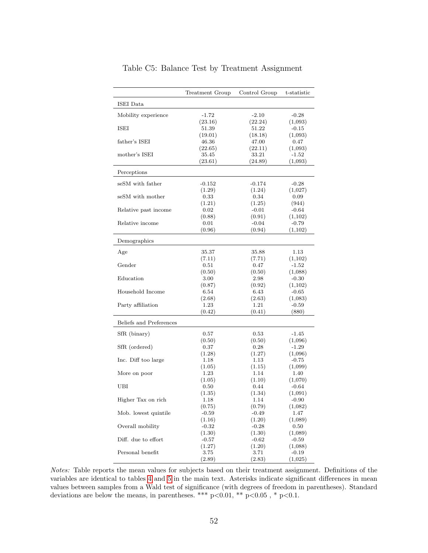<span id="page-52-0"></span>

|                         | Treatment Group | Control Group | t-statistic        |
|-------------------------|-----------------|---------------|--------------------|
| ISEI Data               |                 |               |                    |
| Mobility experience     | $-1.72$         | $-2.10$       | $-0.28$            |
|                         | (23.16)         | (22.24)       | (1,093)            |
| ISEI                    | 51.39           | 51.22         | $-0.15$            |
|                         | (19.01)         | (18.18)       | (1,093)            |
| father's ISEI           | 46.36           | 47.00         | 0.47               |
|                         | (22.65)         | (22.11)       | (1,093)            |
| mother's ISEI           | 35.45           | 33.21         | $-1.52$            |
|                         | (23.61)         | (24.89)       | (1,093)            |
| Perceptions             |                 |               |                    |
|                         |                 |               |                    |
| seSM with father        | $-0.152$        | $-0.174$      | $-0.28$            |
|                         | (1.29)          | (1.24)        | (1,027)            |
| seSM with mother        | 0.33            | 0.34          | 0.09               |
|                         | (1.21)          | (1.25)        | (944)              |
| Relative past income    | 0.02            | $-0.01$       | $-0.64$            |
|                         | (0.88)          | (0.91)        | (1,102)            |
| Relative income         | 0.01            | $-0.04$       | $-0.79$            |
|                         | (0.96)          | (0.94)        | (1,102)            |
| Demographics            |                 |               |                    |
| Age                     | 35.37           | 35.88         | 1.13               |
|                         | (7.11)          | (7.71)        | (1,102)            |
| Gender                  | 0.51            | 0.47          | $-1.52$            |
|                         | (0.50)          | (0.50)        | (1,088)            |
| Education               | 3.00            | 2.98          | $-0.30$            |
|                         | (0.87)          | (0.92)        | (1,102)            |
| Household Income        | 6.54            | 6.43          | $-0.65$            |
|                         | (2.68)          | (2.63)        | (1,083)            |
| Party affiliation       | 1.23            | 1.21          | $-0.59$            |
|                         | (0.42)          | (0.41)        | (880)              |
| Beliefs and Preferences |                 |               |                    |
|                         |                 |               |                    |
| SfR (binary)            | 0.57            | 0.53          | -1.45              |
|                         | (0.50)          | (0.50)        | (1,096)            |
| SfR (ordered)           | 0.37            | 0.28          | $-1.29$            |
|                         | (1.28)<br>1.18  | (1.27)        | (1,096)<br>$-0.75$ |
| Inc. Diff too large     |                 | 1.13          |                    |
|                         | (1.05)          | (1.15)        | (1,099)            |
| More on poor            | 1.23            | 1.14          | 1.40               |
|                         | (1.05)          | (1.10)        | (1,070)            |
| UBI                     | 0.50            | 0.44          | $-0.64$            |
|                         | (1.35)          | (1.34)        | (1,091)            |
| Higher Tax on rich      | 1.18            | 1.14          | $-0.90$            |
|                         | (0.75)          | (0.79)        | (1,082)            |
| Mob. lowest quintile    | $-0.59$         | $-0.49$       | 1.47               |
|                         | (1.16)          | (1.20)        | (1,089)            |
| Overall mobility        | $-0.32$         | $-0.28$       | 0.50               |
|                         | (1.30)          | (1.30)        | (1,089)            |
| Diff. due to effort     | $-0.57$         | $-0.62$       | $-0.59$            |
|                         | (1.27)          | (1.20)        | (1,088)            |
| Personal benefit        | 3.75            | 3.71          | $-0.19$            |
|                         | (2.89)          | (2.83)        | (1,025)            |

Table C5: Balance Test by Treatment Assignment

Notes: Table reports the mean values for subjects based on their treatment assignment. Definitions of the variables are identical to tables [4](#page-24-0) and [5](#page-27-0) in the main text. Asterisks indicate significant differences in mean values between samples from a Wald test of significance (with degrees of freedom in parentheses). Standard deviations are below the means, in parentheses. \*\*\* p<0.01, \*\* p<0.05, \* p<0.1.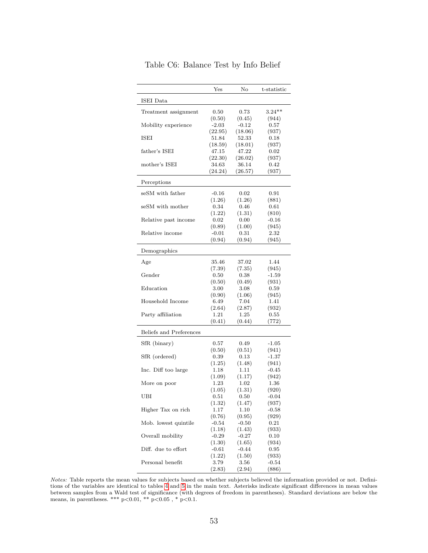|                         | $_{\rm Yes}$      | No                 | t-statistic        |
|-------------------------|-------------------|--------------------|--------------------|
| ISEI Data               |                   |                    |                    |
| Treatment assignment    | 0.50              | 0.73               | $3.24**$           |
|                         | (0.50)            | (0.45)             | (944)              |
| Mobility experience     | $-2.03$           | $-0.12$            | 0.57               |
|                         | (22.95)           | (18.06)            | (937)              |
| ISEI                    | 51.84             | 52.33              | 0.18               |
|                         | (18.59)           | (18.01)            | (937)              |
| father's ISEI           | 47.15             | 47.22              | 0.02               |
|                         | (22.30)           | (26.02)            | (937)              |
| mother's ISEI           | 34.63<br>(24.24)  | 36.14<br>(26.57)   | $_{0.42}$<br>(937) |
|                         |                   |                    |                    |
| Perceptions             |                   |                    |                    |
| seSM with father        | $-0.16$           | $0.02\,$           | 0.91               |
|                         | (1.26)            | (1.26)             | (881)              |
| seSM with mother        | 0.34              | 0.46               | 0.61               |
|                         | (1.22)            | (1.31)             | (810)              |
| Relative past income    | 0.02              | 0.00               | $-0.16$            |
|                         | (0.89)            | (1.00)             | (945)              |
| Relative income         | $-0.01$<br>(0.94) | 0.31<br>(0.94)     | $2.32\,$<br>(945)  |
|                         |                   |                    |                    |
| Demographics            |                   |                    |                    |
| Age                     | 35.46             | 37.02              | 1.44               |
|                         | (7.39)            | (7.35)             | (945)              |
| Gender                  | 0.50              | 0.38               | $-1.59$            |
|                         | (0.50)            | (0.49)             | (931)              |
| Education               | 3.00              | 3.08               | 0.59               |
| Household Income        | (0.90)            | (1.06)             | (945)              |
|                         | 6.49<br>(2.64)    | 7.04<br>(2.87)     | 1.41<br>(932)      |
| Party affiliation       | 1.21              | $1.25\,$           | 0.55               |
|                         | (0.41)            | (0.44)             | (772)              |
| Beliefs and Preferences |                   |                    |                    |
|                         |                   |                    |                    |
| SfR (binary)            | 0.57              | 0.49               | $-1.05$            |
|                         | (0.50)            | (0.51)             | (941)              |
| SfR (ordered)           | 0.39              | 0.13               | -1.37              |
| Inc. Diff too large     | (1.25)<br>1.18    | (1.48)<br>1.11     | (941)<br>$-0.45$   |
|                         | (1.09)            | (1.17)             | (942)              |
| More on poor            | 1.23              | 1.02               | 1.36               |
|                         | (1.05)            | (1.31)             | (920)              |
| UBI                     | 0.51              | 0.50               | $-0.04$            |
|                         | (1.32)            | (1.47)             | (937)              |
| Higher Tax on rich      | 1.17              | 1.10               | $-0.58$            |
|                         | (0.76)            | (0.95)             | (929)              |
| Mob. lowest quintile    | $-0.54$           | $-0.50$            | 0.21               |
|                         | (1.18)            | (1.43)             | (933)              |
| Overall mobility        | $-0.29$           | $-0.27$            | 0.10               |
|                         | (1.30)            | (1.65)             | (934)              |
| Diff. due to effort     | $-0.61$           | -0.44              | 0.95               |
| Personal benefit        | (1.22)<br>3.79    | (1.50)<br>$3.56\,$ | (933)<br>$-0.54$   |
|                         | (2.83)            | (2.94)             | (886)              |

<span id="page-53-0"></span>Table C6: Balance Test by Info Belief

Notes: Table reports the mean values for subjects based on whether subjects believed the information provided or not. Definitions of the variables are identical to tables [4](#page-24-0) and [5](#page-27-0) in the main text. Asterisks indicate significant differences in mean values between samples from a Wald test of significance (with degrees of freedom in parentheses). Standard deviations are below the means, in parentheses. \*\*\*  $p<0.01$ , \*\*  $p<0.05$ , \*  $p<0.1$ .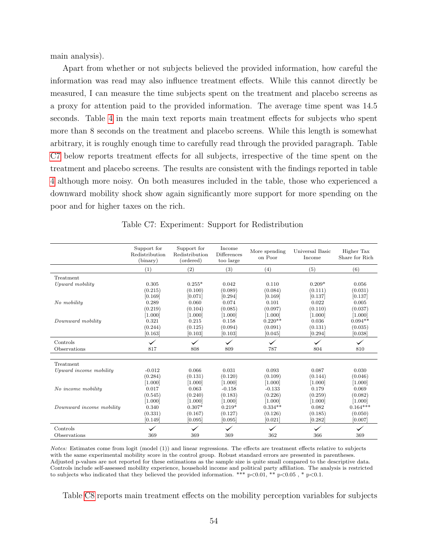main analysis).

Apart from whether or not subjects believed the provided information, how careful the information was read may also influence treatment effects. While this cannot directly be measured, I can measure the time subjects spent on the treatment and placebo screens as a proxy for attention paid to the provided information. The average time spent was 14.5 seconds. Table [4](#page-24-0) in the main text reports main treatment effects for subjects who spent more than 8 seconds on the treatment and placebo screens. While this length is somewhat arbitrary, it is roughly enough time to carefully read through the provided paragraph. Table [C7](#page-54-0) below reports treatment effects for all subjects, irrespective of the time spent on the treatment and placebo screens. The results are consistent with the findings reported in table [4](#page-24-0) although more noisy. On both measures included in the table, those who experienced a downward mobility shock show again significantly more support for more spending on the poor and for higher taxes on the rich.

<span id="page-54-0"></span>

|                          | Support for<br>Redistribution<br>(binary) | Support for<br>Redistribution<br>(ordered) | Income<br>Differences<br>too large | More spending<br>on Poor | Universal Basic<br>Income | Higher Tax<br>Share for Rich |
|--------------------------|-------------------------------------------|--------------------------------------------|------------------------------------|--------------------------|---------------------------|------------------------------|
|                          | (1)                                       | (2)                                        | (3)                                | (4)                      | (5)                       | (6)                          |
| Treatment                |                                           |                                            |                                    |                          |                           |                              |
| Upward mobility          | 0.305                                     | $0.255*$                                   | 0.042                              | 0.110                    | $0.209*$                  | 0.056                        |
|                          | (0.215)                                   | (0.100)                                    | (0.089)                            | (0.084)                  | (0.111)                   | (0.031)                      |
|                          | [0.169]                                   | [0.071]                                    | [0.294]                            | [0.169]                  | [0.137]                   | [0.137]                      |
| No mobility              | 0.289                                     | 0.060                                      | 0.074                              | 0.101                    | 0.022                     | 0.005                        |
|                          | (0.219)                                   | (0.104)                                    | (0.085)                            | (0.097)                  | (0.110)                   | (0.037)                      |
|                          | [1.000]                                   | [1.000]                                    | [1.000]                            | [1.000]                  | [1.000]                   | [1.000]                      |
| Downward mobility        | 0.321                                     | 0.215                                      | 0.158                              | $0.220**$                | 0.036                     | $0.094**$                    |
|                          | (0.244)                                   | (0.125)                                    | (0.094)                            | (0.091)                  | (0.131)                   | (0.035)                      |
|                          | [0.163]                                   | [0.103]                                    | [0.103]                            | [0.045]                  | [0.294]                   | [0.038]                      |
| Controls                 |                                           |                                            | $\checkmark$                       | $\checkmark$             |                           | $\checkmark$                 |
| Observations             | 817                                       | 808                                        | 809                                | 787                      | 804                       | 810                          |
|                          |                                           |                                            |                                    |                          |                           |                              |
| Treatment                |                                           |                                            |                                    |                          |                           |                              |
| Upward income mobility   | $-0.012$                                  | 0.066                                      | 0.031                              | 0.093                    | 0.087                     | 0.030                        |
|                          | (0.284)                                   | (0.131)                                    | (0.120)                            | (0.109)                  | (0.144)                   | (0.046)                      |
|                          | [1.000]                                   | [1.000]                                    | [1.000]                            | [1.000]                  | [1.000]                   | [1.000]                      |
| No income mobility       | 0.017                                     | 0.063                                      | $-0.158$                           | $-0.133$                 | 0.179                     | 0.069                        |
|                          | (0.545)                                   | (0.240)                                    | (0.183)                            | (0.226)                  | (0.259)                   | (0.082)                      |
|                          | [1.000]                                   | [1.000]                                    | [1.000]                            | [1.000]                  | [1.000]                   | [1.000]                      |
| Downward income mobility | 0.340                                     | $0.307*$                                   | $0.219*$                           | $0.334**$                | 0.082                     | $0.164***$                   |
|                          | (0.331)                                   | (0.167)                                    | (0.127)                            | (0.126)                  | (0.185)                   | (0.050)                      |
|                          | [0.149]                                   | [0.095]                                    | [0.095]                            | [0.021]                  | [0.282]                   | [0.007]                      |
| Controls                 |                                           | $\checkmark$                               | $\checkmark$                       | $\checkmark$             | $\checkmark$              | $\checkmark$                 |
| Observations             | 369                                       | 369                                        | 369                                | 362                      | 366                       | 369                          |

Table C7: Experiment: Support for Redistribution

Notes: Estimates come from logit (model (1)) and linear regressions. The effects are treatment effects relative to subjects with the same experimental mobility score in the control group. Robust standard errors are presented in parentheses. Adjusted p-values are not reported for these estimations as the sample size is quite small compared to the descriptive data. Controls include self-assessed mobility experience, household income and political party affiliation. The analysis is restricted to subjects who indicated that they believed the provided information. \*\*\*  $p<0.01$ , \*\*  $p<0.05$ , \*  $p<0.1$ .

Table [C8](#page-55-0) reports main treatment effects on the mobility perception variables for subjects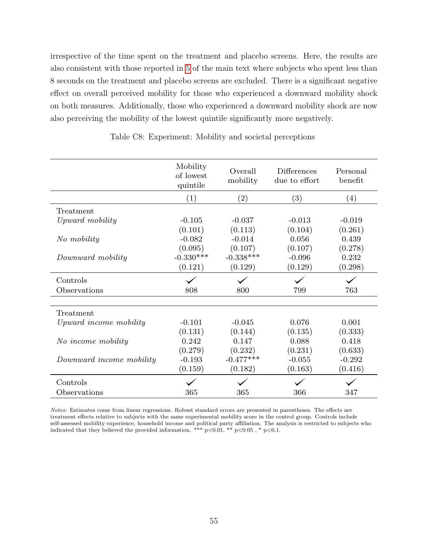irrespective of the time spent on the treatment and placebo screens. Here, the results are also consistent with those reported in [5](#page-27-0) of the main text where subjects who spent less than 8 seconds on the treatment and placebo screens are excluded. There is a significant negative effect on overall perceived mobility for those who experienced a downward mobility shock on both measures. Additionally, those who experienced a downward mobility shock are now also perceiving the mobility of the lowest quintile significantly more negatively.

<span id="page-55-0"></span>

|                          | Mobility<br>of lowest<br>quintile | Overall<br>mobility | Differences<br>due to effort | Personal<br>benefit |
|--------------------------|-----------------------------------|---------------------|------------------------------|---------------------|
|                          | (1)                               | (2)                 | (3)                          | (4)                 |
| Treatment                |                                   |                     |                              |                     |
| Upward mobility          | $-0.105$                          | $-0.037$            | $-0.013$                     | $-0.019$            |
|                          | (0.101)                           | (0.113)             | (0.104)                      | (0.261)             |
| No mobility              | $-0.082$                          | $-0.014$            | 0.056                        | 0.439               |
|                          | (0.095)                           | (0.107)             | (0.107)                      | (0.278)             |
| Downward mobility        | $-0.330***$                       | $-0.338***$         | $-0.096$                     | 0.232               |
|                          | (0.121)                           | (0.129)             | (0.129)                      | (0.298)             |
| Controls                 |                                   |                     |                              |                     |
| Observations             | 808                               | 800                 | 799                          | 763                 |
| Treatment                |                                   |                     |                              |                     |
| Upward income mobility   | $-0.101$                          | $-0.045$            | 0.076                        | 0.001               |
|                          | (0.131)                           | (0.144)             | (0.135)                      | (0.333)             |
| No income mobility       | 0.242                             | 0.147               | 0.088                        | 0.418               |
|                          | (0.279)                           | (0.232)             | (0.231)                      | (0.633)             |
| Downward income mobility | $-0.193$                          | $-0.477***$         | $-0.055$                     | $-0.292$            |
|                          | (0.159)                           | (0.182)             | (0.163)                      | (0.416)             |
| Controls                 |                                   |                     |                              |                     |
| Observations             | 365                               | 365                 | 366                          | 347                 |

Table C8: Experiment: Mobility and societal perceptions

Notes: Estimates come from linear regressions. Robust standard errors are presented in parentheses. The effects are treatment effects relative to subjects with the same experimental mobility score in the control group. Controls include self-assessed mobility experience, household income and political party affiliation. The analysis is restricted to subjects who indicated that they believed the provided information. \*\*\*  $p<0.01$ , \*\*  $p<0.05$ , \*  $p<0.1$ .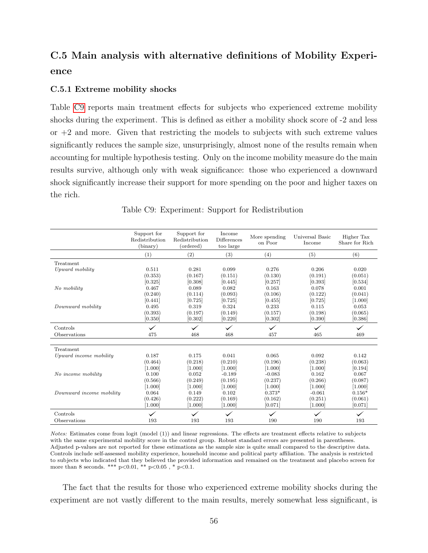# C.5 Main analysis with alternative definitions of Mobility Experience

#### C.5.1 Extreme mobility shocks

Table [C9](#page-56-0) reports main treatment effects for subjects who experienced extreme mobility shocks during the experiment. This is defined as either a mobility shock score of -2 and less or  $+2$  and more. Given that restricting the models to subjects with such extreme values significantly reduces the sample size, unsurprisingly, almost none of the results remain when accounting for multiple hypothesis testing. Only on the income mobility measure do the main results survive, although only with weak significance: those who experienced a downward shock significantly increase their support for more spending on the poor and higher taxes on the rich.

<span id="page-56-0"></span>

|                          | Support for<br>Redistribution<br>(binary) | Support for<br>Redistribution<br>(ordered) | Income<br>Differences<br>too large | More spending<br>on Poor | Universal Basic<br>Income | Higher Tax<br>Share for Rich |
|--------------------------|-------------------------------------------|--------------------------------------------|------------------------------------|--------------------------|---------------------------|------------------------------|
|                          | (1)                                       | (2)                                        | (3)                                | (4)                      | (5)                       | (6)                          |
| Treatment                |                                           |                                            |                                    |                          |                           |                              |
| Upward mobility          | 0.511                                     | 0.281                                      | 0.099                              | 0.276                    | 0.206                     | 0.020                        |
|                          | (0.353)                                   | (0.167)                                    | (0.151)                            | (0.130)                  | (0.191)                   | (0.051)                      |
|                          | [0.325]                                   | [0.308]                                    | [0.445]                            | [0.257]                  | [0.393]                   | [0.534]                      |
| No mobility              | 0.467                                     | 0.089                                      | 0.082                              | 0.163                    | 0.078                     | 0.001                        |
|                          | (0.240)                                   | (0.114)                                    | (0.093)                            | (0.106)                  | (0.122)                   | (0.041)                      |
|                          | [0.441]                                   | [0.725]                                    | [0.725]                            | [0.455]                  | [0.725]                   | [1.000]                      |
| Downward mobility        | 0.495                                     | 0.319                                      | 0.324                              | 0.233                    | 0.115                     | 0.053                        |
|                          | (0.393)                                   | (0.197)                                    | (0.149)                            | (0.157)                  | (0.198)                   | (0.065)                      |
|                          | [0.350]                                   | [0.302]                                    | [0.220]                            | [0.302]                  | [0.390]                   | [0.386]                      |
| Controls                 |                                           |                                            | $\checkmark$                       | $\checkmark$             |                           |                              |
| Observations             | 475                                       | 468                                        | 468                                | 457                      | 465                       | 469                          |
| Treatment                |                                           |                                            |                                    |                          |                           |                              |
| Upward income mobility   | 0.187                                     | 0.175                                      | 0.041                              | 0.065                    | 0.092                     | 0.142                        |
|                          | (0.464)                                   | (0.218)                                    | (0.210)                            | (0.196)                  | (0.238)                   | (0.063)                      |
|                          | [1.000]                                   | [1.000]                                    | [1.000]                            | [1.000]                  | [1.000]                   | [0.194]                      |
| No income mobility       | 0.100                                     | 0.052                                      | $-0.189$                           | $-0.083$                 | 0.162                     | 0.067                        |
|                          | (0.566)                                   | (0.249)                                    | (0.195)                            | (0.237)                  | (0.266)                   | (0.087)                      |
|                          | [1.000]                                   | [1.000]                                    | [1.000]                            | [1.000]                  | [1.000]                   | [1.000]                      |
| Downward income mobility | 0.064                                     | 0.149                                      | 0.102                              | $0.373*$                 | $-0.061$                  | $0.156*$                     |
|                          | (0.426)                                   | (0.222)                                    | (0.169)                            | (0.162)                  | (0.251)                   | (0.061)                      |
|                          | [1.000]                                   | [1.000]                                    | [1.000]                            | [0.071]                  | [1.000]                   | [0.071]                      |
| Controls                 |                                           |                                            | $\checkmark$                       | $\checkmark$             | $\checkmark$              | $\checkmark$                 |
| Observations             | 193                                       | 193                                        | 193                                | 190                      | 190                       | 193                          |

Table C9: Experiment: Support for Redistribution

Notes: Estimates come from logit (model (1)) and linear regressions. The effects are treatment effects relative to subjects with the same experimental mobility score in the control group. Robust standard errors are presented in parentheses. Adjusted p-values are not reported for these estimations as the sample size is quite small compared to the descriptive data. Controls include self-assessed mobility experience, household income and political party affiliation. The analysis is restricted to subjects who indicated that they believed the provided information and remained on the treatment and placebo screen for more than 8 seconds. \*\*\*  $p<0.01$ , \*\*  $p<0.05$ , \*  $p<0.1$ .

The fact that the results for those who experienced extreme mobility shocks during the experiment are not vastly different to the main results, merely somewhat less significant, is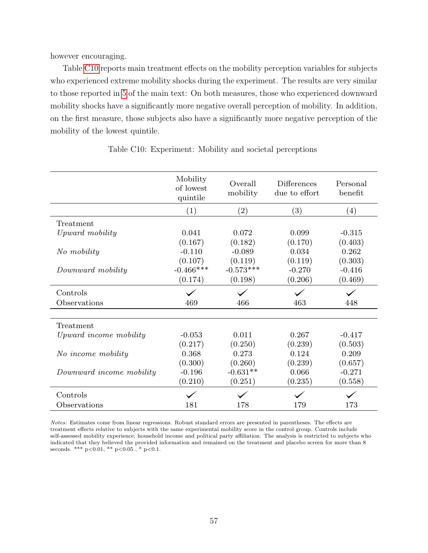however encouraging.

Table [C10](#page-57-0) reports main treatment effects on the mobility perception variables for subjects who experienced extreme mobility shocks during the experiment. The results are very similar to those reported in [5](#page-27-0) of the main text: On both measures, those who experienced downward mobility shocks have a significantly more negative overall perception of mobility. In addition, on the first measure, those subjects also have a significantly more negative perception of the mobility of the lowest quintile.

<span id="page-57-0"></span>

|                          | Mobility<br>of lowest<br>quintile | Overall<br>mobility | <b>Differences</b><br>due to effort | Personal<br>benefit |
|--------------------------|-----------------------------------|---------------------|-------------------------------------|---------------------|
|                          | (1)                               | $\left( 2\right)$   | (3)                                 | (4)                 |
| Treatment                |                                   |                     |                                     |                     |
| Upward mobility          | 0.041                             | 0.072               | 0.099                               | $-0.315$            |
|                          | (0.167)                           | (0.182)             | (0.170)                             | (0.403)             |
| No mobility              | $-0.110$                          | $-0.089$            | 0.034                               | 0.262               |
|                          | (0.107)                           | (0.119)             | (0.119)                             | (0.303)             |
| Downward mobility        | $-0.466***$                       | $-0.573***$         | $-0.270$                            | $-0.416$            |
|                          | (0.174)                           | (0.198)             | (0.206)                             | (0.469)             |
| Controls                 |                                   |                     |                                     |                     |
| Observations             | 469                               | 466                 | 463                                 | 448                 |
| Treatment                |                                   |                     |                                     |                     |
| Upward income mobility   | $-0.053$                          | 0.011               | 0.267                               | $-0.417$            |
|                          | (0.217)                           | (0.250)             | (0.239)                             | (0.503)             |
| No income mobility       | 0.368                             | 0.273               | 0.124                               | 0.209               |
|                          | (0.300)                           | (0.260)             | (0.239)                             | (0.657)             |
| Downward income mobility | $-0.196$                          | $-0.631**$          | 0.066                               | $-0.271$            |
|                          | (0.210)                           | (0.251)             | (0.235)                             | (0.558)             |
| Controls                 |                                   |                     |                                     |                     |
| Observations             | 181                               | 178                 | 179                                 | 173                 |

Table C10: Experiment: Mobility and societal perceptions

Notes: Estimates come from linear regressions. Robust standard errors are presented in parentheses. The effects are treatment effects relative to subjects with the same experimental mobility score in the control group. Controls include self-assessed mobility experience, household income and political party affiliation. The analysis is restricted to subjects who indicated that they believed the provided information and remained on the treatment and placebo screen for more than 8 seconds. \*\*\*  $p<0.01$ , \*\*  $p<0.05$ , \*  $p<0.1$ .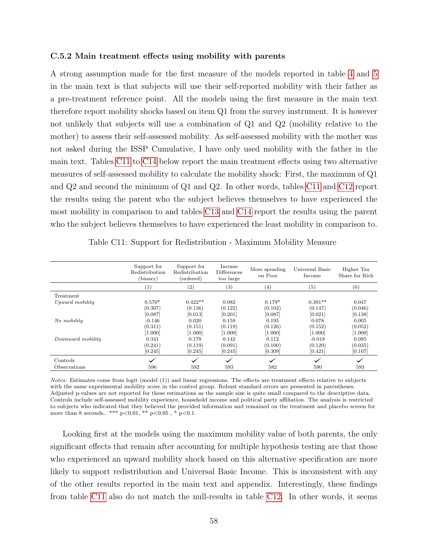#### C.5.2 Main treatment effects using mobility with parents

A strong assumption made for the first measure of the models reported in table [4](#page-24-0) and [5](#page-27-0) in the main text is that subjects will use their self-reported mobility with their father as a pre-treatment reference point. All the models using the first measure in the main text therefore report mobility shocks based on item Q1 from the survey instrument. It is however not unlikely that subjects will use a combination of Q1 and Q2 (mobility relative to the mother) to assess their self-assessed mobility. As self-assessed mobility with the mother was not asked during the ISSP Cumulative, I have only used mobility with the father in the main text. Tables [C11](#page-58-0) to [C14](#page-60-0) below report the main treatment effects using two alternative measures of self-assessed mobility to calculate the mobility shock: First, the maximum of Q1 and Q2 and second the minimum of Q1 and Q2. In other words, tables [C11](#page-58-0) and [C12](#page-59-0) report the results using the parent who the subject believes themselves to have experienced the most mobility in comparison to and tables [C13](#page-60-1) and [C14](#page-60-0) report the results using the parent who the subject believes themselves to have experienced the least mobility in comparison to.

<span id="page-58-0"></span>

|                            | Support for<br>Redistribution<br>(binary) | Support for<br>Redistribution<br>(ordered) | Income<br><b>Differences</b><br>too large | More spending<br>on Poor | Universal Basic<br>Income | Higher Tax<br>Share for Rich |
|----------------------------|-------------------------------------------|--------------------------------------------|-------------------------------------------|--------------------------|---------------------------|------------------------------|
|                            | $\left(1\right)$                          | $\left( 2\right)$                          | (3)                                       | $\left( 4\right)$        | (5)                       | (6)                          |
| Treatment                  |                                           |                                            |                                           |                          |                           |                              |
| Upward mobility            | $0.570*$                                  | $0.422**$                                  | 0.082                                     | $0.179*$                 | $0.391**$                 | 0.047                        |
|                            | (0.307)                                   | (0.136)                                    | (0.122)                                   | (0.102)                  | (0.147)                   | (0.046)                      |
|                            | [0.087]                                   | [0.013]                                    | [0.201]                                   | [0.087]                  | [0.021]                   | [0.138]                      |
| No mobility                | $-0.146$                                  | 0.020                                      | 0.159                                     | 0.195                    | 0.078                     | 0.005                        |
|                            | (0.311)                                   | (0.151)                                    | (0.119)                                   | (0.126)                  | (0.152)                   | (0.052)                      |
|                            | [1.000]                                   | [1.000]                                    | [1.000]                                   | [1.000]                  | [1.000]                   | [1.000]                      |
| Downward mobility          | 0.341                                     | 0.178                                      | 0.142                                     | 0.112                    | $-0.018$                  | 0.085                        |
|                            | (0.241)                                   | (0.119)                                    | (0.091)                                   | (0.100)                  | (0.129)                   | (0.035)                      |
|                            | [0.245]                                   | [0.245]                                    | [0.245]                                   | [0.309]                  | [0.421]                   | [0.107]                      |
| Controls                   | $\checkmark$                              | $\checkmark$                               | $\checkmark$                              | $\checkmark$             | $\checkmark$              | $\checkmark$                 |
| <i><b>Observations</b></i> | 596                                       | 592                                        | 593                                       | 582                      | 590                       | 593                          |

Table C11: Support for Redistribution - Maximum Mobility Measure

Notes: Estimates come from logit (model (1)) and linear regressions. The effects are treatment effects relative to subjects with the same experimental mobility score in the control group. Robust standard errors are presented in parentheses. Adjusted p-values are not reported for these estimations as the sample size is quite small compared to the descriptive data. Controls include self-assessed mobility experience, household income and political party affiliation. The analysis is restricted to subjects who indicated that they believed the provided information and remained on the treatment and placebo screen for more than 8 seconds.. \*\*\*  $p<0.01$ , \*\*  $p<0.05$ , \*  $p<0.1$ .

Looking first at the models using the maximum mobility value of both parents, the only significant effects that remain after accounting for multiple hypothesis testing are that those who experienced an upward mobility shock based on this alternative specification are more likely to support redistribution and Universal Basic Income. This is inconsistent with any of the other results reported in the main text and appendix. Interestingly, these findings from table [C11](#page-58-0) also do not match the null-results in table [C12.](#page-59-0) In other words, it seems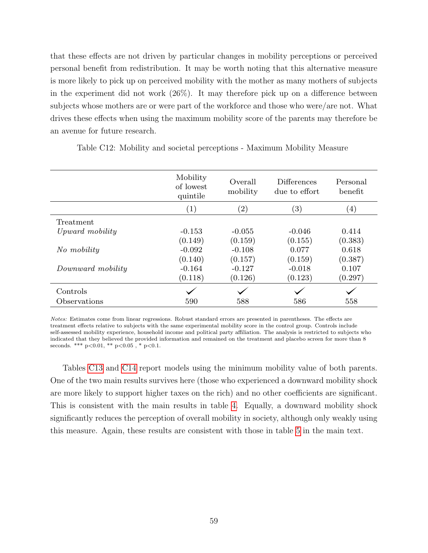that these effects are not driven by particular changes in mobility perceptions or perceived personal benefit from redistribution. It may be worth noting that this alternative measure is more likely to pick up on perceived mobility with the mother as many mothers of subjects in the experiment did not work (26%). It may therefore pick up on a difference between subjects whose mothers are or were part of the workforce and those who were/are not. What drives these effects when using the maximum mobility score of the parents may therefore be an avenue for future research.

|                   | Mobility<br>of lowest<br>quintile | Overall<br>mobility | <b>Differences</b><br>due to effort | Personal<br>benefit |
|-------------------|-----------------------------------|---------------------|-------------------------------------|---------------------|
|                   | (1)                               | $\left( 2\right)$   | $\left(3\right)$                    | $\left(4\right)$    |
| Treatment         |                                   |                     |                                     |                     |
| Upward mobility   | $-0.153$                          | $-0.055$            | $-0.046$                            | 0.414               |
|                   | (0.149)                           | (0.159)             | (0.155)                             | (0.383)             |
| No mobility       | $-0.092$                          | $-0.108$            | 0.077                               | 0.618               |
|                   | (0.140)                           | (0.157)             | (0.159)                             | (0.387)             |
| Downward mobility | $-0.164$                          | $-0.127$            | $-0.018$                            | 0.107               |
|                   | (0.118)                           | (0.126)             | (0.123)                             | (0.297)             |
| Controls          |                                   |                     |                                     |                     |
| Observations      | 590                               | 588                 | 586                                 | 558                 |

<span id="page-59-0"></span>Table C12: Mobility and societal perceptions - Maximum Mobility Measure

Notes: Estimates come from linear regressions. Robust standard errors are presented in parentheses. The effects are treatment effects relative to subjects with the same experimental mobility score in the control group. Controls include self-assessed mobility experience, household income and political party affiliation. The analysis is restricted to subjects who indicated that they believed the provided information and remained on the treatment and placebo screen for more than 8 seconds. \*\*\*  $p<0.01$ , \*\*  $p<0.05$ , \*  $p<0.1$ .

Tables [C13](#page-60-1) and [C14](#page-60-0) report models using the minimum mobility value of both parents. One of the two main results survives here (those who experienced a downward mobility shock are more likely to support higher taxes on the rich) and no other coefficients are significant. This is consistent with the main results in table [4.](#page-24-0) Equally, a downward mobility shock significantly reduces the perception of overall mobility in society, although only weakly using this measure. Again, these results are consistent with those in table [5](#page-27-0) in the main text.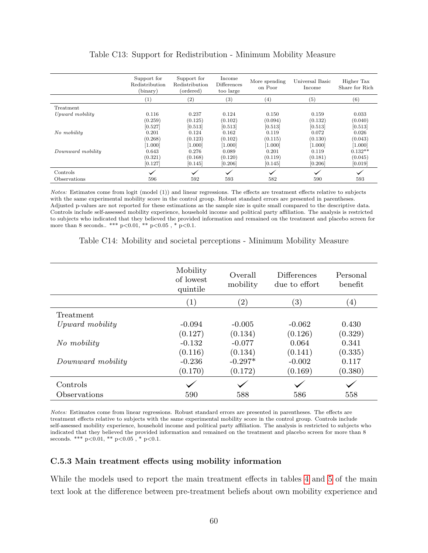<span id="page-60-1"></span>

|                   | Support for<br>Redistribution<br>(binary) | Support for<br>Redistribution<br>(ordered) | Income<br><b>Differences</b><br>too large | More spending<br>on Poor | Universal Basic<br>Income | Higher Tax<br>Share for Rich |
|-------------------|-------------------------------------------|--------------------------------------------|-------------------------------------------|--------------------------|---------------------------|------------------------------|
|                   | $^{(1)}$                                  | (2)                                        | $^{(3)}$                                  | $\left( 4\right)$        | (5)                       | (6)                          |
| Treatment         |                                           |                                            |                                           |                          |                           |                              |
| Upward mobility   | 0.116                                     | 0.237                                      | 0.124                                     | 0.150                    | 0.159                     | 0.033                        |
|                   | (0.259)                                   | (0.125)                                    | (0.102)                                   | (0.094)                  | (0.132)                   | (0.040)                      |
|                   | [0.527]                                   | [0.513]                                    | [0.513]                                   | [0.513]                  | [0.513]                   | [0.513]                      |
| No mobility       | 0.201                                     | 0.124                                      | 0.162                                     | 0.119                    | 0.072                     | 0.026                        |
|                   | (0.268)                                   | (0.123)                                    | (0.102)                                   | (0.115)                  | (0.130)                   | (0.043)                      |
|                   | $[1.000]$                                 | [1.000]                                    | [1.000]                                   | [1.000]                  | [1.000]                   | [1.000]                      |
| Downward mobility | 0.643                                     | 0.276                                      | 0.089                                     | 0.201                    | 0.119                     | $0.132**$                    |
|                   | (0.321)                                   | (0.168)                                    | (0.120)                                   | (0.119)                  | (0.181)                   | (0.045)                      |
|                   | [0.127]                                   | [0.145]                                    | [0.206]                                   | [0.145]                  | [0.206]                   | [0.019]                      |
| Controls          | $\checkmark$                              | $\checkmark$                               | $\checkmark$                              | $\checkmark$             | $\checkmark$              | $\checkmark$                 |
| Observations      | 596                                       | 592                                        | 593                                       | 582                      | 590                       | 593                          |

# Table C13: Support for Redistribution - Minimum Mobility Measure

Notes: Estimates come from logit (model (1)) and linear regressions. The effects are treatment effects relative to subjects with the same experimental mobility score in the control group. Robust standard errors are presented in parentheses. Adjusted p-values are not reported for these estimations as the sample size is quite small compared to the descriptive data. Controls include self-assessed mobility experience, household income and political party affiliation. The analysis is restricted to subjects who indicated that they believed the provided information and remained on the treatment and placebo screen for more than 8 seconds.. \*\*\*  $p<0.01$ , \*\*  $p<0.05$ , \*  $p<0.1$ .

|                   | Mobility<br>of lowest<br>quintile | Overall<br>mobility | <b>Differences</b><br>due to effort | Personal<br>benefit |
|-------------------|-----------------------------------|---------------------|-------------------------------------|---------------------|
|                   | $\left( 1\right)$                 | $\left( 2\right)$   | $\left(3\right)$                    | $\left(4\right)$    |
| Treatment         |                                   |                     |                                     |                     |
| Upward mobility   | $-0.094$                          | $-0.005$            | $-0.062$                            | 0.430               |
|                   | (0.127)                           | (0.134)             | (0.126)                             | (0.329)             |
| No mobility       | $-0.132$                          | $-0.077$            | 0.064                               | 0.341               |
|                   | (0.116)                           | (0.134)             | (0.141)                             | (0.335)             |
| Downward mobility | $-0.236$                          | $-0.297*$           | $-0.002$                            | 0.117               |
|                   | (0.170)                           | (0.172)             | (0.169)                             | (0.380)             |
| Controls          |                                   |                     |                                     |                     |
| Observations      | 590                               | 588                 | 586                                 | 558                 |

<span id="page-60-0"></span>Table C14: Mobility and societal perceptions - Minimum Mobility Measure

Notes: Estimates come from linear regressions. Robust standard errors are presented in parentheses. The effects are treatment effects relative to subjects with the same experimental mobility score in the control group. Controls include self-assessed mobility experience, household income and political party affiliation. The analysis is restricted to subjects who indicated that they believed the provided information and remained on the treatment and placebo screen for more than 8 seconds. \*\*\*  $p<0.01$ , \*\*  $p<0.05$ , \*  $p<0.1$ .

### C.5.3 Main treatment effects using mobility information

While the models used to report the main treatment effects in tables [4](#page-24-0) and [5](#page-27-0) of the main text look at the difference between pre-treatment beliefs about own mobility experience and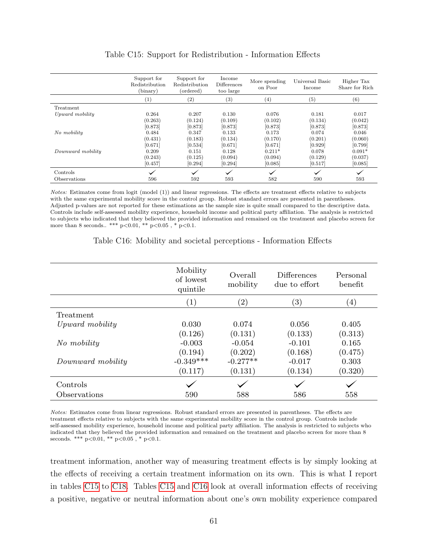<span id="page-61-0"></span>

|                   | Support for<br>Redistribution<br>(binary) | Support for<br>Redistribution<br>(ordered) | Income<br>Differences<br>too large | More spending<br>on Poor | Universal Basic<br>Income | Higher Tax<br>Share for Rich |
|-------------------|-------------------------------------------|--------------------------------------------|------------------------------------|--------------------------|---------------------------|------------------------------|
|                   | $\left(1\right)$                          | $\left( 2\right)$                          | $^{(3)}$                           | (4)                      | (5)                       | (6)                          |
| Treatment         |                                           |                                            |                                    |                          |                           |                              |
| Upward mobility   | 0.264                                     | 0.207                                      | 0.130                              | 0.076                    | 0.181                     | 0.017                        |
|                   | (0.263)                                   | (0.124)                                    | (0.109)                            | (0.102)                  | (0.134)                   | (0.042)                      |
|                   | [0.873]                                   | [0.873]                                    | [0.873]                            | [0.873]                  | [0.873]                   | [0.873]                      |
| No mobility       | 0.484                                     | 0.347                                      | 0.133                              | 0.173                    | 0.074                     | 0.046                        |
|                   | (0.431)                                   | (0.183)                                    | (0.134)                            | (0.170)                  | (0.201)                   | (0.060)                      |
|                   | [0.671]                                   | [0.534]                                    | [0.671]                            | [0.671]                  | [0.929]                   | [0.799]                      |
| Downward mobility | 0.209                                     | 0.151                                      | 0.128                              | $0.211*$                 | 0.078                     | $0.091*$                     |
|                   | (0.243)                                   | (0.125)                                    | (0.094)                            | (0.094)                  | (0.129)                   | (0.037)                      |
|                   | [0.457]                                   | [0.294]                                    | [0.294]                            | [0.085]                  | [0.517]                   | [0.085]                      |
| Controls          | $\checkmark$                              | $\checkmark$                               | $\checkmark$                       | $\checkmark$             | $\checkmark$              | $\checkmark$                 |
| Observations      | 596                                       | 592                                        | 593                                | 582                      | 590                       | 593                          |

#### Table C15: Support for Redistribution - Information Effects

Notes: Estimates come from logit (model (1)) and linear regressions. The effects are treatment effects relative to subjects with the same experimental mobility score in the control group. Robust standard errors are presented in parentheses. Adjusted p-values are not reported for these estimations as the sample size is quite small compared to the descriptive data. Controls include self-assessed mobility experience, household income and political party affiliation. The analysis is restricted to subjects who indicated that they believed the provided information and remained on the treatment and placebo screen for more than 8 seconds.. \*\*\*  $p<0.01$ , \*\*  $p<0.05$ , \*  $p<0.1$ .

#### Table C16: Mobility and societal perceptions - Information Effects

<span id="page-61-1"></span>

|                   | Mobility<br>of lowest<br>quintile | Overall<br>mobility | <b>Differences</b><br>due to effort | Personal<br>benefit |
|-------------------|-----------------------------------|---------------------|-------------------------------------|---------------------|
|                   | (1)                               | $\left( 2\right)$   | $\left(3\right)$                    | $\left(4\right)$    |
| Treatment         |                                   |                     |                                     |                     |
| Upward mobility   | 0.030                             | 0.074               | 0.056                               | 0.405               |
|                   | (0.126)                           | (0.131)             | (0.133)                             | (0.313)             |
| No mobility       | $-0.003$                          | $-0.054$            | $-0.101$                            | 0.165               |
|                   | (0.194)                           | (0.202)             | (0.168)                             | (0.475)             |
| Downward mobility | $-0.349***$                       | $-0.277**$          | $-0.017$                            | 0.303               |
|                   | (0.117)                           | (0.131)             | (0.134)                             | (0.320)             |
| Controls          |                                   |                     |                                     |                     |
| Observations      | 590                               | 588                 | 586                                 | 558                 |

Notes: Estimates come from linear regressions. Robust standard errors are presented in parentheses. The effects are treatment effects relative to subjects with the same experimental mobility score in the control group. Controls include self-assessed mobility experience, household income and political party affiliation. The analysis is restricted to subjects who indicated that they believed the provided information and remained on the treatment and placebo screen for more than 8 seconds. \*\*\*  $p<0.01$ , \*\*  $p<0.05$ , \*  $p<0.1$ .

treatment information, another way of measuring treatment effects is by simply looking at the effects of receiving a certain treatment information on its own. This is what I report in tables [C15](#page-61-0) to [C18.](#page-62-0) Tables [C15](#page-61-0) and [C16](#page-61-1) look at overall information effects of receiving a positive, negative or neutral information about one's own mobility experience compared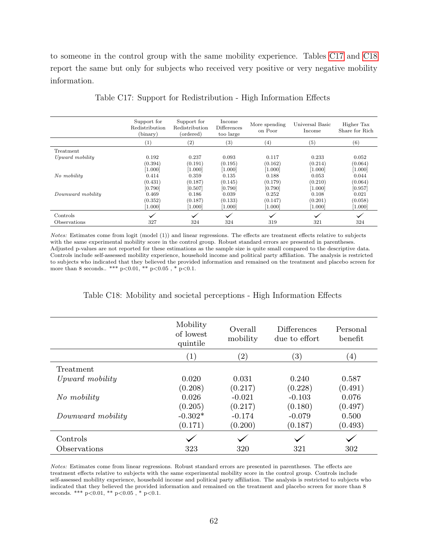to someone in the control group with the same mobility experience. Tables [C17](#page-62-1) and [C18](#page-62-0) report the same but only for subjects who received very positive or very negative mobility information.

<span id="page-62-1"></span>

|                   | Support for<br>Redistribution<br>(binary) | Support for<br><b>Redistribution</b><br>(ordered) | Income<br><b>Differences</b><br>too large | More spending<br>on Poor    | Universal Basic<br>Income   | Higher Tax<br>Share for Rich |
|-------------------|-------------------------------------------|---------------------------------------------------|-------------------------------------------|-----------------------------|-----------------------------|------------------------------|
|                   | $\left(1\right)$                          | (2)                                               | $\left( 3\right)$                         | (4)                         | (5)                         | (6)                          |
| Treatment         |                                           |                                                   |                                           |                             |                             |                              |
| Upward mobility   | 0.192<br>(0.394)<br>[1.000]               | 0.237<br>(0.191)<br>[1.000]                       | 0.093<br>(0.195)<br>[1.000]               | 0.117<br>(0.162)<br>[1.000] | 0.233<br>(0.214)<br>[1.000] | 0.052<br>(0.064)<br>[1.000]  |
| No mobility       | 0.414<br>(0.431)<br>[0.790]               | 0.359<br>(0.187)<br>[0.507]                       | 0.135<br>(0.145)<br>[0.790]               | 0.188<br>(0.179)<br>[0.790] | 0.053<br>(0.210)<br>[1.000] | 0.044<br>(0.064)<br>[0.957]  |
| Downward mobility | 0.469<br>(0.352)<br>1.000                 | 0.186<br>(0.187)<br>1.000                         | 0.039<br>(0.133)<br>[1.000]               | 0.252<br>(0.147)<br>[1.000] | 0.108<br>(0.201)<br>[1.000] | 0.021<br>(0.058)<br>[1.000]  |
| Controls          | $\checkmark$                              | $\checkmark$                                      | $\checkmark$                              | $\checkmark$                | $\checkmark$                | $\checkmark$                 |
| Observations      | 327                                       | 324                                               | 324                                       | 319                         | 321                         | 324                          |

Table C17: Support for Redistribution - High Information Effects

Notes: Estimates come from logit (model (1)) and linear regressions. The effects are treatment effects relative to subjects with the same experimental mobility score in the control group. Robust standard errors are presented in parentheses. Adjusted p-values are not reported for these estimations as the sample size is quite small compared to the descriptive data. Controls include self-assessed mobility experience, household income and political party affiliation. The analysis is restricted to subjects who indicated that they believed the provided information and remained on the treatment and placebo screen for more than 8 seconds.. \*\*\*  $p<0.01$ , \*\*  $p<0.05$ , \*  $p<0.1$ .

|  |  | Table C18: Mobility and societal perceptions - High Information Effects |  |  |  |  |
|--|--|-------------------------------------------------------------------------|--|--|--|--|
|--|--|-------------------------------------------------------------------------|--|--|--|--|

<span id="page-62-0"></span>

|                   | Mobility<br>of lowest<br>quintile | Overall<br>mobility | <b>Differences</b><br>due to effort | Personal<br>benefit |
|-------------------|-----------------------------------|---------------------|-------------------------------------|---------------------|
|                   | (1)                               | $\left( 2\right)$   | $\left( 3\right)$                   | $\left( 4\right)$   |
| Treatment         |                                   |                     |                                     |                     |
| Upward mobility   | 0.020                             | 0.031               | 0.240                               | 0.587               |
|                   | (0.208)                           | (0.217)             | (0.228)                             | (0.491)             |
| No mobility       | 0.026                             | $-0.021$            | $-0.103$                            | 0.076               |
|                   | (0.205)                           | (0.217)             | (0.180)                             | (0.497)             |
| Downward mobility | $-0.302*$                         | $-0.174$            | $-0.079$                            | 0.500               |
|                   | (0.171)                           | (0.200)             | (0.187)                             | (0.493)             |
| Controls          |                                   |                     |                                     |                     |
| Observations      | 323                               | 320                 | 321                                 | 302                 |

Notes: Estimates come from linear regressions. Robust standard errors are presented in parentheses. The effects are treatment effects relative to subjects with the same experimental mobility score in the control group. Controls include self-assessed mobility experience, household income and political party affiliation. The analysis is restricted to subjects who indicated that they believed the provided information and remained on the treatment and placebo screen for more than 8 seconds. \*\*\*  $p<0.01$ , \*\*  $p<0.05$ , \*  $p<0.1$ .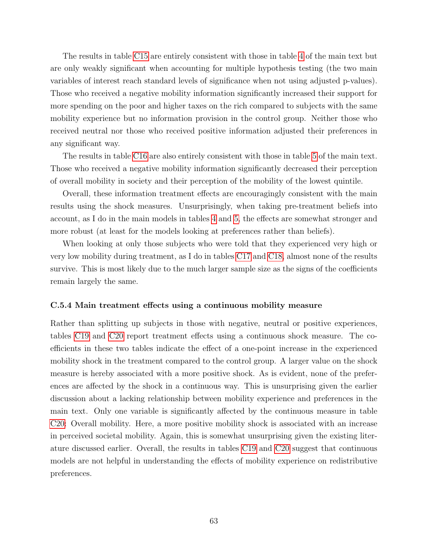The results in table [C15](#page-61-0) are entirely consistent with those in table [4](#page-24-0) of the main text but are only weakly significant when accounting for multiple hypothesis testing (the two main variables of interest reach standard levels of significance when not using adjusted p-values). Those who received a negative mobility information significantly increased their support for more spending on the poor and higher taxes on the rich compared to subjects with the same mobility experience but no information provision in the control group. Neither those who received neutral nor those who received positive information adjusted their preferences in any significant way.

The results in table [C16](#page-61-1) are also entirely consistent with those in table [5](#page-27-0) of the main text. Those who received a negative mobility information significantly decreased their perception of overall mobility in society and their perception of the mobility of the lowest quintile.

Overall, these information treatment effects are encouragingly consistent with the main results using the shock measures. Unsurprisingly, when taking pre-treatment beliefs into account, as I do in the main models in tables [4](#page-24-0) and [5,](#page-27-0) the effects are somewhat stronger and more robust (at least for the models looking at preferences rather than beliefs).

When looking at only those subjects who were told that they experienced very high or very low mobility during treatment, as I do in tables [C17](#page-62-1) and [C18,](#page-62-0) almost none of the results survive. This is most likely due to the much larger sample size as the signs of the coefficients remain largely the same.

#### C.5.4 Main treatment effects using a continuous mobility measure

Rather than splitting up subjects in those with negative, neutral or positive experiences, tables [C19](#page-64-0) and [C20](#page-64-1) report treatment effects using a continuous shock measure. The coefficients in these two tables indicate the effect of a one-point increase in the experienced mobility shock in the treatment compared to the control group. A larger value on the shock measure is hereby associated with a more positive shock. As is evident, none of the preferences are affected by the shock in a continuous way. This is unsurprising given the earlier discussion about a lacking relationship between mobility experience and preferences in the main text. Only one variable is significantly affected by the continuous measure in table [C20:](#page-64-1) Overall mobility. Here, a more positive mobility shock is associated with an increase in perceived societal mobility. Again, this is somewhat unsurprising given the existing literature discussed earlier. Overall, the results in tables [C19](#page-64-0) and [C20](#page-64-1) suggest that continuous models are not helpful in understanding the effects of mobility experience on redistributive preferences.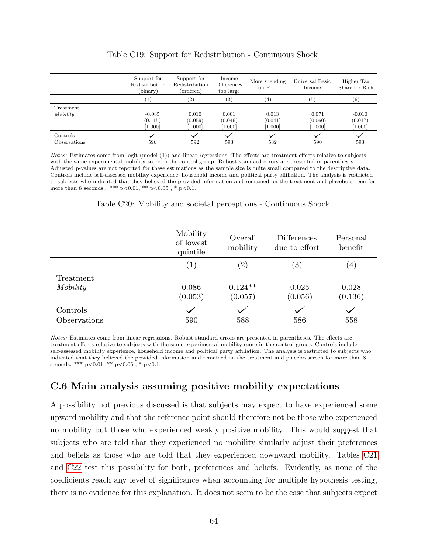<span id="page-64-0"></span>

|              | Support for<br>Redistribution<br>(binary) | Support for<br>Redistribution<br>(ordered) | Income<br>Differences<br>too large | More spending<br>on Poor | Universal Basic<br>Income | Higher Tax<br>Share for Rich |
|--------------|-------------------------------------------|--------------------------------------------|------------------------------------|--------------------------|---------------------------|------------------------------|
|              | $\left( 1\right)$                         | (2)                                        | (3)                                | (4)                      | (5)                       | (6)                          |
| Treatment    |                                           |                                            |                                    |                          |                           |                              |
| Mobility     | $-0.085$                                  | 0.010                                      | 0.001                              | 0.013                    | 0.071                     | $-0.010$                     |
|              | (0.115)                                   | (0.059)                                    | (0.046)                            | (0.041)                  | (0.060)                   | (0.017)                      |
|              | 1.000                                     | [1.000]                                    | [1.000]                            | [1.000]                  | [1.000]                   | [1.000]                      |
| Controls     |                                           | ◡                                          |                                    | $\checkmark$             |                           | $\checkmark$                 |
| Observations | 596                                       | 592                                        | 593                                | 582                      | 590                       | 593                          |

#### Table C19: Support for Redistribution - Continuous Shock

Notes: Estimates come from logit (model (1)) and linear regressions. The effects are treatment effects relative to subjects with the same experimental mobility score in the control group. Robust standard errors are presented in parentheses. Adjusted p-values are not reported for these estimations as the sample size is quite small compared to the descriptive data. Controls include self-assessed mobility experience, household income and political party affiliation. The analysis is restricted to subjects who indicated that they believed the provided information and remained on the treatment and placebo screen for more than 8 seconds.. \*\*\*  $p<0.01$ , \*\*  $p<0.05$ , \*  $p<0.1$ .

#### Table C20: Mobility and societal perceptions - Continuous Shock

<span id="page-64-1"></span>

|              | Mobility<br>of lowest<br>quintile | Overall<br>mobility | <b>Differences</b><br>due to effort | Personal<br>benefit |
|--------------|-----------------------------------|---------------------|-------------------------------------|---------------------|
|              | $\left(1\right)$                  | $\left( 2\right)$   | $\left( 3\right)$                   | $\left(4\right)$    |
| Treatment    |                                   |                     |                                     |                     |
| Mobility     | 0.086                             | $0.124**$           | 0.025                               | 0.028               |
|              | (0.053)                           | (0.057)             | (0.056)                             | (0.136)             |
| Controls     |                                   |                     |                                     |                     |
| Observations | 590                               | 588                 | 586                                 | 558                 |

Notes: Estimates come from linear regressions. Robust standard errors are presented in parentheses. The effects are treatment effects relative to subjects with the same experimental mobility score in the control group. Controls include self-assessed mobility experience, household income and political party affiliation. The analysis is restricted to subjects who indicated that they believed the provided information and remained on the treatment and placebo screen for more than 8 seconds. \*\*\*  $p<0.01$ , \*\*  $p<0.05$ , \*  $p<0.1$ .

# C.6 Main analysis assuming positive mobility expectations

A possibility not previous discussed is that subjects may expect to have experienced some upward mobility and that the reference point should therefore not be those who experienced no mobility but those who experienced weakly positive mobility. This would suggest that subjects who are told that they experienced no mobility similarly adjust their preferences and beliefs as those who are told that they experienced downward mobility. Tables [C21](#page-65-0) and [C22](#page-65-1) test this possibility for both, preferences and beliefs. Evidently, as none of the coefficients reach any level of significance when accounting for multiple hypothesis testing, there is no evidence for this explanation. It does not seem to be the case that subjects expect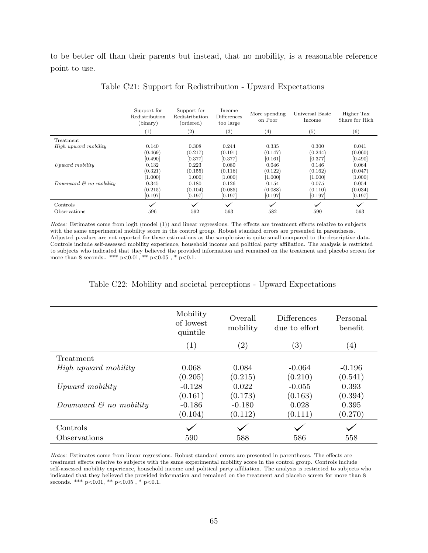<span id="page-65-0"></span>to be better off than their parents but instead, that no mobility, is a reasonable reference point to use.

|                                    | Support for<br>Redistribution<br>(binary) | Support for<br>Redistribution<br>(ordered) | Income<br><b>Differences</b><br>too large | More spending<br>on Poor | Universal Basic<br>Income | Higher Tax<br>Share for Rich |
|------------------------------------|-------------------------------------------|--------------------------------------------|-------------------------------------------|--------------------------|---------------------------|------------------------------|
|                                    | $\left(1\right)$                          | (2)                                        | $\left( 3\right)$                         | (4)                      | (5)                       | (6)                          |
| Treatment                          |                                           |                                            |                                           |                          |                           |                              |
| High upward mobility               | 0.140                                     | 0.308                                      | 0.244                                     | 0.335                    | 0.300                     | 0.041                        |
|                                    | (0.469)                                   | (0.217)                                    | (0.191)                                   | (0.147)                  | (0.244)                   | (0.060)                      |
|                                    | [0.490]                                   | [0.377]                                    | [0.377]                                   | [0.161]                  | [0.377]                   | [0.490]                      |
| Upward mobility                    | 0.132                                     | 0.223                                      | 0.080                                     | 0.046                    | 0.146                     | 0.064                        |
|                                    | (0.321)                                   | (0.155)                                    | (0.116)                                   | (0.122)                  | (0.162)                   | (0.047)                      |
|                                    | [1.000]                                   | [1.000]                                    | [1.000]                                   | [1.000]                  | [1.000]                   | [1.000]                      |
| Downward $\mathcal{C}$ no mobility | 0.345                                     | 0.180                                      | 0.126                                     | 0.154                    | 0.075                     | 0.054                        |
|                                    | (0.215)                                   | (0.104)                                    | (0.085)                                   | (0.088)                  | (0.110)                   | (0.034)                      |
|                                    | [0.197]                                   | [0.197]                                    | [0.197]                                   | [0.197]                  | [0.197]                   | [0.197]                      |
| Controls                           | $\checkmark$                              | $\checkmark$                               | $\checkmark$                              | $\checkmark$             | $\checkmark$              | $\checkmark$                 |
| <i><b>Observations</b></i>         | 596                                       | 592                                        | 593                                       | 582                      | 590                       | 593                          |

Table C21: Support for Redistribution - Upward Expectations

Notes: Estimates come from logit (model (1)) and linear regressions. The effects are treatment effects relative to subjects with the same experimental mobility score in the control group. Robust standard errors are presented in parentheses. Adjusted p-values are not reported for these estimations as the sample size is quite small compared to the descriptive data. Controls include self-assessed mobility experience, household income and political party affiliation. The analysis is restricted to subjects who indicated that they believed the provided information and remained on the treatment and placebo screen for more than 8 seconds.. \*\*\*  $p<0.01$ , \*\*  $p<0.05$ , \*  $p<0.1$ .

#### Table C22: Mobility and societal perceptions - Upward Expectations

<span id="page-65-1"></span>

|                                    | Mobility<br>of lowest | Overall<br>mobility | <b>Differences</b><br>due to effort | Personal<br>benefit |
|------------------------------------|-----------------------|---------------------|-------------------------------------|---------------------|
|                                    | quintile<br>(1)       | $\left( 2\right)$   | $\left(3\right)$                    | (4)                 |
| Treatment                          |                       |                     |                                     |                     |
| High upward mobility               | 0.068                 | 0.084               | $-0.064$                            | $-0.196$            |
|                                    | (0.205)               | (0.215)             | (0.210)                             | (0.541)             |
| Upward mobility                    | $-0.128$              | 0.022               | $-0.055$                            | 0.393               |
|                                    | (0.161)               | (0.173)             | (0.163)                             | (0.394)             |
| Downward $\mathcal{C}$ no mobility | $-0.186$              | $-0.180$            | 0.028                               | 0.395               |
|                                    | (0.104)               | (0.112)             | (0.111)                             | (0.270)             |
| Controls                           |                       |                     |                                     |                     |
| Observations                       | 590                   | 588                 | 586                                 | 558                 |

Notes: Estimates come from linear regressions. Robust standard errors are presented in parentheses. The effects are treatment effects relative to subjects with the same experimental mobility score in the control group. Controls include self-assessed mobility experience, household income and political party affiliation. The analysis is restricted to subjects who indicated that they believed the provided information and remained on the treatment and placebo screen for more than 8 seconds. \*\*\*  $p<0.01$ , \*\*  $p<0.05$ , \*  $p<0.1$ .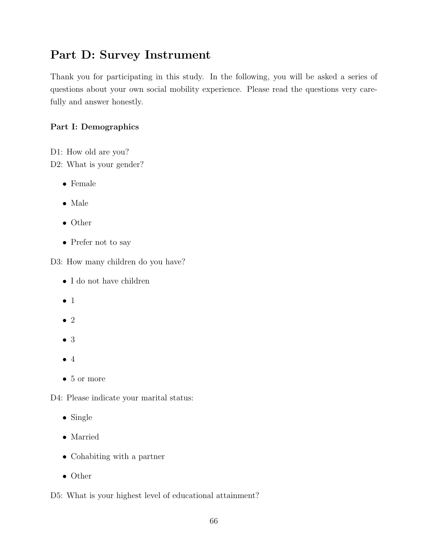# Part D: Survey Instrument

Thank you for participating in this study. In the following, you will be asked a series of questions about your own social mobility experience. Please read the questions very carefully and answer honestly.

# Part I: Demographics

D1: How old are you?

D2: What is your gender?

- Female
- Male
- Other
- Prefer not to say

D3: How many children do you have?

- I do not have children
- 1
- 2
- 3
- $\bullet$  4
- 5 or more

D4: Please indicate your marital status:

- Single
- Married
- Cohabiting with a partner
- Other

D5: What is your highest level of educational attainment?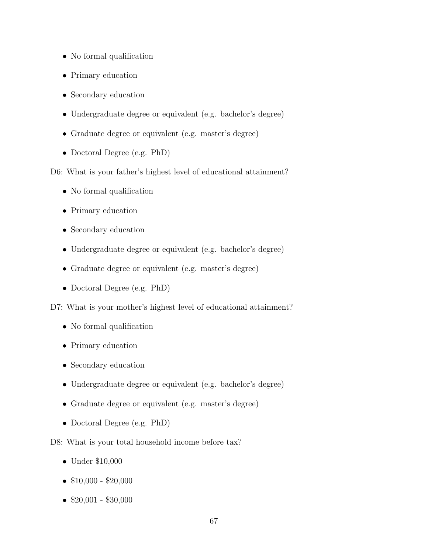- No formal qualification
- Primary education
- Secondary education
- Undergraduate degree or equivalent (e.g. bachelor's degree)
- Graduate degree or equivalent (e.g. master's degree)
- Doctoral Degree (e.g. PhD)

D6: What is your father's highest level of educational attainment?

- No formal qualification
- Primary education
- Secondary education
- Undergraduate degree or equivalent (e.g. bachelor's degree)
- Graduate degree or equivalent (e.g. master's degree)
- Doctoral Degree (e.g. PhD)

D7: What is your mother's highest level of educational attainment?

- No formal qualification
- Primary education
- Secondary education
- Undergraduate degree or equivalent (e.g. bachelor's degree)
- Graduate degree or equivalent (e.g. master's degree)
- Doctoral Degree (e.g. PhD)

D8: What is your total household income before tax?

- Under \$10,000
- $$10,000 $20,000$
- $$20,001 $30,000$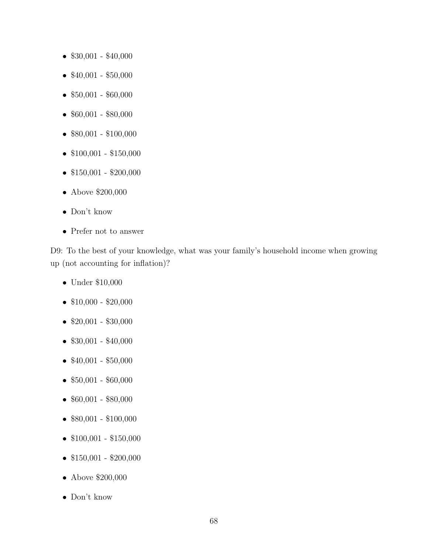- \$30,001 \$40,000
- $$40,001 $50,000$
- \$50,001 \$60,000
- $$60,001 $80,000$
- $$80,001 $100,000$
- $$100,001 $150,000$
- $$150,001 $200,000$
- Above \$200,000
- Don't know
- Prefer not to answer

D9: To the best of your knowledge, what was your family's household income when growing up (not accounting for inflation)?

- Under \$10,000
- $$10,000 $20,000$
- $$20,001 $30,000$
- $$30,001 $40,000$
- $$40,001 $50,000$
- $$50,001 $60,000$
- $$60,001 $80,000$
- $$80,001 $100,000$
- $$100,001 $150,000$
- $$150,001 $200,000$
- Above \$200,000
- Don't know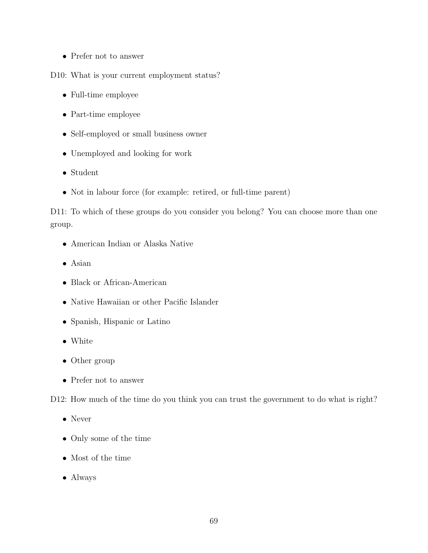• Prefer not to answer

D10: What is your current employment status?

- Full-time employee
- Part-time employee
- Self-employed or small business owner
- Unemployed and looking for work
- Student
- Not in labour force (for example: retired, or full-time parent)

D11: To which of these groups do you consider you belong? You can choose more than one group.

- American Indian or Alaska Native
- Asian
- Black or African-American
- Native Hawaiian or other Pacific Islander
- Spanish, Hispanic or Latino
- White
- Other group
- Prefer not to answer

D12: How much of the time do you think you can trust the government to do what is right?

- Never
- Only some of the time
- Most of the time
- Always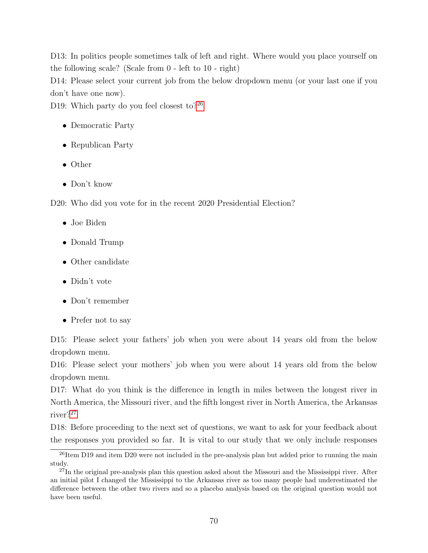D13: In politics people sometimes talk of left and right. Where would you place yourself on the following scale? (Scale from 0 - left to 10 - right)

D14: Please select your current job from the below dropdown menu (or your last one if you don't have one now).

D19: Which party do you feel closest to? $26$ 

- Democratic Party
- Republican Party
- Other
- Don't know

D20: Who did you vote for in the recent 2020 Presidential Election?

- Joe Biden
- Donald Trump
- Other candidate
- Didn't vote
- Don't remember
- Prefer not to say

D15: Please select your fathers' job when you were about 14 years old from the below dropdown menu.

D16: Please select your mothers' job when you were about 14 years old from the below dropdown menu.

D17: What do you think is the difference in length in miles between the longest river in North America, the Missouri river, and the fifth longest river in North America, the Arkansas river?[27](#page-70-1)

D18: Before proceeding to the next set of questions, we want to ask for your feedback about the responses you provided so far. It is vital to our study that we only include responses

<span id="page-70-0"></span><sup>&</sup>lt;sup>26</sup>Item D19 and item D20 were not included in the pre-analysis plan but added prior to running the main study.

<span id="page-70-1"></span><sup>&</sup>lt;sup>27</sup>In the original pre-analysis plan this question asked about the Missouri and the Mississippi river. After an initial pilot I changed the Mississippi to the Arkansas river as too many people had underestimated the difference between the other two rivers and so a placebo analysis based on the original question would not have been useful.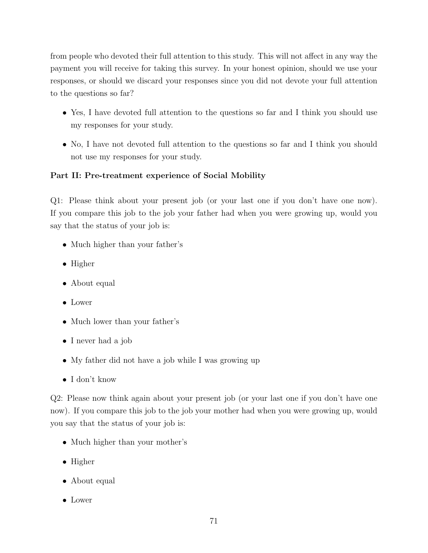from people who devoted their full attention to this study. This will not affect in any way the payment you will receive for taking this survey. In your honest opinion, should we use your responses, or should we discard your responses since you did not devote your full attention to the questions so far?

- Yes, I have devoted full attention to the questions so far and I think you should use my responses for your study.
- No, I have not devoted full attention to the questions so far and I think you should not use my responses for your study.

## Part II: Pre-treatment experience of Social Mobility

Q1: Please think about your present job (or your last one if you don't have one now). If you compare this job to the job your father had when you were growing up, would you say that the status of your job is:

- Much higher than your father's
- Higher
- About equal
- Lower
- Much lower than your father's
- I never had a job
- My father did not have a job while I was growing up
- I don't know

Q2: Please now think again about your present job (or your last one if you don't have one now). If you compare this job to the job your mother had when you were growing up, would you say that the status of your job is:

- Much higher than your mother's
- Higher
- About equal
- Lower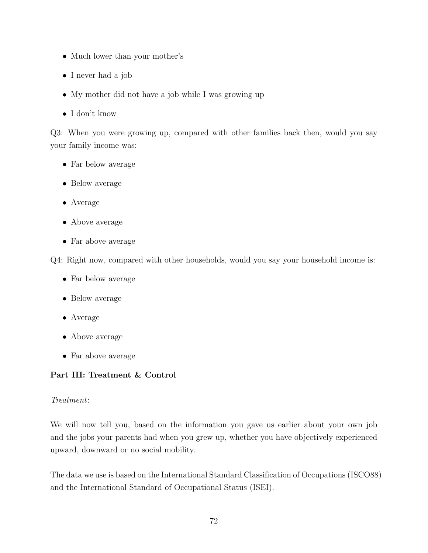- Much lower than your mother's
- I never had a job
- My mother did not have a job while I was growing up
- I don't know

Q3: When you were growing up, compared with other families back then, would you say your family income was:

- Far below average
- Below average
- Average
- Above average
- Far above average

Q4: Right now, compared with other households, would you say your household income is:

- Far below average
- Below average
- Average
- Above average
- Far above average

# Part III: Treatment & Control

# Treatment:

We will now tell you, based on the information you gave us earlier about your own job and the jobs your parents had when you grew up, whether you have objectively experienced upward, downward or no social mobility.

The data we use is based on the International Standard Classification of Occupations (ISCO88) and the International Standard of Occupational Status (ISEI).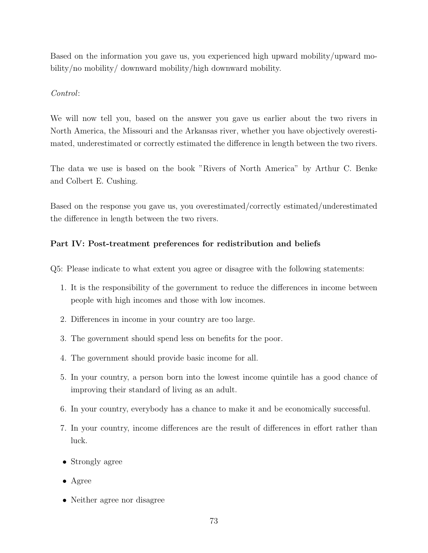Based on the information you gave us, you experienced high upward mobility/upward mobility/no mobility/ downward mobility/high downward mobility.

### Control:

We will now tell you, based on the answer you gave us earlier about the two rivers in North America, the Missouri and the Arkansas river, whether you have objectively overestimated, underestimated or correctly estimated the difference in length between the two rivers.

The data we use is based on the book "Rivers of North America" by Arthur C. Benke and Colbert E. Cushing.

Based on the response you gave us, you overestimated/correctly estimated/underestimated the difference in length between the two rivers.

# Part IV: Post-treatment preferences for redistribution and beliefs

Q5: Please indicate to what extent you agree or disagree with the following statements:

- 1. It is the responsibility of the government to reduce the differences in income between people with high incomes and those with low incomes.
- 2. Differences in income in your country are too large.
- 3. The government should spend less on benefits for the poor.
- 4. The government should provide basic income for all.
- 5. In your country, a person born into the lowest income quintile has a good chance of improving their standard of living as an adult.
- 6. In your country, everybody has a chance to make it and be economically successful.
- 7. In your country, income differences are the result of differences in effort rather than luck.
- Strongly agree
- Agree
- Neither agree nor disagree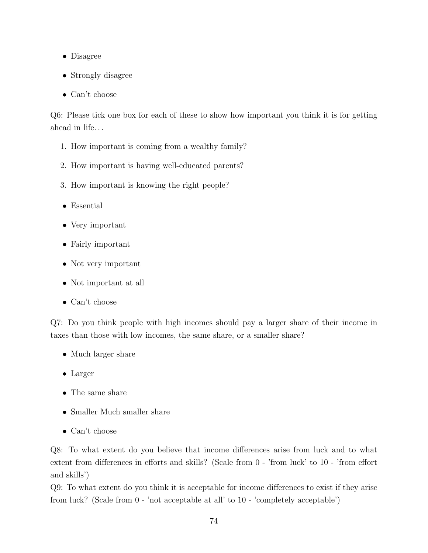- Disagree
- Strongly disagree
- Can't choose

Q6: Please tick one box for each of these to show how important you think it is for getting ahead in life. . .

- 1. How important is coming from a wealthy family?
- 2. How important is having well-educated parents?
- 3. How important is knowing the right people?
- Essential
- Very important
- Fairly important
- Not very important
- Not important at all
- Can't choose

Q7: Do you think people with high incomes should pay a larger share of their income in taxes than those with low incomes, the same share, or a smaller share?

- Much larger share
- Larger
- The same share
- Smaller Much smaller share
- Can't choose

Q8: To what extent do you believe that income differences arise from luck and to what extent from differences in efforts and skills? (Scale from 0 - 'from luck' to 10 - 'from effort and skills')

Q9: To what extent do you think it is acceptable for income differences to exist if they arise from luck? (Scale from 0 - 'not acceptable at all' to 10 - 'completely acceptable')